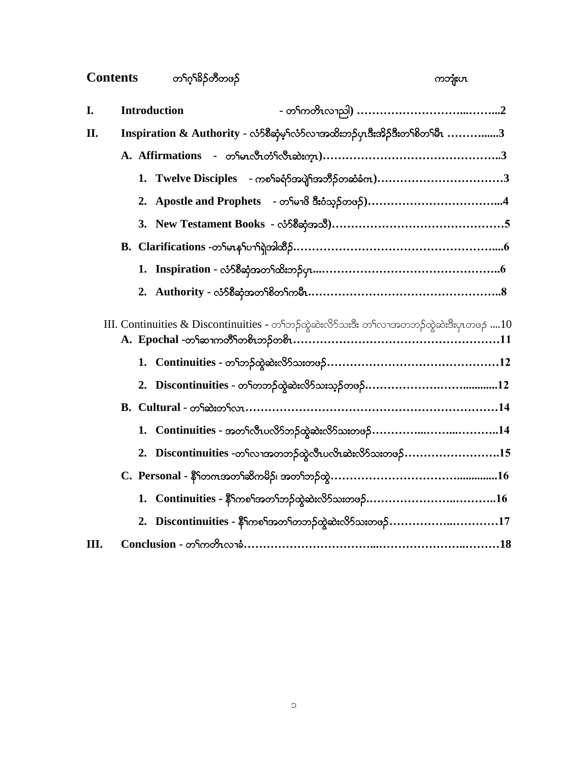# $Contents$  တ႑ိုလ်နှိုသိုတိတဖဉ် ပြုလာသည့် ပြုလာသည့် ပြုလာသည့် ပြုလာသည့် ပြုလာသည့် ပြုလာသည့် ပြုလာသည့် ပြုလာသည့် ပြုလာသည့် ပြ

| I. | <b>Introduction</b>                                                                                                       |
|----|---------------------------------------------------------------------------------------------------------------------------|
| П. | $\Gamma$ Inspiration $\&$ Authority - လံာ်စီဆုံမှ $\Gamma$ လံာလာအထိးဘဉ်ပုၤဒီးအိဉ်ဒီးတ $\Gamma$ စိတ $\Gamma$ မီ $\Gamma$ 3 |
|    |                                                                                                                           |
|    | 1. Twelve Disciples - ကစ <sup>ၡ</sup> ခရံာ်အပျိ <sup>ု</sup> အဘိဉ်တဆံခံက)3                                                |
|    | 2. Apostle and Prophets - တ <sup>ှ</sup> မျာ <sup>8</sup> ဒီးဝံသု့ဉ်တဖဉ်)4                                                |
|    |                                                                                                                           |
|    |                                                                                                                           |
|    |                                                                                                                           |
|    |                                                                                                                           |
|    | III. Continuities & Discontinuities - တၫၲဘၟၣတွဲဆဲးလိ်ာသးဒီး တၫ်လၢအတဘဉ်ထွဲဆဲးဒီးပုၤတဖဉ 10                                  |
|    |                                                                                                                           |
|    |                                                                                                                           |
|    |                                                                                                                           |
|    | 1. Continuities - အတ <sup>ှ</sup> လီၤပလိ်ာဘဉ်ထွဲဆဲးလိ်ာသးတဖဉ်14                                                           |
|    | 2. Discontinuities -တၫ်လၫအတဘဉ်ထွဲလီၤပလိၤဆဲးလိ $5$ သးတဖ $5$ 15                                                             |
|    | $C.$ $\; {\bf Personal}$ - နိ $5$ တကအတ $5$ ဆိကမိဉ်၊ အတ $5$ တှဉ်ထွဲ $16$                                                   |
|    | 1. Continuities - နိ <sup>6</sup> ကစ <sup>6</sup> အတ <sup>6</sup> ဘဉ်ထွဲဆဲးလိ <sup>5</sup> သးတဖဉ်16                       |
|    | 2. Discontinuities - $\frac{25}{3}$ ကစ <sup>5</sup> အတ <sup>5</sup> တဘဉ်ထွဲဆဲးလိ5်သးတဖဉ်17                                |
| Ш. |                                                                                                                           |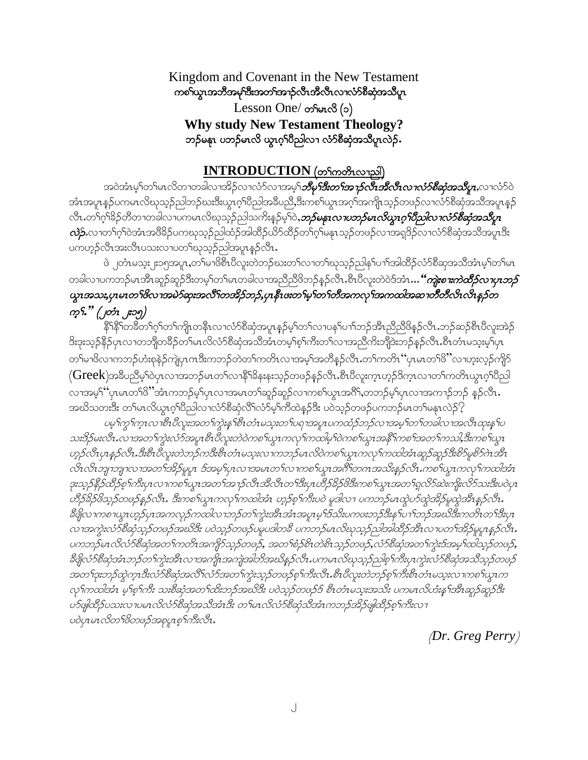Kingdom and Covenant in the New Testament ကစ်္ဂလွေၤအဘိအမု်ဒီးအတ်အာဉ်လီၤအီလီၤလၢလံာ်စီဆုံအသိပူၤ  $Lesson One/$  တ်မာလ $(0)$ **Why study New Testament Theology?**   $\infty$ ဉ်မနုၤ ပဘဉ်မၤလိ ယွၤဂ္<sup>ရာ</sup>ပီညါလ႑လံ႒စီဆုံအသိပူးလဲဉ်.

#### **INTRODUCTION** (တ<sup>ှ</sup>ကတိၤလၫညါ)

အဝဲအံၤမ့ါတ<sup>ျ</sup>မာလိတၢတခါလၢအိဉ်လၢလံာ်လၢအမဲ့ါ*ဘီမှ<sup>င်္</sup>ဒီးတ<sup>င်္</sup>အာဉ်လီးဆီလီးလၢလံာ်စီဆုံအသိပူး,***လၢလံာ်ဝဲ** ဒာံများနဉ်ပကမၤလိဃုသူဉ်ညါဘဉ်ဃးဒီးယွၤဂုၤ်ဝိညါအခ်ီပညိႇဒီးကစၤ်ယွၤအဂုၤ်အကျိုၤသူဉ်တဖဉ်လၢလႆာ်စီဆုံအသိအပူ၊နှဉ် လီၤ.တ<sup>၎</sup>ဂ္ဂါခိဉ်တိတ႑တခါလ႑ပကမၤလိဃုသူဉ်ညါသကိႏန္ဉ်မ့<sup>၎</sup>ဝဲႇ*ဘ်မနၤ<i>လ႑ာသိမၤလိယ္လၤဂ္<sup>ရာ</sup>ပိညါလ႑လံ>်စိဆုံအသိပူ***း**  $\alpha$ ) ကားလာက်ပြုပြင်္သားကွယ်ပြုလားကြသည် ကြွေပါင်္ကညာကြွေပါင်္ဘည်ကွင်းမြန်းတို့ပွဲလည်းကြသည့်လည်း တွေကြွေးကြွေး ပကဟုဉ်လီၤအးလီၤပသးလၢပတၤ်ဃုသုဉ်ညါအပူၤန္ဉာလီၤ.

ဖဲ ၂တံၤမသူး၂း၁၅အပူၤ,တၫ်မၢဖိစီၤပီလူးတဲဘဉ်ဃးတ႑်လၢတ႑်ဃုသွဉ်ညါနှၤ်ပၫၤ်အါထိဉ်လံာ်စီဆုအသိအံၤမ့ၤ်တၤ်မၤ တခါလၢပကဘဉ်မၤအိၤဆူဉ်ဆူဉ်ဒီးတမ့<sup>၎</sup>တၤ်မၤတခါလၢအညီညီဖိဘဉ်နှဉ်လီၤႉစီၤပီလူးတဲဝဲဒ်အံၤ**…***"ကျဲးစၫးကဲထိဉ်လၫပုၤဘဉ်*  $\alpha$ အသး, $\alpha$ မၤတ $\beta$ လ $\alpha$ အမဲ $\delta$ ဆုးအလီ $\beta$ တအိ $\beta$ ဘ $\beta$ , $\gamma$ ၊နီ $\alpha$ တ်မြာတက်တီအက $\alpha$ ါအဆ $\gamma$ တီတီလိ $\alpha$ လိ $\alpha$ န $\beta$ တ  $\varphi$ *np<sup>8</sup>\* (pp*1 ၂=09)

နိ<sup>ု</sup>နိ<sup>ုင်</sup>ကခ်ိတ်ကိုက်ကြိုတနိုၤလၢလံာ်စိဆုံအပူ၊နှဉ်မှကြာလျဖန်ပြာကြွေအိုညီညီဖိနှဉ်လီး ဘဉ်ဆဉ်စီးပိလူးအဲ့ဉ် 8းဒုးသှဉ်နိ5ုပုၤလၢတဘျိတခ်ိဉ်တၫ်မၤလိလံာ်စိဆုံအသိအံၤတမ့ၢ်စ့ၢ်ကိုးတ႑်လၢအညီကိုးဘျိုဒဲးဘဉ်နှဉ်လီၤႉစီၤတံၤမသူးမ့ၢ်ပုၤ တၫ်မၢၒိလၢကဘဉ်ဟံးစုနဲဉ်ကျဲပုၤဂၤဒီးကဘဉ်တဲတၫ်ကတိၤလၢအမ့ၢ်အတိန္ဉာလိၤ.တၫ်ကတိၤ´´ပုၤမၤတၢ်ၒိႛလၢဟူးလ္ဉာ်ကျိဉ်  $\Gamma(\mathrm{Greek})$ အခ်ဳပညီမှ1်ဝဲပုၤလၢအဘဉ်မၤတ1်လၫန်ႝ1်ခိနးနးသ့ဉ်တဖဉ်နှဉ်လီၤ.စီၤပီလူးက္ၤဟ္ဥာိက္ၤလၢတ1်ကတိၤယွၤဂ့ါပိညါ လၢအမ္ဒ<sup>န္</sup> ပုံပမာတ<sup>ရ</sup>ဖိ"အံၤကဘဉ်မ့ှလျာလျှအမျာတ္က်ဆူဉ်ဆူဉ်လျကစ္စါယွာအင်္ဂြိမ္ပတ္သည်မွှပျာလျှအကျာဉ်ဘဉ် နှဉ်လီး. အဃိသတးဒီး တ<sup>ရ</sup>မာလိယ္စာဂ္<sup>ရ</sup>ပိညါလၫလံာ်စိဆုံလိ<sup>ရ</sup>လံာမ့<sup>ရ</sup>ကိထဲနဉ်ဒီး ပဝဲသုဉ်တဖဉ်ပကဘဉ်မာတ<sup>ရ</sup>မနာလဲဉ် $\Omega$ 

veှ<sup>ငှ</sup>ကွ1်က္2လာစီး*ပီလူးအတ*်ကွဲးနက်စီးတံၤမသူးတပ်ရာအပူးပကထံဉ်ဘဉ်လၢအမှု<sup>င်</sup>တ<sup>င်္</sup>ကာလါလာအလီးထုံးနှ<sup>င့်</sup>ပ သးဒိဉ်မးလီၤ…လၢအတ႑်ကွဲးလံာ်အပူၤစီၤပီလူးတဲဝဲကစ႑်ယွၤကလှ႑်ကထါမှ Jဝဲကစ႑်ယွၤအနိ႑်ကစ႑်အတ႑်ကသါ,ဒီးကစ႑်ယွၤ ဟူဉ်လီၤပုၤန္ဉဉ်လီၤ.ဒီးစီၤပီလူးတဲဘဉ်ကဒီးစီၤတံၤမသူးလၤကဘဉ်မၤလိဝဲကစ႑်ယွၤကလုၤ်ကထါအံၤဆူဉ်ဆူဉ်ဒီးစိဉ်မူစိဉ်ဂဲၤအီၤ လ်ၤလျာဘျာလၢအတ်အိဉ်မူပူး ဒ်အမှုပြာလၢအမၤတ႑်လၢကစ႑်ယွၤအဂိၢ်တဂၤအသိႏန္နဉ်လီး ကစ႑်ယွၤကလုၤ်ကထါအံၤ  $\beta$ းသ္ $\beta$ န် $\beta$ ထိ $\beta$ စ့် $\eta$ ကီးပု $\alpha$ ာကစ $\gamma$ ယ္သားဘာတ $\beta$ အကြီးကို ကိုယ်အိုးပုံတိုးတိုကြီး $\gamma$ ကိုးသားအီးပါပုံ $\eta$ တိုက်ခိန်တို့ဆိုသောက်သို့ အသင်းသောကြောက်သည် 'ဘုတ်မြောင်း' အခြင်းကြီး အသင်းမြေသည် အသင်းမြေသည် အသင်းမြောင်း  $\mathscr{E}$ g $\infty$ 1 $\infty$ 2 $\infty$ p.fy $1$ အက $\infty$ ှ $\infty$ က $\infty$ ည်းတ $\infty$ ကြွဲးအီ $1$ အံ $\infty$ မှု $\in$  ကြသ $\mathscr{E}$ းန $\infty$ က်ဘည်အ $\mathscr{E}$ ီးကတိ $1$ တ $\in$ ် $\mathscr{E}$ းပု $1$ လၢအကွဲးလံာ်စီဆုံသွဉ်တဖဉ်အဃိဒီး ပဝဲသူဉ်တဖဉ်ပမူပဒါတခ်ီ ပကဘဉ်မၤလိဃုသူဉ်ညါအါထိဉ်အီၤလၢပတ႑်အိဉ်မူပူးနှဉ်လီၤ. ပကဘဉ်မၤလိလံာ်စီဆုံအတ<sup>ရ</sup>ကတိၤအကျိုာ်သူဉ်တဖဉ်, အတ<sup>ရ</sup>စံဉ်စိၤတဲစိၤသု့ဉ်တဖဉ်,လံာ်စီဆုံအတ<sup>ရ</sup>ကွဲးဒ်အမှု<sup>ငှ</sup>ထါသု့ဉ်တဖဉ်,  $\mathcal{B}$ ဖြလံ $\mathcal{B}$ ဆုံအော်၊ ဘဉ်တ $\eta$ ကွဲးအီးလ ၊အကျို၊အကျဲအါဘိအဃိန္ ဉ်လီး $\iota$ ပကမ $\iota$ လိုးပုာတွဲကိုးကွဲးလံ $\mathcal{B}$ ဆုံအသီသု့ $\mathcal{S}$ တဖဉ် အတ႑်အာဉ်ထွဲကူးဒီးလံာ်စီဆုံအလီ လံာ်အတ႑်ကွဲးသူဉ်တဖဉ်စု႑်ကီးလီး.စီးပီလူးတဲဘဉ်စု႑်ကီးစီးတံၤမသူးလ ၊ကစ႑်ယူးက လုံကထါအံၤ မ့္စာကီး သးစီဆုံအတ႑်ထိးဘဉ်အဃိဒီး ပဝဲသုဉ်တဖဉ်ဒ် စီၤတံၤမသုံးအသိး ပကမၤလိတံးန႑်အိၤဆူဉ်ဆူဉ်ဒီး 05 $q$ |ထိဉ်ပသးလ $\tau$ ပမ $\tau$ လိလံ $\delta$ စိဆုံအသိအံ $\tau$ ဒီး တ $\tau$ မ $\tau$ လိတ်စိဆုံသိအံ $\tau$ ကဘဉ်အိဉ်ဖှု|ထိဉ်စု $\tau$ ကီးလ $\tau$  $\omega$ อ้บนยา $\mathcal{X}\in\mathcal{Y}$ ของค์ $\mathcal{Y}$ ออุบา $\varphi$ โท $\mathcal{Y}$ :

(*Dr. Greg Perry*)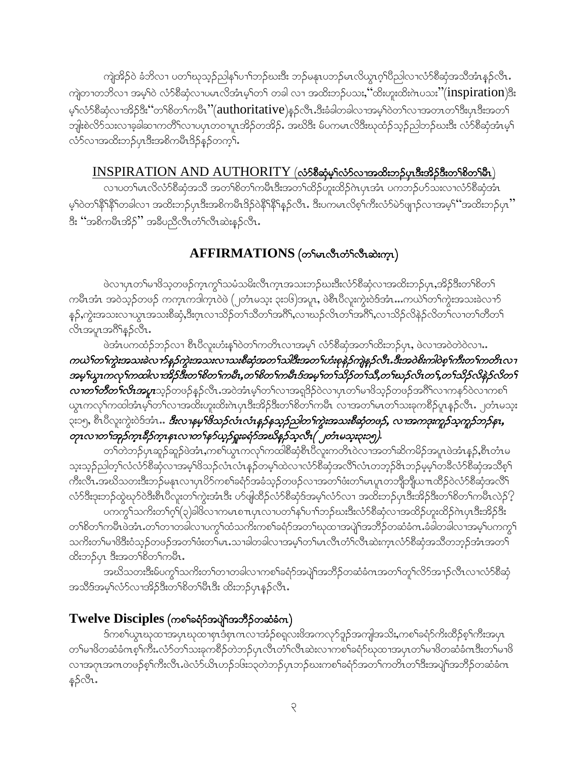ကျဲအိဉ်ဝဲ ခံဘိလ႑ပတၫ်ဃုသ့ဉ်ညါန႑်ပ႑ါဘဉ်ဃးဒီး ဘဉ်မနုၤပဘဉ်မၤလိယွၤဂ့ၢိပိညါလ႑လံာ်စိဆုံအသိအံၤန္ဉာလီၤ. ကျဲတၫတဘိလ႑ အမ့်ၢါဝဲ လံာ်စီဆုံလ႑ပမၤလိအံၤမ့္ပ်ာတြဲ၊ တခါ လ႑ အထိးဘဉ်ပသးႏုိထိးဟူးထိးဂဲၤပသး $"({\rm inspiration})$ ဒိုး မ့်)လံာ်စီဆုံလၢအိဉ်ဒိး ်ဴတၫ်စိတ႑်ကမီး "(authoritative)နဉ်လီး.ဒီးခံခါတခါလၢအမ့္ပါဝဲတ႑်လၢအတၤတ႑်ဒီးပုၤဒီးအတ႑် ဘူါးစဲလိ>်သးလၢခ့ခါဆၢကတိိၤ်လၢပပုၤတဝၢပူၤအိဉ်တအိဉ်. အဃိဒိး မ်ပကမၤလိဒိးဃုထံဉ်သူဉ်ညါဘဉ်ဃးဒိး လံာ်စီဆုံအံၤမ့ၤ် လံာ်လၢအထိးဘဉ်ပုၤဒီးအစိကမီၤဒိဉ်နဉ်တက့်၊.

#### $INSPIRATION AND AUTHORITY (*os58*ဆံုမွ်က်ာ်လျှအထိးဘဉ်ပုံကြီးအိုဉ်ဒီးတက်စိတ်မြီး)$

လၢပတၫ်မၤလိလံာ်စိဆုံအသိ အတၫ်စိတ႑်ကမိၤဒီးအတ႑်ထိဉ်ဟူးထိဉ်ဂဲၤပှၤအံၤ ပကဘဉ်ပာ်သးလၢလံာ်စိဆုံအံၤ မ့်ၫဝဲတၫ်နိ<sup>ုင္မွ</sup>ိတခါလၢ အထိႏဘဉ်ပုၤဒီးအစိကမီၤဒိဉ်ဝဲနိ<sup>ုင္မွ</sup>ိရန္နာလီၤ. ဒီးပကမၤလိစ့ၫ်ကီးလံာ်မဲာ်ဖျာဉ်လၢအမ့<sup>၎</sup> 'အထိႏဘဉ်ပု၊ ' ဒီး ''အစိကမီၤအိဉ်'' အခ်ီပညီလီၤတံၤ်လီၤဆဲးနဉ်လီၤ.

# AFFIRMATIONS (တ<br />unchara (တိုးဆုံးကူး)

ဖဲလၢပုၤတၫ်မၢဖိသ့တဖဉ်က္ၤကွၫ်သမံသမိးလီၤက္ၤအသးဘဉ်ဃးဒီးလံာ်စီဆုံလၢအထိးဘဉ်ပုၤ,အိဉ်ဒီးတၫ်စိတ႑် ကမီးအံၤ အဝဲသ့ဉ်တဖဉ် ကက္ၤကဒါက္ၤဝဲဖဲ (၂တံၤမသ္း ၃း၁၆)အပူး, ဖဲစီၤ၀ိလူးကွဲးဝဲဒ်အံၤ…ကယဲၤ်တၤ်ကွဲးအသးခဲလၫာ် န5့်,ကွဲးအသးလၢယ္ပၤအသးစိဆုံ,ဒီးဂ္ၤလၢသိဉ်တၫ်သိတၫ်အဂိ်ၫ်,လၢဃဉ်လိၤတၫ်အဂိ်ၫ်,လၢသိဉ်လိနဲဉ်လိတၫ်လၢတၫ်တိတ႑် လိၤအပူၤအဂ်ိဳ\နဉ်လီၤ.

ဖဲအံၤပကထံဉ်ဘဉ်လၢ စီၤ၀ီလူးဟံးန5်ဂဲတ်ကတိၤလၢအမ့ဉ် လံာ်စီဆုံအတဉ်ထိးဘဉ်ပုၤ, ဖဲလၢအဝဲတဲဝဲလၢ… ကယဲ<sup>န</sup>တ<sup>န</sup>ကွဲးအသးခဲလ*ာ်နဉ်ကွဲးအသးလၤသးစီဆုံအတ*်းသါဒီးအတ<sup>ှ</sup>ဟံးစုနဲ*ဉ်ကျဲနဉ်လီး.ဒီးအဝဲစိးကါဝဲစ့<sup>န</sup>ကီးတ<sup>န့</sup>ကတိၤလၤ* အမူ ယွားကလု ကထါလ ၊အိဉ်ဒီးတ ်စိတ ်ကမီး,တ ်စိတ ်ကမီးဒ်အမူ ်တ ်သိုက် သိန္တတ ်းသိုက် က ်သိုက် သို့ သို့ သို့ သို့ တာတ**်ာတိတ်လိုက္ခာပူး**သူဉ်တဖဉ်နဉ်လီၤႉအဝဲအံၤမ့္်ာက်လၢအရှုဒိဉ်ဝဲလၤပုၤတ<sup>၎</sup>မၢဖိသူဉ်တဖဉ်အဂိ်ါလၤကနဉ်ဝဲလၤကစ<sup>ြ</sup> ယ္ဇၤကလုိကထါအံၤမ့်ါတၫိလၢအထိးဟူးထိးဂဲၤပုၤဒီးအိဉ်ဒီးတၫိစိတၫ်ကမီၤ လၢအတၫ်မၤတၫ်သးခုကစိဉ်ပူၤန္ဉာလီၤ. ၂တံၤမသူး ၃း၁၅, စီၤပီလူးကွဲးဝဲဒ်အံၤ*ႉ ဒီးလၫနမ္<sup>၄</sup>ဖိသဉ်လံၤလံၤန္ဉ်နသူ<mark>ဉ်ညါတ'်ကွဲးအသးစီဆုံတဖဉ်, လၢအကဒုးကူဉ်သူကူဉ်ဘဉ်န</mark>္,* တုၤလၢတၫ်အှဉ်က္ $\imath$ နီဉ်က္ $\imath$ နၤလၢတ႑်နှာ်ယှဉ်ရှူးခရံဉ်အဃိနဉ်သူလီၤ( ၂တံၤမသူး၃း၁၅).

တၫ်တဲဘဉ်ပုၤဆူဉ်ဆူဉ်ဖဲအံၤႇကစၫ်ယွၤကလုၤ်ကထါစီဆုံစီၤပီလူးကတိၤဝဲလၢအတ႑်ဆိကမိဉ်အပူၤဖဲအံၤန္ဉ်ႇစီၤတံၤမ သူးသူဉ်ညါတ့််လံလံာ်စိဆုံလၢအမှု်ဖိသဉ်လံၤလံၤန္ဉာ်တမှု်ထဲလၢလံာ်စိဆုံအလိ်ိၤလံၤတဘ္ဥ်၆ၤဘဉ်မမှု်တခ်ိလံာ်စိဆုံအသိစ္နှ ကိီးလီၤႉအဃိသတးဒီးဘဉ်မနၤလၢပုၤပိ႒်ကစၢ်ခရံှာ်အခံသူဉ်တဖဉ်လၢအတၤ်ဖံးတၤ်မၤပူၤတဘျိဘျိယ πထိဉ်ဝဲလံာ်စိဆုံအလိၤ် လံာ်ဒီးဒုးဘဉ်ထွဲဃုာ်ဝဲဒီးစီၤပီလူးတၫ်ကွဲးအံၤဒီး ဟ်ဖျ်ထိဉ်လံာ်စီဆုံဒ်အမှၤ်လံာ်လၢ အထိးဘဉ်ပုၤဒီးအိဉ်ဒီးတၫ်စိတ႑်ကမီၤလဲဉ် $\Omega$ 

ပကကွ<code>်းသကိႏ</code>တ႑်ဂ္ှ $\mathfrak{f}(\mathfrak{z})$ ခါဖိလ႑ကမၤစ႑ာပုၤလ႑ပတ႑်နှၤ်ပ႑ာဘည်ဃးဒီးလံာ်စီဆုံလ႑အထိဉ်ဟူးထိဉ်ဂဲၤပုၤဒီးအိဉ်ဒီး တၫ်စိတၫ်ကမီၤဖဲအံၤ.တၫ်တၫတခါလ႑ပကၠၫ်ထံသကိႏကစၫ်ခရံှာ်အတ႑်ဃုထ႑အပျဲ႞အဘိဉ်တဆံခံကႉခံခါတခါလ႑အမှုၤ်ပကက္ဂ႑် သကိႏတၫ်မၢဖိဒြီးဝံသုဉ်တဖဉ်အတၫ်ဖံးတၫ်မၤႉသၢခါတခါလၢအမှၫ်တၫ်မၤလိၤတံၤလိၤဆဲးက္ၤလံာ်စီဆုံအသိတဘ္ဉာ်အံၤအတ႑် ထိးဘဉ်ပုၤ ဒီးအတ<sup>၎</sup>စိတౕကမဵၤႇ

အဃိသတးဒီးမ်ပကွ<sup></sup>ါသကိးတ<sup>ရ</sup>တၢတခါလၢကစ<sup>ရ</sup>ခရံာ်အပျဲ<sup>ရ</sup>အဘိဉ်တဆံခံဂၤအတ<sup>ရ</sup>တူရလိာ်အၫဉ်လီၤလၢလံာ်စီဆုံ အသိဒ်အမှ့်လံာ်လာအိဉ်ဒီးတရစိတ်မြီးဒီး ထိးဘဉ်ပုၤန္ဉာလီၤ.

### $T$ welve Disciples (ကစါ်ခရံာ်အပျိုအဘိ $\beta$ တဆံခံက $)$

ဒ်ကစ<sup>ှ</sup>ယွာယုထာအပုာဃုထာစုၤဒံစုၤကလာအံဉ်စရှလးဖိအကလှာ်ဒူဉ်အကျါအသိႏႇကစၢိခရံာ်ကိုးထိဉ်စ့ၢ်ကိုးအပုၤ တၫ်မၢဖိတဆံခံကစ္ၫ်ကိႈးလံာ်တၫ်သးခုကစိဉ်တဲဘဉ်ပုၤလီၤတံၫလီၤဆဲးလ႑ကစၫ်ခရံာ်ဃုထ႑အပုၤတ႑်မ႑ဖိတဆံခံဂၤဒီးတ႑်မ႑ဖိ လၢအဂုၤအဂၤတဖဉ်စ့ၢ်ကီးလီၤႉဖဲလံဉ်ယိၤဟဉ်၁၆း၁၃တဲဘဉ်ပုၤဘဉ်ဃးကစၢ်ခရံှာ်အတၢ်ကတိၤတၢ်ဒီးအပျဲျ်အဘိဉ်တဆံခံဂၤ န္ဉာလီၤ.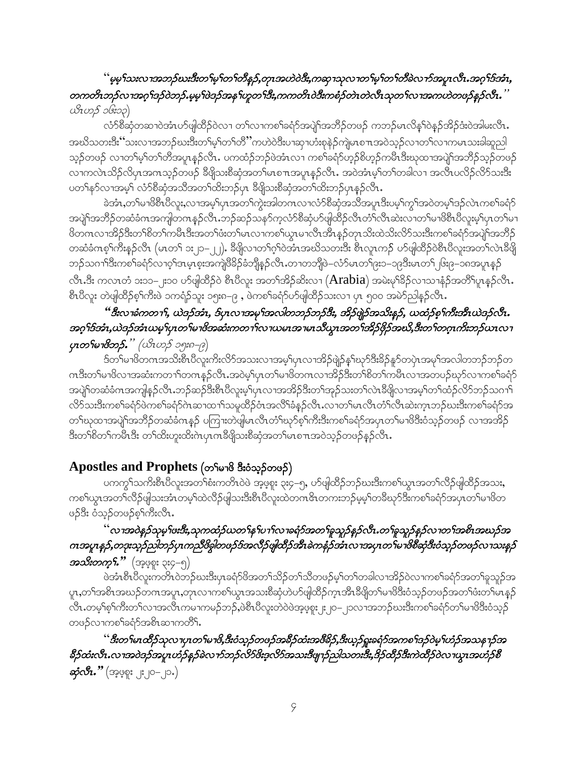### '' မ့မ္ ်သးလၢအဘဉ်ဃးဒီးတ ်မ့ ်တ ်တီနဉ်,တုၤအဟဲဝဲဒီး,ကဆုၫသုလၢတ ်မ့ ်တ ်တိခဲလ႑ာ်အပူၤလီၤ အဂ္ဂ ်ဒ်အံၤ, တကတိၤဘဉ်လၢအဂ္ဂၢိဒဉ်ဝဲဘဉ်.မ့မ့်၊ဖဲဒဉ်အန႑်ဟူတ႑်ဒီး,ကကတိၤဝဲဒီးကစံဉ်တဲၤတဲလီၤသုတ႑်လၢအကဟဲတဖဉ်နဉ်လီး. `  $\alpha$ းတည် ၁၆း၁၃)

လံာ်စိဆုံတဆၢဝဲအံၤဟ်ဖျါထိဉ်ဝဲလၢ တ႑်လၢကစ႑်ခရံာ်အပျဲ႑်အဘိဉ်တဖဉ် ကဘဉ်မၤလိန္1်ဝဲန္ဉာအိဉ်ဒံးဝဲအါမးလိၤ. အဃိသတးဒီး်သးလၢအဘဉ်ဃးဒီးတၫ်မှ႞တ႑်တိႛကဟဲဝဲဒီးပၢဆုၢဟံးစုနဲဉ်ကျဲမၤစπအဝဲသ္ဉ်လၢတ႑်လၢကမၤသးခါဆူညါ သူဉ်တဖဉ် လၢတၫ်မ့ၢ်တၫ်တိအပူၤန္ဉာလီၤႉ ပကထံဉ်ဘဉ်ဖဲအံၤလၤ ကစၫ်ခရံဉ်ဟ့ဉ်စိဟ့ဉ်ကမိၤဒီးဃုထၢအပျဲၫ်အဘိဉ်သုဉ်တဖဉ် လၫကလဲၤသိဉ်လိပုၤအကသ့ဉ်တဖဉ် ခ်ီဖျိသးစိဆုံအတၫ်မၤစ႑ာအပူၤန္ဉာ်လိၤႉ အဝဲအံၤမ့်ၫ်တာခါလ႑ အလီၤပလိဉ်လိဉ်သးဒီး ပတ1်နဉ်လၢအမှ1် လံဉ်စီဆုံအသိအတ1်ထိးဘဉ်ပှၤ ခီဖျိသးစီဆုံအတ1်ထိးဘဉ်ပှၤနဉ်လိၤ

ခဲအံၤႇတၫ်မၫဖိစီၤပီလူးႇလၫအမ့ၢိပှၤအတ႑်ကွဲးအါတဂၤလ႑လံာ်စီဆုံအသိအပူၤဒီးပမ့ၢ်ကွ႑်အဝဲတမ့ၢ်ဒဉ်လဲၤကစၫ်ခရံာ် အပျဲ<sup>ရ</sup>အဘိဉ်တဆံခံဂၤအကျါတဂၤနှဉ်လီၤ.ဘဉ်ဆဉ်သနာ်က့လံာ်စိဆုံပာ်ဖျဲထိဉ်လီၤတံ<sup>၎</sup>လီၤဆဲးလ<sup>ု</sup>တ်မြာဖိစီၤ၀ိလူးမ့<sup>၎</sup>ပုၤတ<sup>၎</sup>မ႑ ဖိတဂၤလၢအိဉ်ဒီးတၫ်စိတ႑်ကမီၤဒီးအတ႑်ဖံးတ႑်မၤလၢကစ႑်ယွၤမၢလီၤအီၤန္ဉာိတုၤသိးထဲသိးလိ်ာသးဒီးကစ႑်ခရံာ်အပျဲ႑်အဘိဉ် ာဆံခံကစ္1်ကီးနဉ်လီၤ (မၤတ႑် ၁း၂၁-၂၂). ခ်ီဖျိလၢတ႑်ဂ့ၫ်ဝဲအီၤအဃိသတးဒီး စီၤလူၤကဉ် ဟ်ဖျံထိဉ်ဝဲစီၤပီလူးအတ႑်လဲၤခ်ီဖျိ ဘဉ်သဂၢၢိဒီးကစၫ်ခရံဉ်လၢဝ့ၫ်ဒၤမ့ၤစူးအကျဲ<sup>88</sup>ဉ်ခံဘျိန္ဉ်လီၤ.တၢတဘျိဖဲ−လံာ်မၤတၢ်ဨး၁−၁၉ဒိးမၤတ႑် ၆း၉−၁၈အပူၤန္ဉဉ် လီး.ဒီး ကလာတံ ၁း၁၁–၂း၁၀ ပ9်ပျံထိဉ်ဝဲ စီၤပီလူး အတ႑်အိဉ်ဆိုးလၫ (Arabia) အမဲးမှ<sup>ရ်</sup>ခိုဉ်လၫသ႑နဉ်အတိ<sup>ရ</sup>ပူးနှဉ်လီး. စီးပိလူး တဲဖျဲထိဉ်စ့်ကားဖဲ ၁ကရံဉ်သူး ၁၅း၈–၉ , ဖဲကစါခရံဉ်ဟ်ဖျဲထိဉ်သးလ ၊ ပု၊ ၅၀၀ အမဲဉ်ညါနဉ်လိုး

### " ဒီးလၫခံကတ႑), ယဲဒဉ်အံၤ, ဒ်ပှၤလၢအမု႞အလါတဘဉ်ဘဉ်ဒီး, အိဉ်ဖျဲ့ဉ်အသိးနဉ်, ယထံဉ်စ္႑်ကီးအီၤယဲဒဉ်လီၤ. အဂ္ဒ္မาဒ်အား,ယဲဒဉ်အားယမ္စ္မျဟုတ္ျမ 18အဆုံးကတ႑္ပါလ႑ယမၤအ႑မၤသိယ္လၤအတ္ပြဲအိဉ်ဖိုဉ်အဃိ,ဒီးတ႑်တဂူၤကိုးဘဉ်ယၤလ႑ ပုၤတ႑်မၢဗိဘဉ်." (ယိၤဟဉ် ၁၅း၈–၉)

.<br>ဒ်တၫ်မၢဖိတဂၤအသိးစီၤ၀ီလူးကိုးလိာ်အသးလၢအမ့ါ်ပှၤလၢအိဉ်ဖျဲဉ်နှၤ်ဃုာ်ဒီးခိဉ်နူာ်တပှဲၤအမုၢ်အလါတဘဉ်ဘဉ်တ ဂၤဒီးတၫမၢၖိလၢအဆံးကတၫၢိတဂၤနှဉ်လီၤ.အဝဲမ့ၢိပှၤတၫမၢၖိတဂၤလၢဒၗိဉ်ဒီးတၫ်စိတၢ်ကမီၤလၢအတပဉ်ဃုာ်လၢကစၢ်ခရံှာ အပျိၤ်တဆံခံဂၤအကျါနဉ်လီၤ.ဘဉ်ဆဉ်ဒီးစီၤပီလူးမ့္ပ်ြပ္ၤလၢအအိဉ်ဒီးတ႑်အုဉ်သးတ႑်လဲၤဒီဖျိလၢအမ့္ပ်တ႑်ထံဉ်လိ်ာဘဉ်သဂၤြ လိ>်သးဒီးကစၢ်ခရံာ်ဖဲကစၢ်ခရံာ်ဂဲၤဆၤထၤာ်သမူထိဉ်ဝံၤအလိၢ်ခံနဉ်လီၤႉလၤတၢ်မၤလီၤတံၢလီၤဆဲးက္ၤဘဉ်ဃးဒီးကစၢ်ခရံာ်အ တၫိဃုထၢအပျဲၫ်အဘိဉ်တဆံခံဂၤနှဉ် ပကြၢးတဲဖျိမၤလိၤတံၢိဃှာ်စ့်ၫ်ကီးဒီးကစၫ်ခရံဉ်အပှၤတၫ်မၢဖိဒီးဝံသှဉ်တဖဉ် လၢအအိဉ် ဒီးတၫ်စိတၫ်ကမီၤဒီး တၫ်ထိးဟူးထိးဂဲၤပှၤက<sup>8</sup>ဖိုသးစိဆုံအတၫ်မၤစ႑ာအဝဲသုဉ်တဖဉ်နဉ်လီၤ.

# $\Delta$ postles and Prophets (တ<br/>ာမေဒါ် ဒီးဝံသွဉ်တဖဉ်)

ပကကွ¶သကိႏၶိၤပိလူးအတၫ်စံးကတိၤဝဲဖဲ အ့ဖ့စူး ၃း၄–၅, ဟ်ဖျါထိဉ်ဘဉ်ဃးဒီးကစၫ်ယွၤအတ႑်လိဉ်ဖျါထိဉ်အသး, ၮၜၫၑၯၟၬအတၫၲလိဉ်ဖျါသးအံၤတမ့ၫၳထဲလိဉ်ဖျါသးဒီးစီၤပိလူးထဲတက်ေးတက်းဘဉ်မ့မ့ၫ်တခ်ိဳဃုာ်ဒီးကစၫ်ခရံာအပှၤတၫ်မၢဖိတ ဖဉ်ဒီး ဝံသုဉ်တဖဉ်စ့<်ကီးလီၤ.

# .<br>`လၢအဝဲနဉ်သုမ္<sup>ငှ</sup>ဖးဒီး,သုကထံဉ်ယတ႑်န႑်ပ႑ာ်လၢခရံဉ်အတ႑်ခူသူဉ်နဉ်လီး တ႑်ခူသူဉ်နဉ်လၢတ႑်အစိၤအဃဉ်အ ဂၤအပူၤန္5,တဒုးသုဉ်ညါဘဉ်ပုၤကညီဖိချွဲတဖဉ်ဒ်အလီဉ်ဖျံထိဉ်အီၤခဲကနံဉ်အီၤလၫအပှၤတ<sup>၎ိ</sup>မ<sup>ျိ</sup>ဖိစိဆံ့ဒီးဝံသုဉ်တဖဉ်လ႑သးနှဉ် **အဘူးလယ္နယ္ (**အဲဂံစစ္မ်ိဳး *၁*:၁-*၁*)

ဖဲအံၤစီၤပီလူးကတ်ၤ၀ဲဘဉ်ဃးဒီးပုၤခရံဉ်ဖိအတ႑်သိဉ်တ႑်သိတဖဉ်မ့ှါတ႑်တခါလၤအိဉ်၀ဲလၤကစ႑်ခရံှာ်အတ႑်ခူသူဉ်အ ပူၤႇတၫ်အစိၤအဃဉ်တဂၤအပူၤႇတုၤလၢကစၫ်ယွၤအသးစိဆုံဟဲပာ်ဖျါထိဉ်က္ၤအိၤဒီဖျိတၫ်မၢဖိဒြီးဝံသ့ဉ်တဖဉ်အတၫ်ဖံးတၫ်မၤနှဉ် လီၤ.တမ့<sup>၎</sup>စ့်ၫကိီးတၫ်လၢအလီၤကမၢကမဉ်ဘဉ်,ဖဲစီၤပီလူးတဲဝဲဖဲအ့ဖ့စူး၂း၂၀–၂၁လၢအဘဉ်ဃးဒီးကစၢ်ခရံာ်တၫ်မၢဖိဒီးဝံသ့ဉ် တဖဉ်လၢကစၢ်ခရံှာ်အစိၤဆၢကတိိၢ.

'' ဒီးတ<sup>ှ</sup>မၤထိိဉ်သုလ႑ပုၤတ႑်မ႑ဖိ,ဒီးဝံသူဉ်တဖဉ်အခဵဉ်ထံးအဖိခိဉ်,ဒီးယူဉ်ရူးခရံဉ်အကစ႑်ဒဉ်ဝဲမှြဟံဉ်အသန႑ာ့်အ 8ိဉ်ထံးလီၤ.လၫအဝဲဒဉ်အပူၤဟႆဉ်နှဉ်ခဲလ႑ာ်ဘဉ်လိ5&ႏာ့လိ5အသးဒီဖျ႑ာ်ညါသတးဒီး,9ိဉ်ထိဉ်ဒီးကဲထိဉ်ဝဲလ႑ယ္ပၤအဟံဉ်စီ **ဆုံလီး.''** (အဲ့ဖဲ့စုံး ၂း၂၀–၂၁.)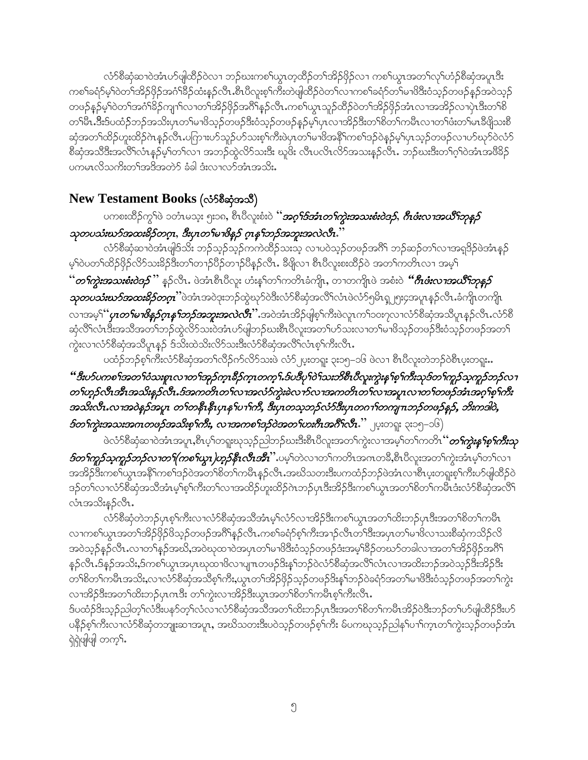လံာ်စီဆုံဆၢ၀ဲအံၤပာ်ဖျါထိဉ်၀ဲလ႑ဘဉ်ဃးကစါယွၤတ့ထိဉ်တၫ်အိဉ်ဖှိဉ်လ႑ကစၢ်ယွၤအတ႑်လုၤ်ဟံဉ်စီဆုံအပူၤဒီး ကစါ်ခရံာ်မ့ါ်ဝဲတါအိဉ်ဖိုဉ်အငံ္ဂါခ်ီဉ်ထံးနဉ်လီၤ.စီၤပီလူးစ့ါ်ကီးတဲဖျါထိဉ်ဝဲတါလၤကစါ်ခရံာ်တါမၢဖိဒီးဝံသ့ဉ်တဖဉ်နဉ်အဝဲသွဉ် တဖဉ်နဉ်မ့<sup>ရ</sup>ဝဲတ<sup>ရ</sup>အငံ<sup>ရ</sup>ခိဉ်ကျπ်လၢတ<sup>ရ</sup>အိဉ်ဖိုဉ်အဂိ<sup>ု</sup>နဉ်လီၤ.ကစါယွၤသူဉ်ထိဉ်ဝဲတ<sup>ရအိ</sup>ဉ်ဖိုဉ်အံၤလၢအအိဉ်လၢပုံၤဒီးတ<sup>ရ</sup>စိ တၫိမိၤ.ဒီးဒ်ပထံဉ်ဘဉ်အသိးပုၤတၫ်မၢဖိသ့ဉ်တဖဉ်ဒိးဝံသ့ဉ်တဖဉ်နှဉ်မ့ၢ်ပုၤလၢအိဉ်ဒိးတၫ်စိတၫ်ကမိၤလၢတၫ်ဖံးတ႑်မၤဒီဖျိသးစိ ဆှံအတၫ်ထိဉ်ဟူးထိဉ်ဂဲၤန္ဉာလီၤ.ပဂြာၫးဟာ်သူဉ်ဟ်သးစ့ၢ်ကိဳးဖဲပှၤတၫ်မၫဖိအနိ<sup>႖</sup>ကစၫ်ဒဉ်ဝဲနဉ်မှၤ်ပှၤသ့ဉ်တဖဉ်လ႑ပာ်ဃုာဝဲလံာ် စိဆုံအသိဒီးအလိ်၊လံၤန္ဉာမ့်၊တ႑်လ႑ အဘဉ်တွဲလိာ်သးဒီး ဃူဖိး လီၤပလိၤလိာ်အသးနဉ်လီၤ. ဘဉ်ဃးဒီးတ႑်ဂ့ၤ်ဝဲအံၤအဖိခိဉ် ပကမၤလိသက်ိးတၫ်အဒိအတဲဉ် ခံခါ ဒုံးလၢလာ်အံၤအသိႏ

### New Testament Books (လံ58ဆုံအသီ)

ပကစးထိဉ်ကွ<sup>င်ျ</sup>၀ဲ ၁တံၤမသူး ၅း၁၈, စီၤပီလူးစံးဝဲ ''**အ***ဂ္ဒ<sup>င္မ</sup>်အာကကွဲးအသးစံးဝဲဒဉ်, ဂ်ီၤဖံးလၫအယိ<sup>6</sup>ာာ့န<i>ဉ်* သုတပသံးဃာ်အထးခိဉ်တဂူး, ဒီးပုၤတ႑်မၢဗိန္နဉ် ဂူးန႑်ဘဉ်အဘူးအလဲလီး.ႆ

လံာ်စီဆုံဆၢဝဲအံၤဖျိဒ်သိး ဘဉ်သ့ဉ်သ့ဉ်ကကဲထိဉ်သးသ့ လၢပဝဲသ့ဉ်တဖဉ်အဂိ်၊ ဘဉ်ဆဉ်တ႑်လၢအရဒိဉ်ဖဲအံၤန္ဉဉ် မ့်)ဝဲပတၤ်ထိဉ်ဖိုဉ်လိ်ာသးခိဉ်ဒီးတၤ်တ႑ာ်ပိဉ်တ႑ာ်ပိန္ဉာ်လီၤႉ ခ်ီဖိုလ႑ စီၤပီလူးစးထိဉ်ဝဲ အတၤ်ကတိၤလ႑ အမ့ၤ် *''တ¶ကွဲးအသးစံးဝဲဒ5*'' နဉ်လီၤ. ဖဲအံၤစီၤပီလူး ဟံးန5်တ5်ကတိၤခံကိုုၤ, တၢတကိုု၊ဖဲ အစံးဝဲ *''ဂ်ီၤဖီးလၢအယိ<sup>ရ</sup>ဘုန္*ဉ် *သုတပသီးဃာ်အထးနိဉ်တဂူ*း ဖဲအံၤအဝဲဒုးဘဉ်ထွဲဃုာ်ဝဲဒီးလံာ်စီဆုံအလိၤ်လံၤဖဲလံာ်၅မိၤၡ၂၅း၄အပူၤန္ဉာလီၤ.ခံကိုု၊ တကိုု၊ လၢအမ္ါ်*ပ္၊တ<sup>ရု</sup>းစိနဉ့်ဂ္စန<sup>ရ</sup>ာဉ်အဘူးအလဲလီး*'' အဝဲအံၤအိဉ်ဖျစ့်၊ကီးဖဲလူၤကၢ်၁၀း၇လၢလံာ်စိဆုံအသိပူၤန္ဉာ်လီၤ.လံာ်စိ ဆုံလိ<sup>ု</sup>လံၤဒီးအသိအတ<sup>1</sup>ာဉ်ထွဲလိာ်သးဝဲအံၤပာ်ဖျံဘဉ်ဃးစီၤပီလူးအတ႑်ပာ်သးလၢတ႑်မၢဖိသ့ဉ်တဖဉ်ဒီးဝံသ့ဉ်တဖဉ်အတ႑် ကွဲးလၢလံာ်စိဆုံအသိပူၤန္ဉာ် ဒ်သီးထဲသိးလိာ်သးဒီးလံာ်စိဆုံအလိ<sup>ု</sup>လံၤစ့<sup>၎</sup>ကီးလီၤ.

ပထံဉ်ဘဉ်စ့<sup>၎</sup>ကီးလံာ်စီဆုံအတ<sup>၎</sup>လီဉ်က်လိာ်သးဖဲ လံာ်၂ပူးတရူး ၃း၁၅–၁၆ ဖဲလၢ စီၤ၀ီလူးတဲဘဉ်ဝဲစီၤပူးတရူး**…** 

### "ဒီးပာ်ပကစၫ်အတၫ်ဝံသးစူၤလၢတၫ်အုဉ်က္ၤခ်ိဉ်က္ၤတက္႑်ားဒ်ပဒိပုၫ်ဝဲ႑်သးဘိစီၤပိလူးကွဲးနှၤစ့ၫ်ကီးသုဒ်တ႑်ကူဉ်သူကူဉ်ဘဉ်လ႑ တ<sup>ရ</sup>ဟ္မာ့်လီးအီးအသိးနဉ်လီး.ဒ်အကတိၤတ<sup>ရ</sup>လၤအလံဉ်ကွဲးခဲလ<sup>ု</sup>ာ်လၤအကတိၤတ<sup>ြ</sup>လၤအပူၤလၤတ<sup>ရ</sup>တဖဉ်အံၤအဂ္ဂ<sup>ရစ်ေ့</sup>ဂ်ကီး အသိးလီး လၢအဝဲန္ ဉ်အပူး တ႑်တနိၤနီးပှၤန႑်ပ႑်ကိ, ဒီးပှၤတသ္ဓဘဉ်လံဉ်ဒီးပှၤတဂ႑်တကျၤာဉ်တဖဉ်နဉ်, ဘီးကဒါဝဲ, *ဒ်တ<sup>ရ</sup>ကွဲးအသးအကတဖဉ်အသိးစု<sup>ရ</sup>ကီး, လၫအကစ<sup>ရ</sup>အှဉ်ဝဲအတ<sup>ရ</sup>ဟးဂီၤအဂီ<sup>ရ</sup>လီၤ.'' <sub>၂</sub>ပူးတရူး ၃း၁၅–၁၆)*

ဖဲလံာ်စီဆုံဆၢဝဲအံၤအပူၤ,စီၤပ့<sup>၎</sup>တရူးဃုသ့ဉ်ညါဘဉ်ဃးဒီးစီၤပီလူးအတၫ်ကွဲးလၢအမ့<sup>၎</sup>တၫ်ကတိၤ ''်*တၢ်ကွဲးနှ<sup>ေရွာ</sup>ဂါာီးသု ៜတ<sup>၎</sup>ကူဉ်သူကူဉ်ဘဉ်လၫတ႑်(ကစ႑်ယွၤ၂)ဟုဉ်နီၤလီၤအီး''.ပမ့*်ါတဲလၢတ႑်ကတိၤအဂၤတခ်ိ,စီၤပီလူးအတ႑်ကွဲးအံၤမ့်၊တ႑်လၢ အအိဉ်ဒီးကစ<sup>ု</sup>ယ္ပၤအနီ<sup>ရ</sup>ကစၫ်ဒဉ်ဝဲအတ႑်စိတ႑်ကမီၤန္ဉာလီၤ.အဃိသတးဒီးပကထံဉ်ဘဉ်ဖဲအံၤလ<sup>ျာွ</sup>ပေးတရူးစ့<sup>၎</sup>ကီးပာ်ဖျထိဉ်ဝဲ ဒဉ်တ<sup>်</sup>လาလံာ်စိဆုံအသိအံၤမှ<sup>ု</sup>စ့<sup>၎</sup>ကီးတ<sup>ှ</sup>လာအထိဉ်ဟူးထိဉ်ဂဲၤဘဉ်ပှၤဒီးအိဉ်ဒီးကစ<ယွၤအတ<sup>ှ</sup>စိတ်ကမီၤဒံးလံာ်စိဆုံအလိြ လံၤအသိးနဉ်လီၤ.

လံာ်စိဆုံတဲဘဉ်ပုၤစ့ါ်ကိုးလၢလံာ်စိဆုံအသိအံၤမ့ါလံာ်လၢအိဉ်ဒီးကစါယွၤအတါထိးဘဉ်ပုၤဒိးအတါစိတါကမီၤ လၫကစၫ်ယွၤအတၫ်အိဉ်ဖိုဉ်ဖိသ့ဉ်တဖဉ်အဂိ်ၢိန္ဉာလိၤ.ကစၫ်ခရံာ်စ့ၫ်ကိီးအၫဉ်လိၤတၫ်ဒီးအပုၤတၫ်မၢဖိလ႑သးစိဆုံကသိဉ်လိ အဝဲသူဉ်နဉ်လီၤႉလၢတၫ်နှဉ်အဃိႇအဝဲဃုထၢဝဲအပုၤတ႑်မၢဖိဒြီးဝံသူဉ်တဖဉ်ဒံးအမှ1်ခိဉ်တဃာ်တခါလၢအတ႑်အိဉ်ဖိုဉ်အဂိၤ် နှဉ်လီၤ.ဒ်နဉ်အသိႏႇဒ်ကစါယွၤအပုၤဃုထၢဖိလၢပျ႑တဖဉ်ဒိးနှၤ်ဘဉ်ဝဲလံာ်စီဆုံအလိၤ်လံၤလၢအထိးဘဉ်အဝဲသ့ဉ်ဒီးအိဉ်ဒီး တၫ်စိတၫ်ကမီၤအသိႏႇလၢလံာ်စီဆုံအသိစ့ၫ်ကိႏႇယ္ပၤတၫ်အိဉ်ဖိုဉ်သ္ဉ်တဖဉ်ဒိးန္1ဘဉ်ဝဲခရံာ်အတၫ်မၢဖိဒိီးဝံသ့ဉ်တဖဉ်အတၫ်ကွဲး လၢအိဉ်ဒီးအတၫ်ထိးဘဉ်ပုၤဂၤဒိး တၫ်ကွဲးလၢအိဉ်ဒီးယွၤအတၫ်စိတ႑်ကမီၤစ့ၫ်ကီးလီၤ.

ဒ်ပထံဉ်ဒိးသူဉ်ညါတ့်လံဒီးပနဉ်တဲ့ လံလၤလံဉ်စိဆုံအသိအတ႑်ထိးဘဉ်ပုၤဒီးအတ႑်စိတ႑်ကမီၤအိဉ်ဝဲဒီးဘဉ်တ႑်ပာ်ဖျါထိဉ်ဒီးပာ် ပနိုဉ်စ့ါ်ကိီးလၢလံာ်စိဆုံတဘျုးဆၢအပူၤ, အဃိသတးဒီးပဝဲသ့ဉ်တဖဉ်စ့ါကိီး မ်ပကၰသ့ဉ်ညါနှါပၢါက္ၤတါကွဲးသ့ဉ်တဖဉ်အံၤ ရဲရဲဖျံဖျံ တက့်.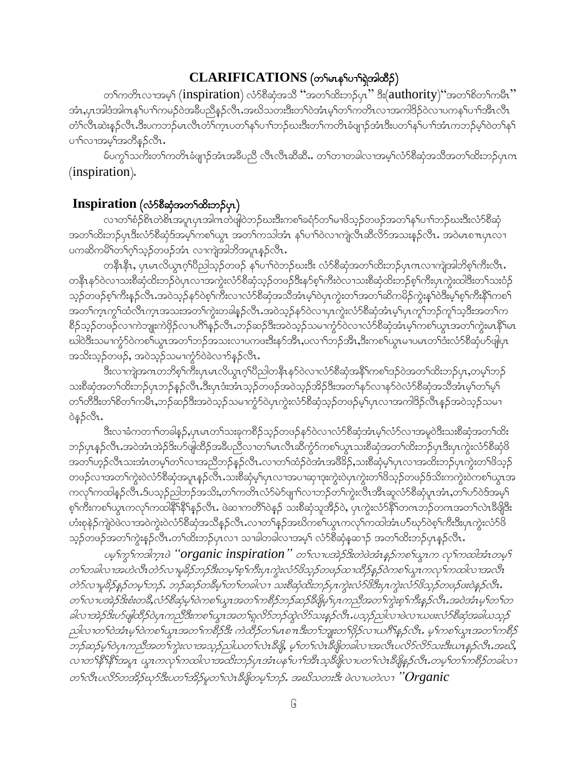### CLARIFICATIONS (တ<sup>ရ</sup>မာန5ပော်ရဲအါထိဉ်)

တၫိကတိၤလၢအမ့္ပ် (inspiration) လံာစိဆုံအသိ ''အတ႑်ထိးဘဉ်ပု၊'' ဒီး(authority)''အတ႑်စိတ႑်ကမီး'' အံၤႇပုၤအါဒံအါကနှ ်ပၫ်ကမဉ်ဝဲအခ်ဳပညိန္ဉာလိၤႉအဃိသတးဒိီးတ႑်ဝဲအံၤမ္ ်တ႑်ကတိၤလၢအကါဒိဉ်ဝဲလၢပကနှ ်ပၫ်အိၤလိၤ တံၫ်လီၤဆဲးနှဉ်လီၤ.ဒီးပကဘဉ်မၤလီၤတံၫ်က္ၤပတၫ်နှၤ်ပၫၤ်ဘဉ်ဃးဒီးတၤ်ကတိၤခံဖျာဉ်အံၤဒီးပတၤ်နှၤ်ပၫၤ်အံၤကဘဉ်မှၤ်ဝဲတၤ်နှၤ် ပၢၢိလၢအမ့ၢ်အတိနဉ်လိၤ.

မ်ပက္ဂၤ်သက်းတၤ်ကတိၤခံဖျာဉ်အံၤအခ်ီပညီ လီၤလီၤဆီဆီ… တၤ်တၢတခါလၢအမ့ၤ်လံာ်စိဆုံအသိအတၤ်ထိးဘဉ်ပုၤက  $(inspiration).$ 

### $\mathbf{Inspiration}$  (လံ $\delta$ စီဆုံအတ $\delta$ ထိးဘ $\delta$ ပုၤ)

လၢတၫ်စံဉ်စိၤတဲစိၤအပူၤပုၤအါဂၤတဲဖျါဝဲဘဉ်ဃးဒီးကစၫ်ခရံာ်တၫ်မၫဖိသ့ဉ်တဖဉ်အတ႑်နှၤ်ပၫၤ်ဘဉ်ဃးဒီးလံာ်စီဆုံ အတၫ်ထိးဘဉ်ပုၤဒီးလံာ်စီဆုံဒ်အမှ့၂်ကစ၂်ယွာ အတ႑်ကသါအံာ နှ1်ပ႑ါ၀ဲလ႑ကျဲလီၤဆီလိဉ်အသးနှဉ်လီၤ. အ၀ဲမာစ႑ာပုာလ႑ ပကဆိကမိ်ါတၫ်ဂ့ၢ်သွဉ်တဖဉ်အံၤလၢကျဲအါဘိအပူၤန္ဉာ်လီၤ.

တနိ1နိ1, ပုၤမၤလိယ္ပၤဂ့ါ၀ိညါသ့ဉ်တဖဉ် နှၤ်ပၢါ၀ဲဘဉ်ဃးဒိး လံာ်စိဆုံအတၤ်ထိးဘဉ်ပုၤဂၤလၢကျဲအါဘိစ္႑်ကိႈလိၤ. တနိ1နဉ်ဝဲလ1သးစိဆုံထိးဘဉ်ဝဲပုၤလ1အကွဲးလံဉ်စိဆုံသ့ဉ်တဖဉ်ဒိီးနှာ်စ့<sup>၎</sup>ကိဳးဝဲလ1သးစိဆုံထိးဘဉ်စ့<sup>၎</sup>ကိီးပုၤကွဲးထါဒီးတ<sup>၎</sup>သးဝံဉ် သ့ဉ်တဖဉ်စ့<sup>၎</sup>ကီးနှဉ်လီၤႉအဝဲသ့ဉ်နှာ်ဝဲစ့<sup>၎</sup>ကီးလၤလံာ်စိဆုံအသိအံၤမ့ၢ်ဝဲပုၤကွဲးတၫ်အတၫ်ဆိကမိဉ်ကွဲးနှၤ်ဝဲဒီးမ့ၢ်စ့ၫ်ကီးနိုၤ်ကစၤ် အတၫ်က္ၤက္ဂၤ်ထံလီၤက္ၤအသးအတ႑်က္ပဲးတခါန္ဥာလီၤ.အဝဲသ္ဥနာဴဝဲလၤပုၤက္ပဲးလံာ်စီဆုံအံၤမ္ ပုၤကူၫ်ဘဥ်ကူၫ်သူဒီးအတ႑်က စိဉ်သွဉ်တဖဉ်လၢကဲဘျုးကဲဖိုဉ်လၢပဂိၢိန္ဉာ်လီၤ.ဘဉ်ဆဉ်ဒီးအဝဲသ့ဉ်သမၢကွံာ်ဝဲလၢလံာ်စီဆုံအံၤမ့ါ်ကစါယွၤအတၤ်ကွဲးမၤနိႝၤမၤ ဃါဝဲဒီးသမၫက္ဂံာ်ဝဲကစၫ်ယွၤအတ႑်ဘဉ်အသးလ႑ပကဖးဒီးနာ်အိၤႇပလ႑ၢ်ဘဉ်အိၤႇဒိးကစ႑်ယွၤမ႑ပမၤတ႑်ဒီးလံာ်စိဆုံဟ်ဖျံပုၤ အသိးသုဉ်တဖဉ်, အဝဲသုဉ်သမၢကွံာ်ဝဲခဲလၢာ်နဉ်လီၤ.

ဒီးလၫကျဲအဂၤတဘိစ့ၫ်ကီးပုၤမၤလိယ္မၤဂ့ၫ်ပိညါတနိၱၤနာ်ဝဲလ႑လံာ်စိဆုံအနိၤ်ကစၫ်ဒဉ်ဝဲအတ႑်ထိးဘဉ်ပုၤ,တမ့ၫ်ဘဉ် သးစိဆုံအတၫ်ထိးဘဉ်ပုၤဘဉ်နှဉ်လီၤ.ဒီးပုၤဒံးအံၤသ္ဥ်ာတဖဉ်အဝဲသ့ဉ်အိဉ်ဒိီးအတ႑်နှာ်လၢနှာ်ဝဲလံာ်စီဆုံအသိအံၤမ္ ်ာက်မှ ် တၫ်တီဒီးတၫ်စိတ႑်ကမိၢႇဘဉ်ဆဉ်ဒီးအဝဲသ့ဉ်သမၢကွံာ်ဝဲပုၤကွဲးလံာ်စီဆုံသ့ဉ်တဖဉ်မ့ၤ်ပုၤလၢအကါဒိဉ်လီၤန္ဉာ်အဝဲသ့ဉ်သမၢ ဝဲနဉ်လီၤ.

ဒြီးလၢခံကတ႑ာ်တခါန္ ဉ်ႇပုၤမၤတ႑်သးခုကစိဉ်သူဉ်တဖဉ်နာ်ဝဲလၢလံာစိဆုံအံၤမ္နါလံာ်လၢအမူဝဲဒိီးသးစိဆုံအတ႑်ထိး ဘဉ်ပုၤန္ဉာ်လီၤ.အဝဲအံၤအဲဉ်ဒိးဟ်ဖျဲထိဉ်အခ်ဳပညီလၢတၫ်မၤလီၤဆီကွံာ်ကစၫ်ယွၤသးစိဆုံအတၫ်ထိးဘဉ်ပုၤဒိးပုၤကွဲးလံာ်စိဆုံဖိ အတၫ်ဟုဉ်လီၤသးအံၤတမ့ၢ်တၫလၢအညီဘဉ်နဉ်လီၤႉလၢတၫ်ထံဉ်ဝဲအံၤအဖိခိဉ်,သးစိဆုံမှၤ်ပုၤလၢအထိးဘဉ်ပုၤကွဲးတၫ်ဖိသူဉ် တဖဉ်လၢအတၫ်ကွဲးဝဲလံာ်စီဆုံအပူၤန္ဉာလိၤႉသးစီဆုံမ့္ပ်ပုၤလၢအပၢဆုၢဒုးကွဲးဝဲပုၤကွဲးတၫ်ဖိသ္ဉာ်တဖဉ်ဒ်သိးကကွဲးဝဲကစ႑်ယွၤအ ကလုိကထါနဉ်လီၤ.ဒ်ပသ္ဉဉ်ညါဘဉ်အသိး,တ ်ကတိၤလံာ်မဲာ်ဖျာ ်လၢဘဉ်တ ်ကွဲးလီၤအီၤဆူလံာ်စီဆုံပူ၊အံၤ,တ ်ပာ်ဝဲဒ်အမှ ် စ့်ကြီးကစါယွာကလု၊်ကထါနိ<sup>ု</sup>နိ<sup>ု</sup>နှဉ်လီာ. ဖဲဆၢကတိ်၊ဝဲနှဉ် သးစိဆုံသူအိဉ်ဝဲ, ပုာကွဲးလံာ်နိ<sup>ု</sup>တကဘဉ်တကအတ<sup>ှ</sup>လဲာခ်ီဖိုဒြီး ဟံးစုနဲဉ်ကျဲဝဲဖဲလၢအဝဲကွဲးဝဲလံာ်စီဆုံအသိန္ဉာ်လီၤ.လၢတ႑်နှဉ်အဃိကစ႑်ယွၤကလှၤ်ကထါအံၤဟာ်ဃှာ်ဝဲစ့ၤ်ကီးဒီးပုၤကွဲးလံာ်ဖိ သ့ဉ်တဖဉ်အတ<sup>၎</sup>ကွဲးနဉ်လီၤႉတ<sup>၎</sup>ထိးဘဉ်ပုၤလၢ သၢခါတခါလၢအမ့<sup>၎</sup> လံာ်စီဆုံနသ႑ာ် အတ<sup>၎</sup>ထိးဘဉ်ပုၤန္ဉာလီၤႉ

ပမ္ဒါက္ဒါကဒါက္စ္မွၤဖဲ "organic inspiration" တ႑်လၤပအဲ့ဉ်ဒီးတဲဖဲအံၤန္နဉ်ကစ႑်ယ္လ္စၤက လုၤ်ကထါအံၤတမ္န တ႑်တခါလ ၊အဟဲလီၤတဲဉ်လ႑မှုခိဉ်ဘဉ်ဒီးတမ္ ၊်စ့ ၊်ကီးပုၤကွဲးလံဉ်ဗိသ္ဥတဗဉ်ထ႑ထိဉ်နှဉ်ဝဲကစ႑်ယွၤကလု ၊်ကထါလ ၊အလီၤ တဲ9်လ မူခိဉ်နှဉ်တမ့္ပ်ဘဉ်. ဘဉ်ဆဉ်တခ်ိမ့္ပ်တ္ပ်တခါလ ၊ သးစိဆုံထိးဘဉ်ပုကွဲးလံ9်ဗိဒီးပုကွဲးလံ9်ဗိသုဉ်တဖဉ်ဖးဝဲနှဉ်လီး. တ႑်လ႑ပအဲဉ်ဒိးစံးတခ်ိႇလံဉ်စီဆုံမှ Toဲကစ႑်ယွၤအတ႑်ကစိဉ်ဘဉ်ဆဉ်ခ်ဳပျိမှ Tပုၤကညီအတ႑်ကွဲးစ့႑်ကိုးနှဉ်လိၤနာဝဲအံၤမ္ Tတ႑တ ခါလ ၊အဲဉ်ဒိးပာ်ဖျံထိဉ်ဝဲပုၤကညီဒိုးကစ ၊်ယွၤအတ႑်ရှလိာ်ဘဉ်ထွဲလိာ်သးနှဉ်လီၤ.ပသုဉ်ညါလ ၊ဖဲလ ၊ယဖးလံာ်စိဆုံအခါယသုဉ် ည္ပါလ 1တ 1ဝဲအံၤမ္ 1ဝဲကစ 1ယ္မွၤအတ 1ကစီဉ်ဒီး ကဲထိဉ်တ 1မၤစ πဒီးတ 1ဘူူးတ 1ဗိုဉ်လ 1ယဂ်ီ1န္နဉ်လီၤ. မ့ 1ကစ 1ယ္မွၤအတ 1ကစီဉ် ဘဉ်ဆဉ်မှ1်ဝဲပုၤကညီအတ1်ကွဲးလၤအသုဉ်ညှယတ1်လဲၤဒီဖို့, မ့1်တ1်လဲၤဒီဖိုတခါလၤအလီၤပလိဉ်လိဉ်သးဒီးယၤနှဉ်လီၤ.အဃိ, လၢတၫ်နိ႑ိနိ႑အပူး ယွၤကလု႑်ကထါလၢအထိႏဘဉ်ပုၤအံၤပန႑်ပ႑ာအီးသူနိပ္ပိုလ႑ပတ႑်လဲၤနိပ္ပိုနှဉ်လီၤ.တမ္5တ႑်ကစီဉ်တခါလ႑ တ႑်လီးပလိ $5$ တအိဉ်ဃုဉ်ဒီးပတ႑်အိဉ်မူတ႑်လဲၤနီဖျိုတမ္ $\widehat{t}$ တဉ်. အဃိသတးဒီး ဖဲလ႑ပတဲလ႑  $"Organic$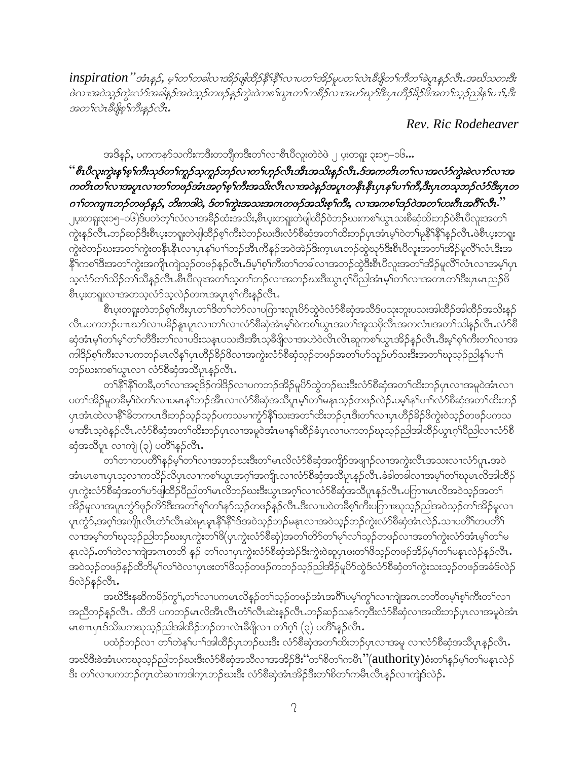inspiration" အံၤန္နဉ္, မ့္ပ်ာက္ရွဴခါလ္ ၊အိုဥဖျထိဉ်နီးနီးလ ၊ပတ္ပ္ပ်အိုဥမ္ေတ္လလဲ၊ ဒီဖျာတ္ပ်က္မိတ္ပ္ပြဲခဲ့ပူးန္နည္လည္းအႀသတ္မႈအိ ၑဲလၢအဝဲသုဉ်ကွဲးလံဉ်အခါနဉ်အဝဲသုဉ်တဖဉ်နဉ်ကွဲးဝဲကစ<sup>်</sup>ါယ္မၤတ<sup>ရ</sup>ကစိဉ်လၤအပဉ်ဃှာဒီးပုၤဟိဉ်ခိဉ်ဖိအတ<sup>ရ</sup>သုဉ်ညါန1်ပ19,ဒီး အတ႑်လဲၤဒီဖိုစ္ ဂ်ားိန္နာလီၤ.

Rev. Ric Rodeheaver

အဒိန္ဉာ်, ပကကနာ်သကိႏကဒီးတဘိျကဒီးတၫ်လၫစီၤပိလူးတဲဝဲဖဲ ၂ ပူးတရူး ၃း၁၅–၁၆…

## " စီးပီလူးကွဲးနက်စ့်ကြီးသုဒ်တ<sup>င္</sup>ကုဉ်သူကုဉ်ဘဉ်လ႑တ<sup>င္</sup>ဟုဉ်လီးအီးအသိးနဉ်လီး .ဒ်အကတိၤတ<sup>င္</sup>လ႑အလံ၁်ကွဲးခဲ့လ႑ာ်လ႑အ ကတိၤတ<sup>ြ</sup>လၢအပူၤလၢတ<sup>6</sup>တဖြဉ်အံၤအဂ္ဂ<sup>ရစ္စ</sup>်ကီးအသီးလီၤလၢအဝဲနဉ်အပူၤတနီၤနီၤပုၤန<sup>ေ</sup>ျာကီ,ဒီးပုၤတသ္စ္ကာဉ်လံာ်ဒီးပုၤတ  $\sigma$ าโတကျ $\pi$ ဘဉ်တဖဉ်နဉ်, ဘိးကဒါဝဲ, ဒ်တ႑်ကွဲးအသးအဂၤတဖဉ်အသိးစ္<code>sကိ</code>း, လ $\tau$ အကစ႑်ဒဉ်ဝဲအတ႑်ဟးဂီၤအဂီးလီ $\tau$ ိ

၂ပူးတရူး၃း၁၅–၁၆)ဒ်ပတဲတ့ၫ်လံလၫအခ်ိႆဉ်ထံးအသိႏႇစိၤပူးတရူးတဲဖျ်ထိဉ်ဝဲဘဉ်ဃးကစၫ်ယွာ သးစိဆုံထိးဘဉ်ဝဲစီၤပီလူးအတ႑် ကွဲးနဉ်လီၤ.ဘဉ်ဆဉ်ဒီးစီၤပူးတရူးတဲဖျါထိဉ်စ့ၢ်ကိုးဝဲဘဉ်ဃးဒီးလံာ်စိဆုံအတၫ်ထိးဘဉ်ပုၤအံၤမ့ၢ်ဝဲတ႑်မှုနိုၤနို႑နှဉ်လီၤ.ဖဲစီၤပူးတရူး ကွဲးဝဲဘဉ်ဃးအတၫ်ကွဲးတနိၤနိၤလၢပုၤနှၤ်ပၢၤ်ဘဉ်အီၤကိန္ဉာ်အဝဲအဲဉ်ဒိးက္ၤမၤဘဉ်ထွဲဃုာ်ဒီးစီၤပိလူးအတၤ်အိဉ်မူလိၤ်လံၤဒိးအ နိုဂ်ကစา်ဒီးအတၫ်ကွဲးအကျို ကျဲသွဉ်တဖဉ်နဉ်လိုၤန်မှဂ်စွဂ်ကိုးတ႑်တခါလၫအဘဉ်ထွဲဒီးစီၤပီလူးအတ႑်အိဉ်မှလိြလံၤလၫအမှ႑်ပုၤ သလံာ်တၫ်သိဉ်တၫ်သိန္ဉဉ်လိုၤ.စီၤ၀ိလူးအတၫ်သ့တၫ်ဘဉ်လၢအဘဉ်ဃးဒီးယွၤဂုၤ်၀ိညါအံၤမ့ၤ်တ႑်လၢအတၤတၤ်ဒီးပုၤမၤညဉ် $8$ စီၤပူးတရူးလၢအတသွလံာ်သူလဲဉ်တဂၤအပူၤစ္<sup>၎</sup>က်ိဳးန္ဉာ်လီၤ.

.<br>စီၤပူးတရူးတဲဘဉ်စ့ၢ်ကီးပုၤတၫ်ဒိတ်ၫတဲဉ်လ ၊ပဂြာၫးလူၤပိဉ်ထွဲဝဲလံဉ်စီဆုံအသိဒ်ပသုးဘူးပသးအါထိဉ်အါထိဉ်အသိးနှဉ် လီၤ.ပကဘဉ်ပ႑ာဃာ်လျပခိဉ်နူးပူးလျတ႑်လျလံဉ်စီဆိုအံၤမ္ ဝဲကစ႑်ယွာအတ႑်အူသဖိုလီၤအကလံၤ၊အတ႑်သါန္ဉဉ်လီၤ.လံဉ်စီ ဆုံအံၤမ့္ပ်ာက်မ့္ပ်ာတ္ပါတ္ခန္မႈလဲ႕ကမ္မႈဘမ္နီးကားမွန္မႈတဲ့ခရိုပါတ္ေသာက္ေတာ့လုပ္သက္ေတြက အသံုးမွာေပါက္မႈလုပ္ပါတ္ပ ကါဒိဉ်စ့ၢ်ကီးလၢပကဘဉ်မၤလိန္၊်ပှၤဟိဉ်8်ဉ်ဖိလၢအကွဲးလံာ်စိဆုံသ့ဉ်တဖဉ်အတၢ်ပာ်သူဉ်ပာ်သးဒီးအတၢ်ဃုသ့ဉ်ညါန၊်ပၢၢိ ဘဉ်ဃးကစါယွာလၢ လံာ်စီဆုံအသိပူာနဉ်လီာ.

တၫ်နိ<sup>႖</sup>နိႝၫိတၶိႇတၫ်လၢအရုဒိဉ်ကါဒိဉ်လၢပကဘဉ်အိဉ်မူပိဉ်ထွဲဘဉ်ဃးဒီးလံာ်စီဆုံအတၫ်ထိးဘဉ်ပှၤလၢအမူဝဲအံၤလၢ ပတၫ်အိဉ်မူတခ်ိမ့်ၫ်ဝဲတ႑်လၤပမၤန္ ၫ်ဘဉ်အီၤလၤလံာ်စိဆုံအသိပူၤမ့ၫ်တ႑်မနုၤသ့ဉ်တဖဉ်လဲဉ်ႇပမ့ၢ်နှၤ်ပၫ်လံာ်စိဆုံအတ႑်ထိးဘဉ် ပုၤအံၤထဲလၫနိ<sup>႖႙ၟ</sup>တကပၤဒီးဘဉ်သ့ဉ်သ့ဉ်ပကသမ႑ကွံာ်နိ႖ဩးအတ႑်ထိးဘဉ်ပုၤဒီးတ႑်လ႑ပုၤဟိဉ်<sup>႙ွ</sup>ဉ်ဖိကွဲးဝဲသုဉ်တဖဉ်ပကသ မၢအိၤသ့ဝဲနဉ်လီၤႉလံာ်စိဆုံအတၫ်ထိးဘဉ်ပုၤလၢအမူဝဲအံၤမၢန္ ၊်ဆိဉ်ခံပုၤလၢပကဘဉ်ဃုသ္ဉဉ်ညါအါထိဉ်ယွၤဂ့ၢိပိညါလၢလံာ်စိ ဆုံအသိပူး လၫက္ပုံ (၃) ပတိႝန္၄်လီး.

.<br>တၫ်တၫတပတိႝၫနဉ်မှဂ်တ႑်လၫအဘဉ်ဃးဒီးတ႑်မၤလိလံာ်စိဆုံအကျိဉ်အဖျာဉ်လၫအကွဲးလိၤအသးလ႑လံာ်ပူၤ.အဝဲ အံၤမၤစπပုၤသ့လၢကသိဉ်လိပုၤလၢကစၫ်ယွၤအဂ္ဂၢ်အကျိုၤလၢလံာ်စိဆုံအသိပူၤန္ဉာ်လီၤ.ခံခါတခါလၢအမ့ၢ်တၫ်ဃုမၤလိအါထိဉ် ပုၤကွဲးလံာ်စိဆုံအတၫ်ဟ်ဖျါထိဉ်ပိညါတၫ်မၤလိဘဉ်ဃးဒီးယွၤအဂ့ၫ်လၢလံာ်စိဆုံအသိပူၤန္ဉာလိၤ.ပကြားမၤလိအဝဲသုဉ်အတ႑် အိဉ်မူလၢအပူၤကွံာ်ဖုဉ်ကိာ်ဒီးအတ႑်စူ႑်တ႑်နှာ်သှဉ်တဖဉ်နှဉ်လီၤ.ဒီးလၢပဝဲတခ်ိစ့႑်ကိုးပကြားဃုသှဉ်ညါအဝဲသှဉ်တ႑်အိဉ်မူလၢ ပူးကွဲ၁်,အဂ္ဂါအကျိုးလီးတိၤ်လီးဆဲးမှုးမှု၊ နိ<sup>ု</sup>နိ<sup>ု</sup>ဒ်အဝဲသ့ဉ်ဘဉ်မနုးလၢအဝဲသ့ဉ်ဘဉ်ကွဲးလံာ်စိဆုံအံၤလဲဉ်ႉသၢပတိႝ်၊တပတိိ<sup>ု</sup> လၫအမှၫိတၫိဃုသုဉ်ညါဘဉိဃးပှၤကွဲးတၫိဖိ(ပှၤကွဲးလံာ်စီဆုံ)အတၫ်တိာ်တၫ်မှၢ်လၢ်သုဉ်တဖဉ်လၫအတၫ်ကွဲးလံာ်အံၤမှၫိတ႑်မ နπလဲဉ်ႉတၫ်တဲလၫကဲုအကတဘိ နှဉ် တ႑်လၫပုၤကွဲးလံာ်စိဆုံအဲဉ်ဒိးကွဲးဝဲဆူပှၤဖးတ႑်ဖိသ့ဉ်တဖဉ်အိဉ်မ့ှ်တ႑်မနုၤလဲဉ်နဉ်လီၤ. ႜ<br>အဝဲသူဉ်တဖဉ်နဉ်ထိဘိမှ<sup>ရ</sup>လ<sup>ှ</sup>ဝဲလျှပျဖူးတ<sup>ှ</sup>ဖြသူဉ်တဖဉ်ကဘဉ်သူဉ်ညါအိဉ်မူပိဉ်ထွဲဒ်လံာ်စီဆုံတ<sup>ှ</sup>ကွဲးသူသူဉ်တဖဉ်အခံဒ်လဲဉ် *§* 05 \$ 50 07.

အဃိဒိႏနဆိကမိဉ်ကွ¶့တ႑်လ႑ပကမၤလိန္ဉာိတ႑်သ့ဉ်တဖဉ်အံၤအဂ်ီၫ်ပမ့ၫ်ကွ႑်လ႑ကျဲအကတဘိတမ့ၢိစ့ၫ်ကိဳးတ႑်လ႑ အညီဘဉ်နဉ်လီၤႉ ထိဘိ ပကဘဉ်မၤလိအိၤလီၤတံၤ်လီၤဆဲးနဉ်လီၤ.ဘဉ်ဆဉ်သနာ်က္ဒဒီးလံာ်စီဆုံလၢအထိးဘဉ်ပုၤလၢအမူဝဲအံၤ မာစπပုာဒ်သိးပကဃုသူဉ်ညါအါထိဉ်ဘဉ်တၢလဲၤဒီဖျိလၢ တၫ်ဂ္ု် (၃) ပတိႝန္နဉ်လီၤ.

ပထံဉ်ဘဉ်လၢ တြကဲနှုပ်ၫ်အါထိဉ်ပုံကည်ဃးဒီး လံာ်စိဆုံအတြထိးဘဉ်ပုံလၢအမှု လၢလံာ်စိဆုံအသိပူးနှဉ်လီး အဃိဒီးခဲအံၤပကဃုသူဉ်ညါဘဉ်ဃးဒီးလံာ်စီဆုံအသိလၢအအိဉ်ဒီး 'ဴတၫ်စိတၫ်ကမီၤ ''(authority)စံးတ႑်နှဉ်မှ႞တ႑်မနုၤလဲဉ် ဒီး တၫ်လၢပကဘဉ်ကူးတဲဆၢကဒါကူးဘဉ်ဃးဒီး လံာ်စီဆုံအုံးအိဉ်ဒီးတၫ်စိတ႑်ကမီးလီးနှဉ်လၢကျဲ့ဒ်လဲဉ်.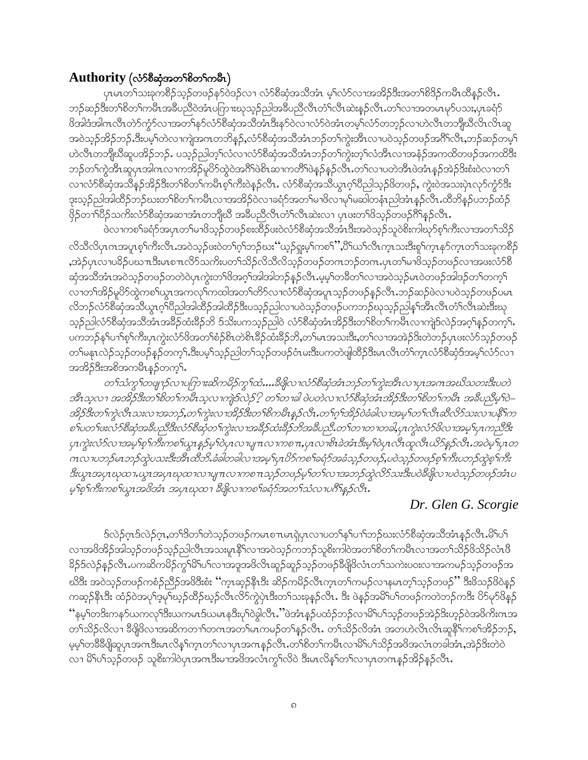#### Authority (လံ5စီဆုံအတ<sup>5</sup>စိတ<sup>5</sup>ကမ်ိဳၤ)

ပှၤမာတ<sup>၎</sup>သးခုကစိဉ်သ့ဉ်တဖဉ်နာ်ဝဲဒဉ်လၢ လံာ်စိဆုံအသိအံၤ မ့<sup>၎</sup>လံာ်လၢအအိဉ်ဒိးအတ<sup>ှ</sup>စိဒိဉ်ကမိၤထိန္ဉာ်လီၤ. ဘဉ်ဆဉ်ဒီးတၫ်စိတၫ်ကမီၤအခ်ဳပညီဝဲအံၤပဂြာၫးဃုသူဉ်ညါအခ်ဳပညီလီၤတံၤလီၤဆဲးနှဉ်လီၤ.တၫ်လၢအတမၤမှာ်ပသး,ပုၤခရံှာ် ဖိအါဒံအါဂၤလီၤတဲာ်ကွံာ်လၢအတ႑်နာ်လံာ်စီဆုံအသိအံၤဒီးနာ်ဝဲလၢလံာ်ဝဲအံၤတမ့္ပ်လံာတာ့ဉ်လၢဟဲလီၤတဘိျဃီလိၤလိၤဆူ အဝဲသူဉ်အိဉ်ဘဉ်.ဒီးပမ့ါတဲလၢကျဲအဂၤတဘိန္ဉ်,လံဉ်စီဆုံအသိအံၤဘဉ်တၫ်ကွဲးအီၤလၢပဝဲသူဉ်တဖဉ်အဂိၢိလိၤ,ဘဉ်ဆဉ်တမ့ါ ဟဲလီၤတဘိုုဃီဆူပအိဉ်ဘဉ်ႉ ပသု့ဉ်ညါတ့််လံလၢလံာ်စီဆုံအသိအံၤဘဉ်တၤ်ကွဲးတ့ၤ်လံအီၤလၢအနံ့ဉ်အကထိတဖဉ်အကထိဒီး ဘဉ်တၫ်ကွဲအီးဆူပုၤအါဂၤလၢကအိဉ်မူပိ5်ထွဲဝဲအဂ်ိါဖဲစိၤဆၢကတိႝၤဖဲနဉ်နဉ်လီၤႉတ႑်လၢပတဲအီၤဖဲအံၤန္ဉာ်အဲဉ်ဒိးစံးဝဲလၢတ႑် လၢလံာစိဆုံအသိန္ဥအိဥဒိုးတ႑်စိတ႑်ကမိၤစ္႑်ကိုးဝဲန္ဥလိၤႉ လံာစိဆုံအသိယ္ဓၤဂ္န္ကုပ္မိညါသူဥဖိတဖဥ္, ကွဲးဝဲအသးပုံၤလု၁်က္နာဒိုး ဒုးသှဉ်ညါအါထိဉ်ဘဉ်ဃးတၫ်စိတ႑်ကမီၤလၢအအိဉ်ဝဲလၢခရံဉ်အတ႑်မၢဖိလၢမှ႑်မဆါတနံၤညါအံၤန္ဉာ်လီၤႉထိဘိန္နဉ်ပဘဉ်ထံဉ် ဖိုဉ်တၫ်ပိဉ်သကိးလံာ်စီဆုံအဆၢအံၤတဘျီဃီ အခ်ိပညီလီၤတံၤ်လီၤဆဲးလၢ ပှၤဖးတၤ်ဖိသှဉ်တဖဉ်ဂိါနှဉ်လီၤ $\centerdot$ 

ဖဲလၢကစၫ်ခရံာ်အပှၤတၫ်မၢဖိသ့ဉ်တဖဉ်စးထိဉ်ဖးဝဲလံာ်စီဆုံအသိအံၤဒီးအဝဲသုဉ်သူဝဲစိးကါဃုာ်စ့ၢ်ကီးလၢအတ႑်သိဉ် လိသီလိပှၤကအပူၤစ့ၫ်ကီးလီၤႉအဝဲသ့ဉ်ဖးဝဲတ႑်ဂ့ၫ်ဘဉ်ဃး ်ဴယ့ဉ်ရူးမ့ၫ်ကစ႑ိႆႇပိႝၤ်ယ႑်လီၤက္ၤသးဒီးစူၫ်က္ၤနှာ်က္ၤတ႑်သးခုကစိဉ် ,အဲ့ဉ်ပုၤလၢပ<sup>္မ</sup>ဉ်ပဃπဒီးမၤစπလိာ်သကိႏပတၫ်သိဉ်လိသိလိသ့ဉ်တဖဉ်တကဘဉ်တကႉပုၤတၫ်မၢဖိသ့ဉ်တဖဉ်လၢအဖးလံာ်စီ ဆုံအသိအံၤအဝဲသူဉ်တဖဉ်တတဲဝဲပုၤကွဲးတၫ်ဖိအဂ္ဂါအါအါဘဉ်နဉ်လီၤ.မ့မ့္ပါတခ်ီတ႑်လၢအဝဲသူဉ်မၤဝဲတဖဉ်အါဒဉ်တ႑်တက္န ် လၢတၫ်အိဉ်မူပိႆာ်ထွဲကစၢ်ယွၤအကလှၤ်ကထါအတၤ်တိာ်လၢလံာ်စီဆုံအပူၤသူဉ်တဖဉ်နှဉ်လီၤ.ဘဉ်ဆဉ်ဖဲလၢပဝဲသူဉ်တဖဉ်ပမၤ လိဘဉ်လံာ်စီဆုံအသိယွၤဂ့ၫ်ပိညါအါထိဉ်အါထိဉ်ဒီးပသ္ဉာညါလ ပဝဲသူဉ်တဖဉ်ပကဘဉ်ဃုသူဉ်ညါနှၤ်အီၤလီၤတံၤ်လီၤဆဲးဒီးဃု သုဉ်ညါလံာ်စီဆုံအသိအံၤအခ်ိဉ်ထံးခ်ိဉ်ဘိ ဒ်သိးပကသုဉ်ညါဝဲ လံာ်စီဆုံအံၤအိဉ်ဒီးတၫ်စိတ႑်ကမီၤလၢကျဲဒ်လဲဉ်အဂ္ဂါနဉ်တက္၄ါ. ပကဘဉ်န<်ပၫ်စ့််ကိုးပုၤကွဲးလံာ်ဖိအတ ်စံဉ်စိၤတဲစိၤခ်ိဉ်ထံးခ်ိဉ်ဘိႇတ ်မၤအသးဒီးႇတ ်လၢအအဲဉ်ဒိးတဲဘဉ်ပုၤဖးလံာ်သ့ဉ်တဖဉ် တၫ်မနုၤလဲဉ်သ့ဉ်တဖဉ်နှဉ်တက့်ၤ.ဒီးပမ့ၢ်သ့ဉ်ညါတ႑်သ့ဉ်တဖဉ်ဝံၤမးဒီးပကတဲဖျါထိဉ်ဒီးမၤလိၤတံၤ်က္ၤလံာ်စိဆုံဒ်အမ့ၤ်လံာ်လ႑ အအိဉ်ဒီးအစိအကမီၤန္ ဉ်တက့ౕ၊.

တ႑်သံကွ ျားများနဲ့လာပြက္စြားဆိုက္မွန္ပြဲတို႔သံ….ဒီမျှလာလံဉစိဆုံအံုးဘဉ်တ႑်ကွဲးအီၤလာပုၤအဂၤအဃိသတးဒီးပတဲ အီၤသ္ဇလ႑ အအိဉ်ဒီးတ႑်စိတ႑်ကမီၤသ္ဇလ႑ကျဲ့ဒ်လဲဉ် ? တ႑်တ႑ခါ ဖဲပတဲလ႑လံဉ်စီဆုံအံၤအိဉ်ဒီးတ႑်စိတ႑်ကမီၤ အခ်ဳပညီမှ (၀ဲ– အိဉ်ဒီးတၫ်ကွဲလီၤသးလ႑အဘဉ်,တ႑်ကွဲးလ႑အိဉ်ဒီးတ႑်စိကမိၤန္နှဉ်လီၤ.တ႑်ဂု႑်အိဉ်ဝဲခံခါလ႑အမ္ ါတ႑်လီၤဆီလိဉ်သးလ႑ပန္ဒိၤ်က္ စ<်ပတ ်ပးလံာ်စီဆုံအခ်ီပညီဒီးလံာ်စီဆုံတ ်ကွဲးလ ၊အခ်ီဉ်ထံးခ်ီဉ်ဘိအခ်ီပည်ိ.တ ်တ ၊တ ၊တခါ,ပုၤကွဲးလံာ်ဗိလ ၊အမ္ ၊်ပုၤကည်ိဒိုး ုၫကွဲးလံာ်လၢအမွှာ်စွာ်ကိုးကစဉ်ယူးနှဉ်မှကြဲပုၤလၢပျπလၢကစπ,ပုၤလၢစိၤခဲအံၤဒီးမှာ်ဝဲပုၤလိၤထူလီၤယိာ်နှဉ်လီၤအဝဲမှာ်ပုၤတ ဂၤလ ၊ပဘဉ်မၤဘဉ်ထွဲပသးဒိုးအိၤထိဘိႉခံခါတခါလ ၊အမ္9ုဟု ပိဉ်ကစ9်ခရာသော့ဉ်တဖဉ်,ပဝဲသူဉ်တဖဉ်စုှ ၊်ကီးပဘဉ်ထွဲစုှ ၊်ကီး ဒီးယွၤအပုၤဃုထ႑.ယွၤအပုၤဃုထ႑လ႑ပျ႑ာလ႑ကစ႑ာ သူ၌တဖဉ်မူ ်တ႑်လ႑အဘဉ်ထွဲလိ်ာသးဒီးပဝဲခ်ဳပ္ပိုလ႑ပဝဲသူ၌တဖဉ်အံၤပ မ့်စု်ကီးကစ်ယွားအဖိအံၤ အပုၤဃုထ႑ ဒီဖျိလၢကစၢ်ခရံဉ်အတ႑်သံလၢပဂၢိန္နဉ်လီး.

#### Dr. Glen G. Scorgie

ဒ်လဲဉ်ဂုၤဒ်လဲဉ်ဂုၤ,တၫ်ဒိတၢ်တဲသူဉ်တဖဉ်ကမာစπမာရှဲပုၤလၢပတၢ်နှၤ်ပၢၤ်ဘဉ်ဃးလံာ်စီဆုံအသိအံၤန္ဉာလီၤ.မိၤ်ပ႑် လၢအဖိအိဉ်အါသ့ဉ်တဖဉ်သ့ဉ်ညါလီၤအသးမှု၊နိ<sup>၎</sup>လၢအဝဲသ့ဉ်ကဘဉ်သူစိးကါဝဲအတ<sup>ု</sup>စိတၤ်ကမိၤလၢအတ<sup>ု</sup>သိဉ်ဖိသိဉ်လံၤဖိ ခိဉ်ဒ်လဲဉ်နဉ်လီၤ.ပကဆိကမိဉ်ကွ<sup>၎ဌ</sup>ိပါလၢအဒူအဖိလိၤဆူဉ်ဆူဉ်သ့ဉ်တဖဉ်ခီဖျိဖိလံၤတ<sup>၎</sup>သကဲးပဝးလၢအကမဉ်သ့ဉ်တဖဉ်အ ဃိဒိး အဝဲသုဉ်တဖဉ်ကစံဉ်ညိဉ်အဖိဒိီးစံး ''ကူးဆွဉ်နိုးဒိီး ဆိဉ်ကမိဉ်လီးကူးတၫ်ကမဉ်လၫနမၤတ့ၫ်သုဉ်တဖဉ်'' ဒီးဖိသဉ်ဖိဝဲနှဉ် ကဆုဉ်နိၤဒိး ထံဉ်ဝဲအပုၫ်ဒ့မှၫ်ဃ္ဉာထိဉ်ဃ္ဉာလိၤလိဉ်ကွဲပုံၤဒိးတ႑်သးခုန္ဉာလိၤႉ ဒိး ဖဲန္ဉာအမိါပ႑်တဖဉ်ကတဲဘဉ်ကဒိး ၀ိဉ်မှာဖိနဉ် ိနမ္နါတဒ်ိးကနဉ်ယကလု၊်ဒီးယကမၤဒ်ယမၤနဒိႆးပု၊်ဝဲခွါလီၤႉ''ဖဲအံၤန္ဉာပထံဉ်ဘဉ်လၢမိ၊်ပါသ္ဉာ်တဖဉ်အဲဉ်ဒိးဟ္ဥာ်ဝဲအဖိကိႏၵၤအ တၫ်သိဉ်လိလၢ ခ်ီဖိုဖိလၢအဆိကတၫ်ာတကအတၫ်မၤကမဉ်တ႑်နှဉ်လီၤႉ တၫ်သိဉ်လိအံၤ အတဟဲလိၤလိၤဆူနိ်ါကစၫ်အိဉ်ဘဉ်, မ့မ့်ၫတ<sup>88</sup>ရွိရွိဆူပုၤအဂၤဒီးမၤလိန္်ကာၤတ႑်လ႑ပုၤအဂၤန္၁်လီၤ.တ႑ိစိတ႑်ကမိၤလ႑မိ႑်ပ႑်သိဉ်အဖိအလံၤတခါအံၤႇအဲဉ်ဒိးတဲဝဲ လၢ မိ်ါပါသ့ဉ်တဖဉ် သူစိးကါဝဲပှၤအဂၤဒီးမၢအဖိအလံၤကွၢ်လိဝဲ ဒီးမၤလိန်ၢ်တၢ်လၢပုၤတဂၤနှဉ်အိဉ်နဉ်လီၤ.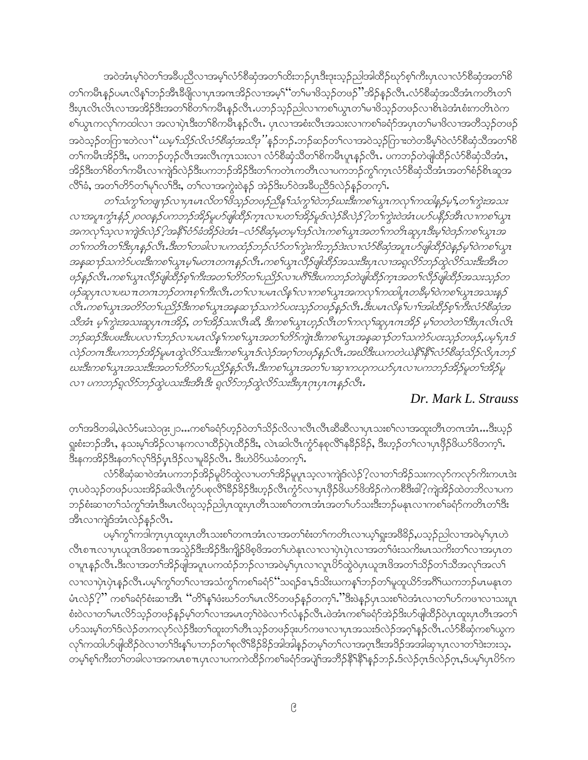အဝဲအံၤမ့ါဝဲတၫ်အခ်ဳပညီလၫအမ့ါ်လံာစိဆုံအတ႑်ထိးဘဉ်ပုံ၊ဒီးဒုးသ့ဉ်ညါ့အါထိဉ်ဃှာ်စ့ၢ်ကီးပုံ၊ လ႑လံာစိဆုံအတ႑်စိ တၫ်ကမီၤန္ဥပမၤလိန္ၤ်ာဥ်အီၤဒီဖျိလၢပုၤအဂၤအိဥ်လၢအမ့ၤ်ဴတၤ်မၢဖိသူဥ်တဖဉ်ႛအိဉ်န္ဥဴလီၤႉလံာ်စီဆုံအသီအံၤကတိၤတၤ် ဒီးပုၤလိၤလၤအအိဉ်ဒီးအတၫ်စိတ႑်ကမဵာနှဉ်လီၤႉပဘဉ်သ့ဉ်ညါလၤကစ႑်ယွၤတ႑်မၢဖိသ့ဉ်တဖဉ်လၢစိၤခဲအံၤစံးကတိၤဝဲက စါယွၤကလုိကထါလ႑အလၢပှဲၤဒီးတၫ်စိကမ်ိဴၤန္နဉ်လီၤႉ ပှၤလၢအစံးလီၤအသးလၢကစၫ်ခရံာ်အပှၤတၫ်မၢဖိလၢအတိသ့ဉ်တဖဉ် အဝဲသ္ဉ်တကြားတဲလၫ ဴဴ*ယမ့<sup>၎</sup>သိဉ်လိလံဉ်စီဆုံအသိဒု* ''နဉ်ဘဉ်ႉဘဉ်ဆဉ်တၫ်လၢအဝဲသ့ဉ်ဂြားတဲတခ်ိမ့<sup>၎</sup>ဝဲလံဉ်စီဆုံသိအတ<sup>၎</sup>စိ တၫ်ကမီၤအိဉ်ဒီး, ပကဘဉ်ဟ့ဉ်လီၤအးလီၤက္ၤသးလၢ လံာ်စိဆုံသိတၫ်စိကမိၤပူၤန္ဉာ်လီၤ. ပကဘဉ်တဲဖျါထိဉ်လံာ်စိဆုံသိအံၤ, အိဉ်ဒီးတၫ်စိတ႑်ကမီၤလၢကျဲဒ်လဲဉ်ဒီးပကဘဉ်အိဉ်ဒီးတ႑်ကတဲၤကတိၤလၢပကဘဉ်ကွ႑်က္ၤလံာ်စီဆုံသိအံၤအတ႑်စံဉ်စိၤဆူအ လိ်ိုခံ, အတၤ်တိ၁်တၤ်မှၤ်လၤ်ဒီး, တၤ်လၤအကွဲးဝဲနဉ် အဲဉ်ဒိးဟ်ဝဲအခ်ဳပညီဒ်လဲဉ်နဉ်တက့ၤ်.

တ႑်သံကွ ျားများသမားမား လွတ္ေပါတီသို့ သားလုံသို့နဲ့ သံုးသံုး ပြဲတည်းမားဒီးကစ႑်ယွာ ကလုံကထါနည်မှ 1,တ႑်ကွဲးအသး လၢအပူၤက္ဂုံးနံ့ဉ်၂၀၀၀န္ ဉ်ပကဘဉ်အိဉ်မူပာဖျါထိဉ်က္ၤလၢပတ႑်အိဉ်မူဒ်လဲဉ်ခ်ီလဲဉ် ?ုတ႑်ကွဲးဝဲအံၤပပာ်ပနိုဉ်အီၤလၢကစ႑်ယွၤ အကလု†သူလ $\eta$ ကျဲဒ်လဲဉ် $\ell$ အနီ $\lceil$ ဝံဉ်ခံအိဉ်ဖဲအံ $\textsf{1}-$ လံဉ်စီဆုံမှတမူ $\lceil \textsf{3}$ ဉ်လဲ $\textsf{1}$ ကစ $\lceil \textsf{4}$ ဟုအ $\lceil \textsf{4} \textsf{2} \rceil$ က်ဒဉ်ကစ $\lceil \textsf{4} \textsf{2} \rceil$ တြ တ႑်ကတိၤတ႑်ဒီးပွၤန္နဉ်လီၤ.ဒီးတ႑်တခါလ ၊ပကထံဉ်ဘဉ်လံဉ်တ႑်ကွဲးကိႏဘ္ဉ်ာဒဲးလ ၊လံဉ်စီဆုံအပူၤပဉ်ဖျံထိဉ်ဝဲန္နဉ်မှ႑်ဝဲကစ႑ယွၤ အန္စဆ႑ာဴသကဲ႒်ပဝးဒီးကစၫ်ယ္မွၤမ္ မတၤတဂၤန္နာဴလီၤ.ကစ႑်ယ္ယ္ယ္ယ္ယ္အ၊ လီဥဖ္ျထိဳဥအသးဒီးပုၤလၢအရူလိွဴဘဉ်ထွဲလိွဴသးဒီးအီၤတ ဖဉ်နဉ်လီၤ.ကစၫ်ယွၤလီဉ်ဖျါထိဉ်စ့ၫ်ကီးအတ႑်တိဉ်တ႑ပညိဉ်လ႑ပဂီၫ်ဒီးပကဘဉ်တဲဖျါထိဉ်က္ၤအတ႑်လိဉ်ဖျါထိဉ်အသးသ္ဉာ်တ ဖဉ်ဆူပုၤလၢပဃၤာတဂၤဘဉ်တဂၤစ္စ္ပါကီးလီၤ.တ႑်လၢပမၤလိန္နှြလၤကစ္ပါယ္မွၤအကလုၤ်ကထါပူၤတခ်ဳမ္1၀ဲကစ္ပါယ္မွၤအသးန္နဉ လီၤ.ကစ႑်ယ္ဇၤအတိာ်တ႑်ပညိဉ်ဒီးကစ႑်ယ္ဇၤအန္နဆ႑ာဴသကဲာ်ပဝးသ္၄်တဖဉ်န္၄လီၤ.ဒီးပမၤလိန႑်ပ႑ာအါထိဉ်စ္႑်ကီးလံာ်စီဆုံအ သိအံၤ မ့ၫ်ကွဲးအသးဆူပုၤဂၢအိဉ်, တ႑်အိဉ်သးလီၤဆီ, ဒီးကစ႑်ယွၤဟ္ဥာလီၤတ႑်ကလု႑်ဆူပုၤဂၢအိဉ် မ့႑်တတဲတ႑်ဒီးပုၤလိၤလိၤ ဘဉ်ဆဉ်ဒီးပဖးဒီးပပလ႑ါဘဉ်လ႑ပမၤလိန္ ါကစ႑်ယ္မ႑အတ႑်တိဉ်ကျဲ၊ ဒီးကစ႑်ယ္မ႑အန္ဒဆ႑ာ်တ႑်သကဲဉ်ပဝးသုဉ်တဖဉ်,ပမ့္ပြား ဒ် လဲဉ်တဂၤဒီးပကဘဉ်အိဉ်မူမၤထွဲလိ်ာသးဒီးကစ<ယ္ပၤဒ်လဲဉ်အဂ္ဂါတဖဉ်နဉ်လီၤအဃိဒီးယကတဲယဲနိ်နိ််ါလံာစီဆုံသိဉ်လိပုၤဘဉ် ဃးဒီးကစၢ်ယွၤအသးဒီးအတ႑်တိဉ်တ႑်ပညှိဉ်နဉ်လီး.ဒီးကစ႑်ယွၤအတ႑်ပၢဆုၢကဟုကယဉ်ပုၤလၢပကဘဉ်အိဉ်မူတ႑်အိဉ်မူ လ႑ပကဘဉ်ရှလိာ်ဘဉ်ထွဲပသးဒီးအီးဒီး ရှလိာ်ဘဉ်ထွဲလိာ်သးဒီးပုၤဂုၤပုၤဂၤန္နာ်လီး.

#### Dr. Mark L. Strauss

တၫ်အဒိတခါ,ဖဲလံာ်မးသဲ၁၉း၂၁…ကစၫ်ခရံာ်ဟုဉ်ဝဲတ႑်သိဉ်လိလၤလီၤလီၤဆီဆီလၤပုၤသးစ႑်လၤအထူးတိၤတဂၤအံၤ…ဒီးယှဉ် ရူးစံးဘဉ်အိၤ, နသးမ့ၢ်အိဉ်လ႑နကလ႑ထိဉ်ပုံၤထိဉ်ဒီး, လဲၤဆါလီၤက္ဂံာ်နစုလိၢနုဒိဉ်ခ်ဉ်, ဒီးဟ္ဥတ႑်လ႑ပုဒိုဉ်ဖိယာ်ဖိတက္႑်. ဒီးနကအိဉ်ဒီးနတၤ်လုၤ်ဒိဉ်ပှၤဒိဉ်လၤမူခိဉ်လိၤ. ဒီးဟဲပိဉ်ယခံတက့ၤ်.

လံာ်စီဆုံဆၢဝဲအံၤပကဘဉ်အိဉ်မူပိာ်ထွဲလၢပတၫ်အိဉ်မူပူးသ့လၢကျဲဒ်လဲဉ်?့လၢတၫ်အိဉ်သးကလှာ်ကလှာ်ကိုးကပၤဒဲး ဂ္ဂၤပဝဲသ့ဉ်တဖဉ်ပသးအိဉ်ဆါလီၤကွံာ်ပစုလိႝ်၊ခ်ိဉ်ခိန်းဟ့ဉ်လီၤကွံာ်လၢပှၤဖှိဉ်ဖိယာ်ဖိအိဉ်ကဲကစိဒိီးဖါ?ကျဲအိဉ်ထဲတဘိလၢပက ဘဉ်စံးဆၢတၫ်သံကွၢ်အံၤဒီးမၤလိဃုသူဉ်ညါပုၤထူးပုၤတိၤသးစၢ်တဂၤအံၤအတ႑်ဟ်သးဒီးဘဉ်မနုၤလၢကစၢ်ခရံာ်ကတိၤတၫ်ဒီး အီၤလၫကျဲဒ်အံၤလဲဉ်နဉ်လီၤ.

ပမ့်ၫ်ကွ႑်ကဒါကူးပုၤထူးပုၤတိၤသးစ႑်တဂၤအံၤလၢအတ႑်စီးတ႑်ကတိၤလၢယ့႑်ရူးအဖိခြံ၌,ပသူ၌ညါလၢအဝဲမ့္ပ်ံပုၤတဲ လိၤစπလၢပှၤယူအဖိအစπအသွဲဉ်ဒီးအိဉ်ဒီးကျိဉ်ဖိစ့ဖိအတၤ်ဟဲနုၤလၢလၢပှဲၤပှဲၤလၢအတၤ်ဖံးသကိႏမၤသကိႏတၤ်လၢအပှၤတ ၀ၢပူးနှဉ်လီး.ဒီးလၢအတၫ်အိဉ်ဖျံအပူးပကထံဉ်ဘဉ်လၢအဝဲမ့ၢ်ပှၤလၢလူၤပိဉ်ထွဲဝဲပှၤယူအဖိအတ႑်သိဉ်တ႑်သိအလုၤ်အလ႑် လၫလၫပုံၤပုံၤန္ဉဴလီၤ.ပမ့္ပ်က္ဂၤ်တၤအသံကွၤ်ကစၤ်ခရံှာ် သရဉ်ေး,ဒ်သိးယကန္ၤ်ဘုိတၤ်မှုထူယိာ်အဂ်ီၤ်ယကဘဉ်မၤမန္၊ာတ မံၤလဲဉ် $?$ ိ' ကစါခရံဉ်စံးဆၢအိၤ ''တိၢန္ ်ပီးဃာ်တါမၤလိာ်တဖဉ်နှဉ်တက့ ််း ဒီးဖဲနဉ်ပုၤသးစါဝဲအံၤလၢတၤ်ဟာ်ကဖၢလၢသးပူၤ စံးဝဲလၢတၫ်မၤလိ႒်သ့ဉ်တဖဉ်နှဉ်မှၤ်တၤ်လၢအမၤတ့ၤ်ဝဲခဲလၢာ်လံနဉ်လီၤ.ဖဲအံၤကစၢ်ခရံာ်အဲဉ်ဒိးဟ်ဖျဲထိဉ်ဝဲပုၤထူးပုၤတိၤအတၤ် ပာ်သးမ့္ပ်တ႑်ဒ်လဲဉ်တကလှာ်လဲဉ်ဒီးတ႑်ထူးတ႑်တိၤသ္ဉ်တဖဉ်ဒုးဟ်ကဖ႑လ႑ပုၤအသးဒ်လဲဉ်အဂ္ဂါနဉ်လိၤႉလံာ်စီဆုံကစ႑်ယွက လှၤ်ကထါပ>်ဖျါထိဉ်ဝဲလၤတၤ်ဒိးန္1ပၤဘဉ်တၤ်စုလိၤ်ခိဉ်ခိဉ်အါအါန္ဥတမ့ၤ်တၤ်လၤအဂ္ဂၤဒိးအဒိဉ်အအါဆုၤပုၤလၤတၤ်ဒဲးဘးသ့. တမ့်ၫစ့်ၫက်ိဳးတ႑်တခါလၢအကမၤစ႑ာပုၤလၢပကကဲထိဉ်ကစ႑်ခရံဉ်အပျဲ႑်အဘိဉ်နို<sup>ု</sup>န်႑နှဉ်ဘဉ်ႉဒ်လဲဉ်ဂ္ဂၤဒ်လဲဉ်ဂူႇဒ်ပမ့်ၫပုၤ<sup>ပွ</sup>ာ်က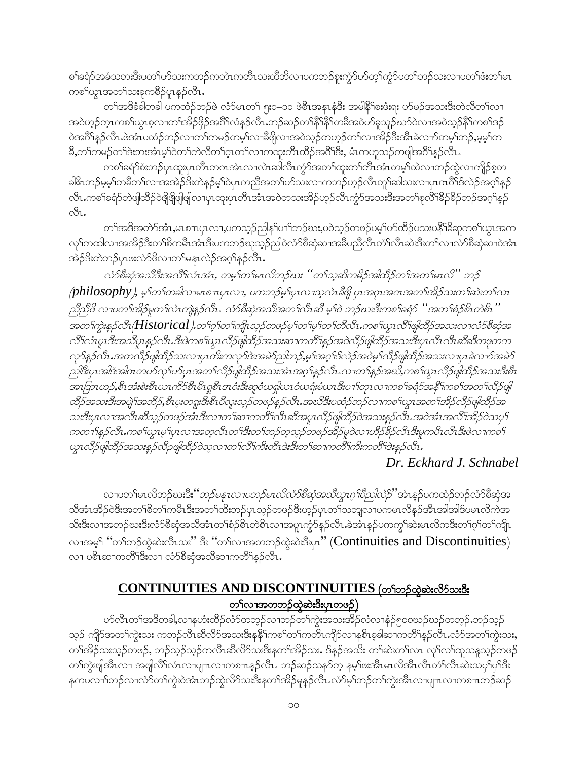စါ်ခရံာ်အခံသတးဒီးပတ<sup>ရ</sup>ဟ်သးကဘဉ်ကတဲၤကတိၤသးထိဘိလၤပကဘဉ်စူးကွံာ်ဟ်တ့ါ်ကွံာ်ပတ<sup>ရ</sup>ဘဉ်သးလၤပတ<sup>ရ</sup>ဖံးတ<sup>ရ</sup>မာ ကစၫ်ယွာအတ႑်သးခုကစိဉ်ပူာန္ ဉ်လီာ.

တၫ်အဒိခံခါတခါ ပကထံဉ်ဘဉ်ဖဲ လံာ်မၤတ႑် ၅း၁–၁၁ ဖဲစီၤအနၤနံဒီး အမါနိ<sup>ု</sup>စးဖံးရး ဟ်မဉ်အသးဒီးတဲလိတ႑်လ႑ အဝဲဟ့ဉ်က္ၤကစၢိယ္ပၤစ္ဝာၫတၫအိဉ်ဖိုဉ်အဂ်ိဳၤလံနှဉ်လီၤ.ဘဉ်ဆဉ်တၫ်နိ<sup>ု</sup>နိ<sup>ု</sup>တခ်ီအဝဲဟ်ခူသူဉ်ဃာ်ဝဲလၢအဝဲသ့ဉ်နိ<sup>ု</sup>ကစၫ်ဒဉ် ဝဲအဂ်ိဳရန္ဥ်လိုၤ.ဖဲအံၤပထံဥ်ဘဥ်လ႑တ႑်ကမၣဴတမ္နါလ႑ၶိဖျိလ႑အဝဲသူဥတဟူဥတ႑်လ႑အိဥ္မွဴဒိုးအီၤခဲလ႑ာတမ္နါဘဥ္,မွမ္နါတ ခ်ိဳ,တၫ်ကမဉ်တၫ်ဒဲးဘးအံၤမ့ၢ်ဝဲတ႑်တဲလိတ႑်တ္ဝတ႑်လ႑ကထူးတိၤထိဉ်အဂိၢဒိး, မံၤကဟူသဉ်ကဖျါအဂိၢန္နဉ်လိၤ.

ကစါ်ခရံာ်စံးဘဉ်ပုၤထူးပုၤတိၤတဂၤအံၤလၤလဲၤဆါလီၤက္ဂံာ်အတၫ်ထူးတၫ်တိၤအံၤတမ့ၢ်ထဲလၤဘဉ်ထွဲလၤကျိဉ်စ့တ ခါဇိၤဘဉ်မ့မ့်ၫတခ်ီတ႑်လၢအအဲဉ်ဒိုးတဲန္ဉာမ့်ၫဝဲပုၤကညီအတ႑်ဟ်သးလၢကဘဉ်ဟ့ဉ်လိၤတူၫဆါသးလၢပုၤကဂိၢိဒ်လဲဉ်အဂ္ဂၢိန္ဉ လိၤ.ကစ<sup>ၡ</sup>ခရံာ်တဲဖျါထိဉ်ဝဲဖြိုဖြိုဖျိုလျပုၤထူးပုၤတိၤအံၤအဝဲတသးအိဉ်ဟ့ဉ်လိၤကွံာ်အသးဒီးအတ<sup>ၡ</sup>စုလိ<sup>ရရွှ</sup>ဉ်ခိဉ်ဘဉ်အဂ္ဂ<sup>ရ</sup>နဉ် cSı.

တၫ်အဒိအတဲာ်အံၤႇမၤစ႑ာပုၤလ႑ပကသ္ဥဉ်ာန်-ပ႑ာသည်စားႇပဝဲသူဥတဖဥ်ပမ့္ပ်ာပာထိဥပသးပန္ဒိ<sup>ု</sup>ခ်ိဆူကစ႑်ယူၤအက လှ\ကထါလၫအအိဉ်ဒီးတ\်စိကမိၤအံၤဒီးပကဘဉ်ဃုသူဉ်ညါဝဲလံာ်စီဆုံဆ႑အခ်ဳပညီလီၤတံ်ၤလီၤဆဲးဒီးတ\်လ႑လံာ်စီဆုံဆ႑ဝဲအံၤ အဲဉ်3ိးတဲဘဉ်ပုၤဖးလံာ်ဖိလၢတၢ်မနုၤလဲဉ်အဂ္ဂါနဉ်လီၤ.

လံာ်စီဆုံအသိဒီးအလိ†လံၤအံၤ, တမ္+တ+မၤလိဘဉ်ဃး ''တ†သ္ခ္အဆိကမိဉ်အါထိဉ်တ†အတ†မၤလိ'' ဘဉ်  $\emph{(philosophy)}$ , မ့္ပ်ာတ်တခါလၤမၤစ႑ာပုၤလ႑, ပကဘဉ်မူးပုၤလၤသ့လဲၤခ်ဳပ္ဖို ပုၤအဂၤအကအတ႑်အိဉ်သးတ႑်ဆဲးတ႑်လၤ ညီညီ8 လ ပတ ၊်အိဉ်မူတ ၊်လဲၤကျဲနှဉ်လီၤ. လံဉ်စီဆုံအသီအတ ၊်လီၤဆီ မ့ ၊်ဝဲ ဘဉ်ဃးဒီးကစ ၊်ခရံဉ် ''အတ ၊်စံဉ်စိၤတဲစိၤ'' အတ<sup>ှ</sup>ကွဲးနှဉ်လီး*(Historical).တ*်ဂွာ်တဉ်ကျာသှဉ်တဖဉ်မှာ်တဉ်မှာတဉ်တီလီး.ကစဉ်ယွာလီးဖျါထိဉ်အသးလၢလံဉ်စီဆုံအ လီ<sup>ငှ</sup>လံၤုုးဒီးအသိပ္ပ႑နှဉ်လိၤ.ဒီးဖဲကစ႑်ယ္ယၤလိဉ်ဖျါထိဉ်အသးဆ႑ကတိႝၤန္နဉ်အဝဲလိဉ်ဖျါထိဉ်အသးဒီးပုၤလိၤလိၤဆိဆိတဖုတက လှာ်နှဉ်လီး အတလီဉ်ဖျါထိဉ်သးလၢပုၤကိးကလှာ်ဒဲးအမဲာ်ညါဘဉ်,မ့ ်အဂ္ဂါဒ်လဲဉ်အဝဲမှ ်လီဉ်ဖျါထိဉ်အသးလၢပုၤခဲလ႑ာ်အမဲ၁် ညါဒီးပုၤအါဒံအါဂၤတပဉ်လှ'ၢပာ်ပုၤအတ'်၊လိဉ်ဖျါထိဉ်အသးအံၤအဂ္ဂၢိန္နဉ်လီၤ.လ႑တ'၊န္နဉ်အဃိ,ကစ'ါယ္ဂၤလိဉ်ဖျါထိဉ်အသးဒိးစိၤ အာဘြာဟဉ်,စီၤအံဴးစဲးစီၤယၤကိ႒်စီၤမိၤရူစီၤအဝံံးဒီးဆူဝံယရှါယၤဝံယရံးမံယၤဒီးပ႑ါတုၤလ႑ကစ႑်ခရံ႒်အနိ႑်ကစ႑်အတ႑်လိဉ်ဖျိ ထိဉ်အသးဒီးအပျဲၫအဘိဉ်,စီၤပူးတရူးဒီးစီၤပီလူးသုဉ်တဖဉ်နဉ်လီၤ.အဃိဒီးပထံဉ်ဘဉ်လ႑ကစ႑်ယွၤအတ႑်အိဉ်လိဉ်ဖျံထိဉ်အ သးဒီးပုၤလၢအလီၤဆီသူဉ်တဖဉ်အံၤဒီးလၢတၫ်ဆၢကတိၤ်လီၤဆီအပူၤလီဉ်ဖျဲထိဉ်ဝဲအသးနှဉ်လီၤ.အဝဲအံၤအလီၤအိဉ်ဝဲသပု႑် ကတ႑ၢိန္နာ်လီၤ.ကစ႑်ယ္ဓၤမ္ ၊်ပုၤလ႑အတဲ့လီၤတ႑်ဒီးတ႑်ဘဉ်တဲ့သူဉ်တဖဉ်အိဉ်မူဝဲလ႑ဟိဉ်ခ်ိဉ်လိၤဒီးမူကပိၤလိၤဒီးဖဲလ႑ကစ႑် ယ္မွၤလိဉ်ဖျါထိဉ်အသးနှဉ်လိဉဖျါထိဉ်ဝဲသူလ႑တ႑်လိ႑်ကိုးတိၤဒဲးဒီးတ႑်ဆ႑ကတိ႑်ကိုးကတိ႑်ဒဲးနှဉ်လိၤ

#### Dr. Eckhard J. Schnabel

လၢပတ<sup>ၡ</sup>မၤလိဘဉ်ဃးဒီး*''ဘဉ်မနုၤလၢပဘဉ်မၤလိလံဉ်စိဆုံအသိယ္ဓၤဂ္<sup>ရ</sup>ပိညါလဲဉ်*''အံၤန္ဉ်ပကထံဉ်ဘဉ်လံဉ်စိဆုံအ သိအံၤအိဉ်ဝဲဒီးအတၫ်စိတ႑်ကမီၤဒီးအတ႑်ထိးဘဉ်ပုၤသ့ဉ်တဖဉ်ဒီးဟ့ဉ်ပုၤတ႑်သဘျှလ႑ပကမၤလိန္ဉာအီၤအါအါဒ်ပမၤလိကဲအ သိးဒီးလၢအဘဉ်ဃးဒီးလံာ်စိဆုံအသိအံၤတၢ်စံဉ်စိၤတဲစိၤလၢအပူၤက္ဂံာ်နဉ်လီၤ.ခဲအံၤန္ဉာ်ပကကွၢ်ဆဲးမၤလိကဒီးတၢ်ဂ့ၢ်တၢ်ကိုုၤ လာအမှ<sup>င္</sup> "တ<sup>ရ</sup>ဘဉ်တွဲဆဲးလီးသး" ဒီး "တ<sup>ရ</sup>လာအတဘဉ်တွဲဆဲးဒီးပုာ" (Continuities and Discontinuities) လၢ ပစိၤဆၢကတိ်္ဂါဒီးလၢ လံာ်စီဆုံအသိဆၢကတိ်္ဂန္နာ်လီၤ.

#### CONTINUITIES AND DISCONTINUITIES (တ<sup>ရ</sup>တဉ်ထွဲဆဲးလိ<sup>5</sup>သးဒီး တ႑်လၫအတဘဉ်ထဲ့ဆဲးဒီးပုၤတဖဉ်)

ဟ်လီၤတၫ်အဒိတခါ,လ႑နဟံးထိဉ်လံာ်တဘ့ဉ်လ႑ဘဉ်တ႑်ကွဲးအသးအိဉ်လံလ႑နံဉ်၅၀၀ဃဉ်ဃဉ်တဘ့ဉ်ႉဘဉ်သွဉ် သ့ဉ် ကျိဉ်အတၫ်ကွဲးသး ကဘဉ်လီၤဆီလိာ်အသးဒိီးနနိၤ်ကစၤ်တ႑်ကတိၤကျိဉ်လၢနစိၤခ့ခါဆၢကတိၢ်နှဉ်လီၤႉလံာ်အတၤ်ကွဲးသး, တ<sup>်</sup>၊အိဉ်သးသ့ဉ်တဖဉ်, ဘဉ်သ့ဉ်သ့ဉ်ကလီၤဆီလိ5်သးဒီးနတ<sup>ရ</sup>အိဉ်သး. ဒ်နဉ်အသိး တ<sup>ရ</sup>ဆဲးတ<sup>ရ</sup>လၤ လု<sup>ရ</sup>လၢ်ထူသနူသ့ဉ်တဖဉ် တၫ်ကွဲးဖျအိၤလၢ အဖျလိႝၤလံၤလၢပျ႑ာလၢကစ႑ာနှဉ်လီၤႉ ဘဉ်ဆဉ်သန5်က္ နမ့္ပ်ဖးအီၤမာလိအီၤလီၤတိၤလီၤဆဲးသပုၤ်ပုၤ်ဒီး နကပလၫ်ာဘ်လၢလံာ်တၫ်ကွဲးဝဲအံၤဘဉ်ထွဲလိာ်သးဒီးနတၤ်အိဉ်မှုနဉ်လီၤႉလံာ်မ့်ၢ်ဘဉ်တၢ်ကွဲးအီၤလၢပျ႑လၢကစ႑ာဘဉ်ဆဉ်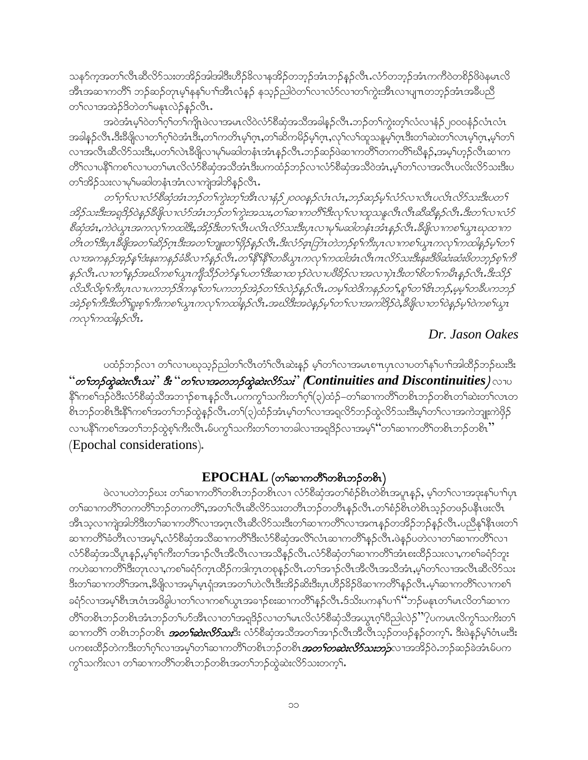သနာ်က္ခအတၫ်လီၤဆီလိာ်သးတအိဉ်အါအါဒီးဟိဉ်ခ်ိလ႑နအိဉ်တဘ့ဉ်အံၤဘဉ်နှဉ်လီၤႉလံာ်တဘ့ဉ်အံၤကကိဝဲတစိဉ်ဖိဖဲနမၤလိ အိၤအဆၢကတိႝ<sup>၎</sup> ဘဉ်ဆဉ်တုၤမ့<sup>ရ</sup>နန်<sup>ရ</sup>ပၫ်ဒ<sup>ဌှ</sup>ၤလံနဉ် နသ့ဉ်ညါဝဲတၫ်လၢလံာ်လၢတၫ်ကွဲးအိၤလၢပျπတဘ့ဉ်အံၤအခ်ီပညီ တ႑်လၫအအဲဉ်ဒိတဲတ႑်မန္နၤလဲဉ်နဉ်လီၤ.

အဝဲအံၤမ့ါဝဲတၫ်ဂ့ါတၫ်ကျုဖဲလၢအမၤလိဝဲလံာ်စီဆုံအသိအခါနဉ်လီၤ.ဘဉ်တၫ်ကွဲးတ့ၫ်လံလၢနံဉ်၂၀၀၀နံဉ်လံၤလံၤ အခါနဉ်လီၤ.ဒီးခ်ီဖျိလၢတၫ်ဂ့ၢ်ဝဲအံၤဒီး,တ႑်ကတိၤမ့ၢ်ဂူၤ,တ႑်ဆိကမိဉ်မ့ၢ်ဂူၤ,လှ႑်လ႑်ထူသနူမ့ၫ်ဂူၤဒီးတ႑်ဆဲးတ႑်လၤမ့ၫ်ဂူၤ,မ့႑်တ႑ လၢအလီၤဆီလိ်ာသးဒီး,ပတၫ်လဲၤဒီဖျိလၢမှၢ်မဆါတနံၤအံၤန္ဉာ်လီၤ.ဘဉ်ဆဉ်ဖဲဆၢကတိႝၤ်တကတိႝၤ်ဃိန္ဉာ်,အမ့ၤ်ဟ့ဉ်လီၤဆၢက တိ်ါလၢပနိ်ါကစါလၢပတါမၤလိလံာ်စိဆုံအသိအံၤဒီးပကထံဉ်ဘဉ်လၢလံာ်စိဆုံအသိဝဲအံၤ,မ့ါတ1်လၢအလီၤပလိးလိာ်သးဒီးပ တၫ်အိဉ်သးလၢမှၢ်မဆါတနံၤအံၤလၢကျဲအါဘိန္နဉ်လိၤႉ

တ1်ဂုၤ်လ1လံ၁စီဆုံအံၤဘဉ်တ1်ကွဲးတဲ့1အီၤလ1နံဉ်၂၀၀၀နဉ်လံၤလံ1,ဘဉ်ဆဉ်မှ1လံ၁်လ1လီၤပလိၤလိ၁်သးဒီးပတ1် အိဉ်သးဒီးအရှုဒိုဉ်ဝဲန္နဉ်ခ်ီဖျိုလ ၊လံာ်အံၤဘဉ်တ႑်ကွဲးအသႏ္တတ႑်ဆ႑ကတိ ၊ဒီးလှ ၊်လ႑ထူသန္ဒလိၤလိၤဆိဆိန္နဉ်လိၤ.ဒီးတ႑်လ႑လံဉ စီဆုံအံၤ့ကဲဝဲယူၤအကလု ်ကထါဒီႏွအိုဉ်ဒီးတ႑်လီၤပလိၤလိဉ်သးဒီးပုၤလ႑မှ မဆါတနံၤအံၤန္နဉ်လီၤ.ခ်ီဖျှိလ႑ကစ ်ယူၤဃုထ႑က တိၤတၫ်ဒီးပုၤဒီဖျိုအတ႑်ဆိဉ်ဂူၤဒီးအတ႑်ဘူူးတ႑်ဖိုဉ်နှဉ်လီၤ.ဒီးလံဉ်ဇူးဘြာံၤတဲဘဉ်စု႑်ကိဳးပုၤလ ၊ကစ႑်ယွၤကလု႑်ကထါနှဉ်မူ၂တ႑် လၢအကနဉ်အူဉ်နှ ်ဒီးနူးကနဉ်ခံခ်ီလ႑ာ်နှဉ်လီၤ.တ႑်နှိ႑်နှိ႑်တခ်ဳယ္ပၤကလု ကာထါအံၤလီၤဂၤလိဉ်သးဒီးနူး၊ဒီဗိဆံးဆံးဗိတဘ္နဉ်စ္႑်ကိ နှဉ်လီၤ.လၢတ႑်နှဉ်အဃိကစ႑်ယ္ပၤကျိသိဉ်တဲဉ်နှၤ်ပတ႑်ဒီးဆ႑ထ႑ာဴဝဲလ႑ပဗိခိဉ်လ႑အလ႑ပုံၤဒီးတ႑်စိတ႑်ကမိ႑နှဉ်လီၤ.ဒီးသိဉ် လိသီလိစ္ ဂ်ားပုၤလ ၊ပကဘဉ်ဒိကန ၫ်တ႑်ပကဘဉ်အဲဉ်တ႑်ဒ်လဲဉ်နဉ်လီၤ.တမ္1ထဲဒိကနဉ်တ႑်,စူၫ်တ႑်အေဘှဉ်,မမ္|်တခ်ိဳပကဘဉ် အဲဉ်စ္ ၫ်ကီးဒီးတိ႑်ရူးစ္ ၫ်ကီးကစ ႑်ယ္မွာ ကလု ၫ်ကထါန္ ဉ်လီး အသိဒီးအဝဲန္ ဉ်မ္ ၫ်တ ႑်လ ၫအကါဒိဉ်ဝဲ, ခ်ဳပ္ဖိုလ ႑တ ၫဝဲန္ ဉ်မ္ ၫ်ဝဲကစ ႑်ယ္မွာ ကလှၫ်ကထါနဉ်လီး.

#### Dr. Jason Oakes

ပထံဉ်ဘဉ်လၢ တၫ်လၢပဃုသ့ဉ်ညါတၫ်လီၤတံၫ်လီၤဆဲးနဉ် မ့ှ်တ႑်လၢအမၤစ႑ာပုၤလၢပတ႑်နှၤ်ပ႑ါအါထိဉ်ဘဉ်ဃးဒီး  $``$ တ $\mathfrak f$ တွ်ဆဲးလီးသး $``$  ဒီး  $``$ တ $\mathfrak f$ လ $\tau$ အတဘ $\mathfrak f$ တွဲဆဲးလိ $\mathfrak f$ သး $``$  (Continuities and Discontinuities )  $\circlearrowright$   $\circ$ နိ<sup>ု</sup>ကစၫ်ဒဉ်ဝဲဒီးလံာ်စိဆုံသိအဘ႑ာ်စπနဉ်လိၤႉပကကွ႑်သက်းတ႑်ဂ့ၫ်(၃)ထံဉ်–တ႑်ဆ႑ကတိႝၤ်တစိၤဘဉ်တစိၤတ႑်ဆဲးတ႑်လၤတ စိၤဘဉ်တစိၤဒီးနိံ<sup>၎</sup>ကစၫ်အတ႑်ဘဉ်ထွဲနဉ်လိၤႉတ႑်(၃)ထံဉ်အံၤမ့ၢ်တ႑်လၢအရလိာ်ဘဉ်ထွဲလိာ်သးဒီးမ့ၢ်တ႑်လၢအကဲဘျုးကဲဖှိဉ် လၢပနိ<sup>၎</sup>ကစၫ်အတၫ်ဘဉ်ထွဲစ့ၫ်ကီးလီၤႉမ်ပက္ဂၤ်သကိႏတၤ်တၢတခါလၢအရှ<sup>ဌ</sup>ဉ်လၢအမ့<sup>၎</sup>်တ႑်ဆၢကတိၤ်တစိၤဘဉ်တစိၤ" (Epochal considerations).

#### $EPOCHAL$  (တ<sup>ှ</sup>ဆၫကတိ်ႝကစိၤဘဉ်တစ်ၤ)

ဖဲလၢပတဲဘဉ်ဃး တၫ်ဆၢကတိႝၤ်တစိၤဘဉ်တစိၤလၢ လံာ်စီဆုံအတၫ်စံဉ်စိၤတဲစိၤအပူၤန္ဉ\$, မ့ၢ်တၫ်လၢအဒုးနှၤ်ပၢၤ်ပုၤ တၫ်ဆၢကတိႝ႞တကတိႝ႞ဘဉ်တကတိိၢႇအတ႑်လီၤဆီလိ်ာသးတတိၤဘဉ်တတိၤန္ဉာ်လီၤ.တၫ်စံဉ်စိၤတဲစိၤသ္ဉ်တဖဉ်ပနိၤဖးလီၤ အိၤသ့လၢကျဲအါဘိဒိီးတၫ်ဆၢကတိႝၤ်လၢအဂ္ဂၤလီၤဆီလိ်ာသးဒိီးတၫ်ဆၢကတိႝၤ်လၢအဂၤန္ ဉ်တအိဉ်ဘဉ်နဉ်လိၤ.ပညိန္န<sup>႖</sup>န္မဵၤဖးတ႑် ဆၢကတိႝ်််််ခံတိၤလၢအမ့်််၊ လံာစိဆုံအသိဆၢကတိ်ိုဒီးလံာ်စိဆုံအလိ်််လံၤဆၢကတိ်န္၌လိၤ.ဖဲန္၌ပတဲလၢတၢ်ဆၢကတိ််ာလၢ လံာ်စိဆုံအသိပူၤန္ဉာ်,မ့<sup>ရ</sup>စ့်ၢကိဳးတၫ်အၫဉ်လီၤအိလီၤလၢအသိန္ဉာ်လီၤ.လံာ်စိဆုံတၫ်ဆၢကတိၢ်အံၤစးထိဉ်သးလၢ,ကစၫ်ခရံာ်ဘူး ကဟဲဆၢကတိ်၊ဒီးတုၤလၢ,ကစၢ်ခရံာ်က္ၤထိဉ်ကဒါက္ၤတစုန္ဉာ်လီၤ.တၫ်အၢဉ်လီၤအိလီၤအသိအံၤ,မ့ၢ်တ႑်လၢအလီၤဆီလိာ်သး ဒီးတၫ်ဆၢကတိႝၤ်အဂၤႇဒီဖျိလၤအမ့္ပ်မ္းရုံအၤအတ႑်ဟဲလီၤဒီးအိဉ်ဆိးဒီးပုၤဟိဉ်ခ်ဉ်ဖိဆၢကတိႝၤန္နဉ်လီၤ.မ့္ပ်ဆၢကတိႝၤ်လၤကစ႑် ခရံာ်လၢအမ့်္ဂါစီၤဒၤဝံၤအဖိခွါပၢတၤ်လၢကစၤ်ယွၤအခၢဉ်စးဆၢကတိၢိန္ဉာ်လီၤ.ဒ်သိးပကနၤ်ပၢၤ်´´ဘဉ်မနုၤတၤ်မၤလိတၤ်ဆၢက တိႝ႞တစိၤဘဉ်တစိၤအံၤဘဉ်တၫ်ဟ်အီၤလၢတၫ်အရှုဒိဉ်လၢတ႑်မၤလိလံာ်စီဆုံသိအယွၤဂ္ုပိညါလဲဉ်ိႆ ့ိပကမၤလိက္ဂၤ်သက်းတ႑် ဆၢကတိ်၊ တစိၤဘဉ်တစိၤ *အတ<sup>႑့</sup>သဲးလိ5်သ***းိ**း လံာ်စိဆုံအသိအတၫ်အၫဉ်လီၤအိုလီၤသ္ဥ်ာတဖဉ်နှဉ်တက္ု်. ဒီးဖဲနဉ်မှု်ဝံၤမးဒိး ပကစးထိဉ်တဲကဒီးတၫ်ဂ့ၫ်လၢအမှၫ်တၫ်ဆ႑ကတိႝၤ်တစိၤဘဉ်တစိၤ*အတ႑်တဆဲးလိ9်သးဘဉ်လၤ*အအိဉ်ဝဲႉဘဉ်ဆဉ်ခဲအံၤမ်ပက ကွ\သကိႏလၢ တှနသကတိုလစိုးဘဉ်တစိၤအတှကည်ထွဲဆဲးလိ်ာသးတက့်ၫ.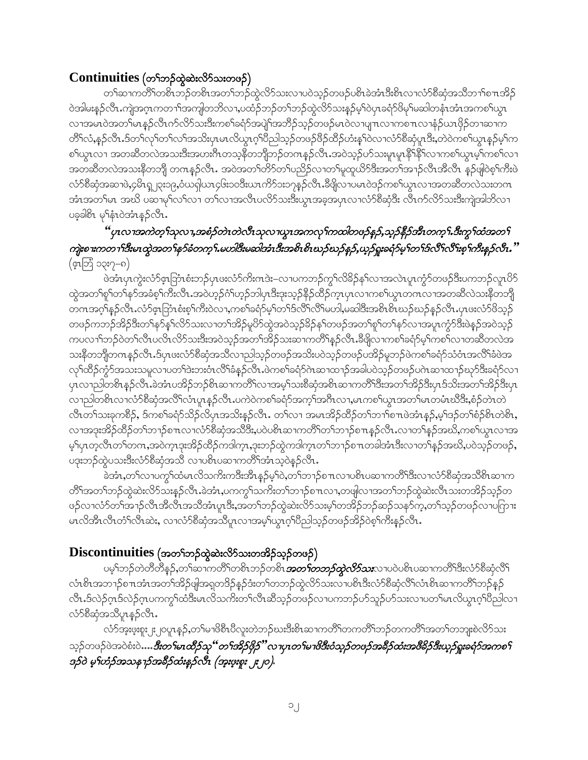### $\text{Continuous}$  (တ<br/>်ဘဉ်ထွဲဆဲးလိ $5$ သးတဖဉ်)

တၫ်ဆၢကတိႝ႞တစိၤဘဉ်တစိၤအတ႑်ဘဉ်ထွဲလိဉ်သးလၢပဝဲသူဉ်တဖဉ်ပစိၤခဲအံၤဒီးစိၤလၢလံာ်စီဆုံအသိဘၤါစ πအိဉ် ဝဲအါမးနဉ်လီၤႉကျဲအဂ္ၤကတ႑်အကျါတဘိလ႑,ပထံဉ်ဘဉ်တ႑်ဘဉ်ထွဲလိာ်သးနှဉ်မှ ်ဝဲပုၤခရံာ်ဖိမှ ်မဆါတနံၤအံၤအကစ ်ယွၤ လၢအမၤ၀ဲအတၫ်မၤန္နဉ်လီၤက်လိာ်သးဒီးကစၢ်ခရံာ်အပျဲ႞အဘိဉ်သ့ဉ်တဖဉ်မၤ၀ဲလၢပျ႑ၤလၢကစ႑ၤလၢနံဉ်ယၤဖိုဉ်တၢဆၢက တိႝၫ်လံႇန္ဉ်လီၤႉဒ်တၫ်လှၫ်တ႑်အသိးပုၤမၤလိယ္ပၤဂ့ၫ်ပီညါသူဉ်တဖဉ်ဖိဉ်ထိဉ်ဟံးန္႑်ဝဲလ႑လံာစိဆုံပူၤဒိးႇတဲဝဲကစ႑်ယ္ပၤန္ဉဉ်မ္႑်က စါယွာလၢ အတဆိတလဲအသးဒီးအဟးဂ်ီၤတသ့နိတဘိျိတဉ်တဂၤန္ဉာ်လီာႉအဝဲသ့ဉ်ဟ်သးမှုာမှု၊နိ<sup>ု</sup>နိ<sup>ု</sup>လၫကစါယွာမ့ါကစၤ်လၢ အတဆီတလဲအသးနိတဘျိ တကန္ဉာ်လီၤႉ အဝဲအတ႑်တိ႒်တ႑်ပညိဉ်လ႑တ႑်မှုထူယိ႒်ဒီးအတ႑်အ႑ာ်လီၤအီလီၤ န္5ဖျါဝဲစ့႑်ကီးဖဲ လံာ်စီဆုံအဆၢဖဲ,၄မိၤရ္စ္ကုဒ္မာ၀ု,ဝံယရှါယၤ၄၆း၁၀ဒီးယၤကိ5်ား၁၇န္ ဉ်လီၤ.ခ်ီဖျိလၢပမၤ၀ဲဒဉ်ကစ႑်ယ္၊ လၢအတဆီတလဲသးတဂၤ အံၤအတၲမၤာအဃိ ပဆၢမုၢိလၢိလၢ တ႑်လၢအလီၤပလိဉ်သးဒီးယွၤအခ့အပှၤလၢလံာ်စီဆုံဒီး လီၤက်လိဉ်သးဒီးကျဲအါတိလၢ ပခ့ခါစိၤ မှ နံၤဝဲအံၤန္ ဉ်လီၤ.

### 'ပုၤလၢအကဲတ္'ၢိသုလ႑အစံ့ဉ်တဲၤတဲလီၤသုလ႑ယ္မွၤအကလု'ၢကထါတဖဉ်န္၄,သူဉ်နိုဉ်အီၤတက္'ၢ.ဒီးကွ'ၢထံအတ႑် ကျဲးစၫးကတ႑)ဒိီးမၤထွဲအတ႑်နၥ်ခံတက္ ၊်.မဟါဒိီးမဆါအံၤဒိီးအစိၤစိၤဃဉ်ဃဉ်နဉ်,ယှဉ်ရူးခရံဉ်မှ ၊်တ႑်ဒိလိ႑်လိုးစ္ ၊်ကီးနဉ်လိၤ."  $(\epsilon \overrightarrow{q} \overrightarrow{q}$  ၁၃း၇–၈)

.<br>ဖဲအီးပုၤကွဲးလံာ်ငှာဘြီးစီးဘဉ်ပုၤဖးလံာ်ကိႏၵၤဒဲး–လၢပကဘဉ်ကွSလိခိဉ်နSလၢအလဲၤပူၤကွံာ်တဖဉ်ဒီးပကဘဉ်လူၤပိဉ် ထွဲအတၫ်စူၫ်တ႑်နှာ်အခံစ့ၫ်ကီးလီၤႉအဝဲဟ့ဉ်ဂံၫ်ဟ့ဉ်ဘါပုၤဒီးဒုးသ့ဉ်နိဉ်ထိဉ်က္ၤပုၤလၢကစၫ်ယွၤတဂၤလၢအတဆီလဲသးနိတဘျို တဂၤအဂ္ဂါနဉ်လီၤႉလံာ်ဖှာဘြံၤစံးစ့<sup>၎</sup>ကီးဝဲလၢႇကစ<sup>၎</sup>ခရံာမ့<sup>1</sup>တ႑်ဒ်လိ႑်လိြမဟါ,မဆါဒီးအစိၤစႝၤဃဉ်ဃဉ်နဉ်လီၤ.ပုၤဖးလံာ်ဖိသှဉ် တဖဉ်ကဘဉ်အိဉ်ဒီးတၫ်နှာ်နှၤ်လိာ်သးလၢတၫ်အိဉ်မူပိာ်ထွဲအဝဲသုဉ်ခိဉ်နှၤ်တဖဉ်အတ႑်စူၫ်တ႑်နှာ်လၢအပူၤကွံာ်ဒီးဖဲနှဉ်အဝဲသုဉ် ကပလၫ်ာဘဉ်ဝဲတၤ်လီၤပလိၤလိဉ်သးဒီးအဝဲသူဉ်အတၤ်အိဉ်သးဆၢကတိႝၤန္နဉ်လီၤ.ခ်ီဖျိလၢကစၢ်ခရံှာ်မ့ၤ်ကစ႑်လၢတဆိတလဲအ သးနိတဘိုတဂၤန္ဉာ်လီၤ.ဒ်ပုၤဖးလံာ်စီဆုံအသိလ႑ညါသူဉ်တဖဉ်အသိးပဝဲသူဉ်တဖဉ်ပအိဉ်မူဘဉ်ဖဲကစၢ်ခရံာ်သံဝံၤအလိၤ်ခံဖဲအ လှၤ်ထိဉ်ကွဲာ်အသးသမှုလၤပတၤ်ဒဲးဘးဝံၤလိ်ၤ်ခံနဉ်လိၤႉဖဲကစါ်ခရံာ်ဂဲၤဆၤထၤဉ်အခါပဝဲသ့ဉ်တဖဉ်ပဂဲၤဆၤထၤဉ်ဃှာ်ဒိီးခရံာ်လၤ ပုၤလၢညါတစိၤန္ဉ်လိၤ.ခဲအံၤပအိဉ်ဘဉ်စိၤဆၢကတိၲါလၢအမူ်သးစီဆုံအစိၤဆၢကတိၲါဒိီးအတၤ်အိဉ်ဒီးပုၤဒ်သိးအတၤ်အိဉ်ဒီးပုၤ လၫညါတစိၤလၢလံာ်စီဆုံအလိ်ၤလံၤပူၤန္ဉာ်လီၤ.ပကဲဝဲကစၫ်ခရံာ်အက္ဒၤ်အဂ်ီၤလၢ,မၤကစၤ်ယွၤအတၤ်မၤတမံၤဃိဒိီး,စံဉ်တဲၤတဲ လီးတၫ်သးခုကစိဉ်, ဒ်ကစၫ်ခရံဉ်သိဉ်လိပုၤအသိးန္ဉာ်လီး. တ႑်လၢ အမၤအိဉ်ထိဉ်တ႑်ဘ႑္စစ႑ားဖဲ့အံုနှဉ်,မ့္ပ်ဒဉ်တ႑်စံဉ်စိၤတဲစိၤ, လၢအဒုးအိဉ်ထိဉ်တၫ်ဘ႑ာ်စ႑ာလၢလံာ်စီဆုံအသိဒိႆး,ပ၀ဲပစိၤဆ႑ကတိႝၤ်တၫာဉ်စ႑ာနှဉ်လီၤ.လၢတ႑်နှဉ်အဃိ,ကစၤ်ယွၤလၢအ မ့်ျပာတဲ့လီၤတၫ်တဂၤ,အဝဲက္ၤဒုးအိဉ်ထိဉ်ကဒါက္٦,ဒုးဘဉ်ထွဲကဒါက္٦တၫ်ဘ႑ာ်စ႑ာတခါအံ႑ဒီးလ႑တ႑်နှဉ်အဃိႇပဝဲသူဉ်တဖဉ်, ပဒုးဘဉ်ထွဲပသးဒီးလံာ်စီဆုံအသီ လ ပစိၤပဆ ကတိ်၊အံၤသ့ဝဲနဉ်လီၤ.

ခဲအံၤႇတၫ်လၢပက္ဂၤ်ထံမၤလိသက်ိးကဒီးအိၤန္ဥဴမ္႑်ာ၀ဲႇတ႑်ာ႗ဥစ႑ာလၢပစိၤပဆ႑ကတိၤ်ဒီးလ႑လံ႒်စိဆုံအသိစိၤဆ႑က တိႝ႞အတ႞ဘဉ်ထွဲဆဲးလိ်ာသးန္ဉာ်လီၤႉခဲအံၤႇပကကွ'ၢသကိႏတ႑်ာဘည်စ႑ာလ႑တဖျါလ႑အတ႑်ဘဉ်ထွဲဆဲးလီၤသးတအိဉ်သူဉ်တ ဖဉ်လၢလံာ်တၫ်အၫဉ်လီၤအိလီၤအသိအံၤပူးဒီး,အတ႑်ဘဉ်ထွဲဆဲးလ်ာ်သးမ့္ပ်ာတအိဉ်ဘဉ်ဆဉ်သနၥ်က္,တ႑်သူဉ်တဖဉ်လၢပကြားး မာလိအီာလီၤတံၤ်လီၤဆဲး, လၢလံာ်စီဆုံအသိပူၤလၢအမ့္ပ်ယ္လာဂ္<sup>ရ</sup>ပိညါသ့ဉ်တဖဉ်အိဉ်ဝဲစ့<sup>၎</sup>ကီးနဉ်လီၤ.

### $\mathbf{Discontinuities}$  (အတ<sup>ရ</sup>ဘဉ်ထွဲဆဲးလိ<sup>5</sup>သးတအိဉ်သူဉ်တဖဉ်)

ပမ့<sup>၎</sup>ဘဉ်တဲတိတိနှဉ်,တ<sup>၎</sup>ဆၢကတိႝၤတစိၤဘဉ်တစိၤ*အတ<sup>ြ</sup>တဘဉ်တွဲလိ9်သး***လၤ**ပဲဝဲပစိၤပဆၢကတိ်<sup>၎ဌိ</sup>းလံာ်စိဆုံလိ<sup>၎</sup> လံၤစိၤအဘၫဉ်စπအံၤအတၫ်အိဉ်ဖျံအရတဒိဉ်နဉ်ဒံးတၫ်တဘဉ်ထွဲလိ်ာသးလၤပစိၤဒီးလံာ်စိဆှံလိ်ၢလံၤစိၤဆၢကတိၢ်ဘဉ်နဉ် လီၤ.ဒ်လဲဉ်ဂ္ဂၤဒ်လဲဉ်ဂ္ဂၤပကကွၫ်ထံဒီးမၤလိသက်ိးတ႑်လီၤဆီသ့ဉ်တဖဉ်လၢပကဘဉ်ဟ်သူဉ်ဟ်သးလၢပတ႑်မၤလိယ္ဂၤဂ့ၢိပိညါလၢ လံ႒်စီဆုံအသိပူၤန္႒်လိၤ.

လံာ်အူးဖူးစူး၂း၂၀ပူၤန္**ဉ်ႇ**တၤ်မၢဖိစီၤပီလူးတဲဘဉ်ဃးဒီးစိၤဆၢကတိႝၤ်တကတိႝၤ်ဘဉ်တကတိႝၤ်အတၤ်တဘူးစဲလိာ်သး သူဉ်တဖဉ်ဖဲအဝဲစံးဝဲ….*ဒီးတ်မၤထိဉ်သု''တ်းအိဉ်ဖိုဉ်''လၤပုၤတ်မၤဖိဒီးဝံသူဉ်တဖဉ်အဓိဉ်ထံးအဖိဓိဉ်ဒီးယူဉ်ရူးခရံဉ်အကစ</sub>ြ* ဒဉ်ဝဲ မွှ ဟာဉ်အသန႑ာအခီဉ်ထံးနဉ်လီး (အူးဖူးစူး ၂း၂၀).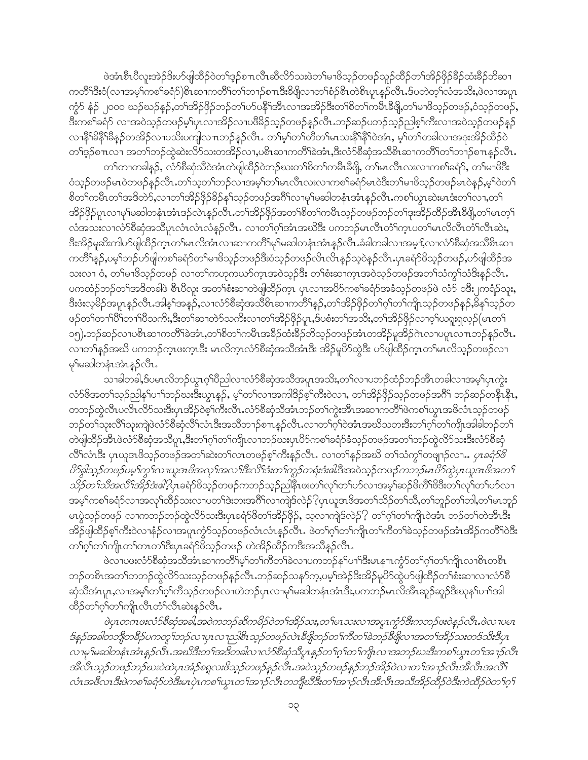ဖဲအံၤစီၤပီလူးအဲဉ်ဒိးဟ်ဖျါထိဉ်ဝဲတၫ်ဒ့ဉ်စ႑ာလီၤဆီလိာ်သးဖဲတ႑်မၢဖိသ့ဉ်တဖဉ်သူဉ်ထိဉ်တ႑်အိဉ်ဖိုဉ်ခ်ိဳဉ်ထံးခိဉ်ဘိဆ႑ ကတိ်ိုဒီးဝံ(လၢအမှက်စာ်ခရံာ်)စိၤဆၢကတိိၢတ႑်ာ႑ာစု ။ ဒီးခ်ိဖျိလၢတ႑်စံဉိစိၤတဲစိၤပူးနှဉ်လီၤ.ဒ်ပတဲတဲ့ ၊လ်အသိႏွဖဲလၢအပူ၊ ကွဲာ် နံဉ် ၂၀၀၀ ဃဉ်ဃဉ်နဉ်,တ်၊အိဉ်ဖိုဉ်ဘဉ်တ၊်ဟ်ပနိ<sup>ု</sup>ဒာီၤလၢအအိဉ်ဒီးတ၊်စိတ၊်ကမီၤခီဖို့,တ၊်မၢဖိသ့ဉ်တဖဉ်,ဝံသ့ဉ်တဖဉ်, ဒီးကစါ်ခရံာ် လၢအဝဲသူဉ်တဖဉ်မှုပြာလၢအိဉ်လၢပဖိခိဉ်သူဉ်တဖဉ်နှဉ်လီၤ.ဘဉ်ဆဉ်ပဘဉ်သူဉ်ညါစ့ါ်ကိုးလၢအဝဲသူဉ်တဖဉ်နှဉ် လၫနိ<sup>႖႙ၟ</sup>နိ႖ိန္နီဉိတအိဉ်လ႑ပသိႏပက္ပါလ႑ာဘာဉ်န္ဉာလိ႑ႉ တ႑်မ္ဒါတ႑်တိတ႑်မ႑သႏန္ဒိ႖န္ဒီ႑ဲဝဲအံ႑ႇ မ္ဒါတ႑်တခါလ႑အဒုႈအိဉ်ထိဉ်ဝဲ တၫ်ဒ့ဉ်စπလၢ အတၫ်ဘဉ်ထွဲဆဲးလိ႒်သးတအိဉ်လၢ,ပစိၤဆၢကတိႝၤ်ခဲအံၤ,ဒီးလံာ်စိဆုံအသိစိၤဆၢကတိႝၤ်တ႑ာဉ်စ႑ာနှဉ်လိၤ. တၫ်တၢတခါနဉ်, လံာ်စီဆုံသိဝဲအံၤတဲဖျါထိဉ်ဝဲဘဉ်ဃးတၫ်စိတၫ်ကမီၤခီဖျိ, တၫ်မၤလီၤလးလၢကစၢ်ခရံှာ်, တ႑်မၢဖိဒြီး

ဝံသွဉ်တဖဉ်မၤဝဲတဖဉ်နှဉ်လီၤႉတၫ်သ့တၫ်ဘဉ်လၢအမှၤ်တ႑်မၤလီၤလးလၢကစၢ်ခရံှာ်မၤဝဲဒီးတ႑်မၢဖိသ့ဉ်တဖဉ်မၤဝဲန္ဉာ,မှၤ်ဝဲတ႑် စိတၫ်ကမီၤတၫ်အဒိတဲာ်,လၢတၫ်အိဉ်ဖိုဉ်ခိဉ်န႑်သူဉ်တဖဉ်အဂိ်ၫ်လၢမှၢ်မဆါတနံၤအံၤန္ဉာ်လီၤ.ကစ႑်ယွၤဆဲးမၤဒံးတ႑်လၢ,တ႑် အိဉ်ဖိုဉ်ပူးလၢမှ1်မဆါတနံးအံၤဒဉ်လဲၤန္ဉာလီၤႉတၫ်အိဉ်ဖိုဉ်အတ႑်စိတ႑်ကမီၤသ္ဉာတဖဉ်ဘဉ်တ႑်ဒုးအိဉ်ထိဉ်အီၤဒီဖို့တ႑်မၤတ္႑် လံအသးလၢလံာ်စီဆုံအသိပူးလံၤလံၤလံနဉ်လီၤႉ လၢတ႑်ဂွါအံၤအဃိဒီး ပကဘဉ်မၤလီၤတံၤ်က္ၤပတၤ်မၤလိလီၤတံၤလီးဆဲး, ဒီးအိဉ်မူဆိုးကါပာ်ဖျါထိဉ်ကူၤတၫ်မၤလိအံၤလၢဆၢကတိႝၫမှၫ်မဆါတနံၤအံၤန္ဉာ်လီၤ.ခံခါတခါလၢအမ့†,လၢလံာ်စိဆုံအသိစိၤဆၢ ကတိႝ႞န္ဉာ်,ပမ့္ပ်ာဘဉ်ပာ်ဖျါကစၫ်ခရံှာ်တ႑်မၢဖိသ္ဉာ်တဖဉ်ဒီးဝံသူဉ်တဖဉ်လိၤလိၤန္ဉာ်သူဝဲန္ဉာ်လီၤ.ပုၤခရံှာ်ဖိသူဉ်တဖဉ်,ပာ်ဖျါထိဉ်အ သးလၢ ဝံ, တၫိမၢဖိသူဉ်တဖဉ် လၢတ႑်ကဟုကယာ်ကူးအဝဲသူဉ်ဒီး တၫိစံးဆၢကူးအဝဲသူဉ်တဖဉ်အတ႑်သံကွ႑်သံဒိုးနှဉ်လီး. ပကထံဉ်ဘဉ်တၫ်အဒိတခါဖဲ စီၤပီလူး အတ႑်စံးဆၢတဲဖျါထိဉ်က္၊ ပုၤလၢအပိဉ်ကစ႑်ခရံာ်အခံသူဉ်တဖဉ်ဖဲ လံာ် ၁ဒီး၂ကရံဉ်သူး, ဒီးဖံးလ့မိဉ်အပူၤန္ဉာလီၤ.အါန1်အနဉ်,လၢလံာ်စီဆုံအသိစိၤဆၢကတိႝၤန္ဉာ်,တၤ်အိဉ်ဖိုဉ်တၤ်ဂ့ၤ်တၤ်ကျိၤသ့ဉ်တဖဉ်နှဉ်,မိနၤ်သ့ဉ်တ ဖဉ်တၫ်တၫ်ါဝိိၤ်တၫ်ါဝိသကိႏ္ၵဒီးတ႑်ဆ႑တဲဉ်သကိုးလ႑တ႑်အိဉ်ဖိုဉ်ပူၤႇဒ်ပစီးတ႑်အသိႏႇတ႑်အိဉ်ဖိုဉ်လ႑ဝှၤ်ယရူးရလူဉ်(မၤတ႑် ၁၅) ဘဉ်ဆဉ်လၢပစိၤဆၢကတိႝၤ်ခဲအံၤႇတၤ်စိတၤ်ကမီၤအခဵဉ်ထံးခဵဉ်ဘိသ့ဉ်တဖဉ်အံၤတအိဉ်မူအိဉ်ဂဲၤလၢပပူၤလπဘဉ်နဉ်လီၤ. လၢတၫ်နဉ်အဃိ ပကဘဉ်က္ $\mathfrak n$ ဖးက္ $\mathfrak k$ း မ $\mathfrak a$ လိက္ $\mathfrak a$ လံာစိဆုံအသိအံ $\mathfrak k$ း အိဉ်မူပိာ်ထွဲဒီး ဟ်ဖျါထိဉ်က္ $\mathfrak n$ တၫ်မ $\mathfrak a$ လိသ္ဉ်ာတဖဉ်လ $\mathfrak k$ မှ\မဆါတနံၤအံၤန္နဉ်လီၤ.

သာခါတခါ,§ပမၤလိဘဉ်ယွၤဂ့ౕါပီညါလၢလံာ်စီဆုံအသိအပူၤအသိႏႇတၤ်လၢပဘဉ်ထံဉ်ဘဉ်အိၤတခါလၢအမ့ၢ်ပှၤကွဲး လံာ်ဖိအတ႑်သူဉ်ညါနှၤ်ပၫ်ဘဉ်ဃးဒီးယွၤန္ဉဉ်, မ့ၤ်တၤ်လၢအကါဒိဉ်စ့ၤ်ကီးဝဲလၢ, တၤ်အိဉ်ဖိုဉ်သူဉ်တဖဉ်အဂိၤ် ဘဉ်ဆဉ်တနိၤနိၤ, တဘဉ်တွဲလီၤပလိၤလိဉ်သးဒီးပုၤအိဉ်ဝဲစ့ဉ်ကီးလီၤႉလံဉ်စီဆုံသီအံၤဘဉ်တဉ်ကွဲးအီၤအဆၢကတိဵါဖဲကစၤ်ယွၤအဖိလံၤသ့ဉ်တဖဉ် ဘဉ်တ်၊သုံးလိ<sup>ရ</sup>သုံးကျဲဖဲလံာ်စီဆုံလိ<sup>ရ</sup>လံၤဒီးအသိဘ႑ာ်စπနှဉ်လီၤႉလၢတၫ်ဂ့ၫ်ဝဲအံၤအဃိသတးဒီးတၫ်ဂ့ၫ်တၫ်ကျိၤအါခါဘဉ်တ႑် တဲဖျါထိဉ်အိၤဖဲလံာ်စိဆုံအသိပူၤႇဒိးတၫ်ဂ့ၫ်တ႑်ကျိုးလၢဘဉ်ဃးပုၤပိာ်ကစ႑်ခရံာ်ခံသှဉ်တဖဉ်အတ႑်ဘဉ်ထွဲလိာ်သးဒိုးလံာ်စိဆုံ လိ<sup>ု</sup>လံၤဒီး ပုၤယူအဖိသ့ဉ်တဖဉ်အတ<sup>ှ</sup>ဆဲးတ<sup>ှ</sup>လၤတဖဉ်စ့<sup>၎</sup>ကီးနဉ်လီၤႉ လၢတၫ်နဉ်အဃိ တၫ်သံကွၢ်တဖျာဉ်လၢ… *ပှၤခရံဉ်ဖိ ပိ5ခွါသူဉ်တဖဉ်ပမ့<sup>ငှ</sup>ကွ* f*လၤယူအဖိအလုၤ်အလ<sup>႑</sup>ဒီးလိ<sup>ု</sup>အံးတ<sup>ု</sup>ကူဉ်တရံးဒံးဖါ*ဒီးအဝဲသုဉ်တဖဉ်*ကဘဉ်မၤပိ5ထွဲပုၤယူ*အဖိအတ1် *သိဉ်တ႑်သိအလိ<sup>ု</sup>အဉ်အံုးပါ*့ပုံ၊ခရံဉ်ဖိသှဉ်တဖဉ်ကဘဉ်သူဉ်ညါနီၤဖးတ႑်လှၤ်တ႑်ပာလၤအမှ္<sup>ဌ</sup>ဆဉ်ဖိကိြပိဒိီးတ႑်လှၤ်တ႑်ပာလၤ အမ့်ၫကစၢိခရံာ်လၢအလှၤ်ထိဉ်သးလၢပတၤ်ဒဲးဘးအဂိါလၢကျဲဒ်လဲဉ်?့ပုၤယူဒၤဖိအတၤ်သိဉ်တၤ်သိ,တၤ်ဘူဉ်တၤ်ဘါ,တၤ်မၤဘူဉ် မာပွဲသွဉ်တဖဉ် လၢကဘဉ်ဘဉ်ထွဲလိ5်သးဒီးပုၤခရံာ်ဖိတ႑်အိဉ်ဖိုဉ်, သ့လၢကျဲဒ်လဲဉ်? တ႑်ဂ့႑်တ႑်ကျုံဝဲအံၤ ဘဉ်တ႑်တဲအိၤဒီး အိဉ်ဖျါထိဉ်စ့်၊ကီးဝဲလၢနံ့ဉ်လၢအပူ၊ကွံဉ်သူဉ်တဖဉ်လံၤလံၤန္နဉ်လီၤ. ဖဲတ႑်ဂ့ၤ်တ႑်ကျိုးတ႑်ကိတ႑်ခဲသူဉ်တဖဉ်အံၤအိဉ်ကတိၤ်ဝဒိး တၫ်ဂ့ၢ်တ႑်ကျိုးတ႑်တၤတ႑်ဒီးပုၤခရံှာ်ဖိသ့ဉ်တဖဉ် ဟဲအိဉ်ထိဉ်ကဒီးအသိန္ဉာလိၤ

ဖဲလၢပဖးလံာ်စိဆုံအသိအံၤဆၢကတိ်၊မ့<sup>1</sup>တ႑်ကိတ႑်ခဲလၢပကဘဉ်နှၤ်ပ႑်္ဂါဒီးမၤန္ πက္ငံာ်တ႑်ဂ့ၢ်တ႑်ကျိုလၢစိၤတစ်ၤ ဘဉ်တစိၤအတၫ်တဘဉ်ထွဲလိ9်သးသူဉ်တဖဉ်နှဉ်လီၤ.ဘဉ်ဆဉ်သန9်က္,ပမ့ၢ်အဲဉ်ဒိးအိဉ်မူပိ9်ထွဲပ9်ဖျါထိဉ်တၫ်စံးဆ႑လ႑လံ9်စီ ဆုံသိအံၤပူး,လၫအမ့္ပ်တ႑်ဂ္ဂါကိသ္ဥဴတဖဥ်လ႑ဟဲဘဥ်ပုၤလ႑မှြမဆါတနံၤအီးးပကေဘဥ်မၤလိအီၤဆူဥ်ဆူဥ်ဒီးဃုနှၤ်ပ႑်အါ ထိဉ်တ႑်ဂ္ဂါတ႑်ကျိုလီၤတံၤ်လီၤဆဲးနဉ်လီၤ.

ဖဲပုၤတဂၤဖးလံာ်စီဆုံအခါ,အဝဲကဘဉ်ဆိကမိဉ်ဝဲတ<sup>ရ</sup>အိဉ်သး,တ<sup>ရု</sup>မၤသးလၢအပူၤက္ခံာ်ဒီးကဘဉ်ဖးဝဲနှဉ်လီၤ.ဖဲလၢပမၤ ဒ်နဉ်အခါတဘိုတခဵဉ်ပကတူ ်ဘဉ်လ ပုၤလ႑သါစိၤသ္ဉ်တဖဉ်လဲၤဒီဖျိဘဉ်တ ်ကီတ ််ဆဲဘု်ဒီဖျိလ ၊အတ ်၊အိဉ်သးတဒ်သိးဒီပုၤ လ ၊မှ မဆါတနံၤအံၤန္နာ လိၤးအဃိဒီးတ ၊်အဒိတခါလ ၊လံဉ်ဗိဆုံသိပူ၊ နှဉ်တ ၊်ဂ့ ၊်တ ၊်ကျိၤလ ၊အဘဉ်ဃးဒီးကစ ၊်ယွၤတ ၊်အ႑ာဴလိၤ အီလီၤသူဉ်တဖဉ်ဘဉ်ဃးဝဲထဲပုၤအံ့ဉ်စရူလးဖိသူဉ်တဖဉ်နှဉ်လီၤ.အဝဲသူဉ်တဖဉ်နှဉ်ဘဉ်အိဉ်ဝဲလၤတၤ်အၤဉ်လီၤအီလီၤအလီၤ် လံၤအဗီလၤဒီးဖဲကစ1်ခရံှာ်ဟဲဒီးမၤပုဲၤကစ1်ယွၤတ1်အ႑ာ်လီၤတဘိုုၿၖိဒီးတ1်အ႑ာ်လီၤအိလီၤအသီအိဉ်ထိဉ်ဝဲဒီးကဲထိဉ်ဝဲတ1်ဂူ ၊်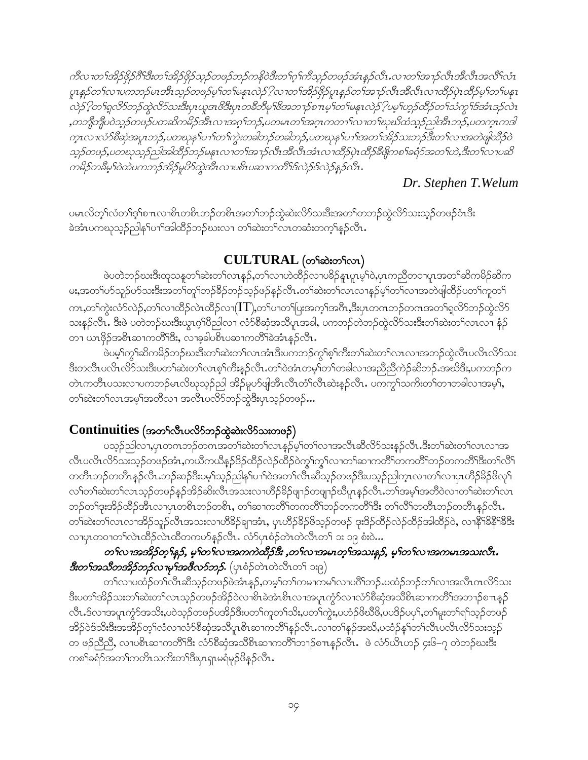ကီလ 1တ ်အိဉ်ဖိုဉ်ဂိ်းနီးတ ်အိဉ်ဖိုဉ်သူဉ်တဖဉ်ဘဉ်ကနိဝဲဒီးတ ်ဂု ်ကီသုဉ်တဖဉ်အံၤန္ဉာလီၤ.လ 1တ ်အ 1ှာ်လီၤအီလီၤအလီၤ်လံၤ ပူးနှဉ်တ ်လ ၊ပကဘဉ်မၤအီးသု့ဉ်တဖဉ်မ့္ပ်တ္ မန္နၤလဲဉ် ့ါလ ၊တ ်အိဉ်ဖိုဉ်ပူးနှဉ်တ ်အ႑ာ်လီးအီလီးလ ၊ထိဉ်ပဲ့၊ ထိဉ်မ့္ပ်တ ်မနုၤ လဲဉ် ?တ႑်ရှလိဉ်ဘဉ်ထွဲလိဉ်သးဒီးပုၤယူအဖိဒီးပုၤတစီဘီမှ ဖြဲအဘ႑ာ်စ႑ာမွ 1တ႑်မနုၤလဲဉ် ?ပမ္ 1ဟူဉ်ထိဉ်တ႑်သံကွ iဒ်အံၤဒဉ်လဲၤ ,တဘျီဘျီပဝဲသူဉ်တဖဉ်ပတဆိကမိဉ်အီၤလၢအဂ္ဂ္ဥာာဉ်,ပတမၤတ႑်အဂ္ဂၤကတ႑ၤ်လၢတ႑်ဃ္ဥသို့ထံသူဉ်ညါအီၤဘဉ်,ပတက္ဇ္ပၤကဒါ က္နၤလၢလံာ်စီဆုံအပူၤဘဉ်,ပတဃုန1်ပ႑ါတ႑်ကွဲးတခါဘဉ်တခါဘဉ်,ပတဃုန1်ပ႑ါအတ႑်အိဉ်သးဘဉ်ဒီးတ႑်လ႑အတဲဖျါထိဉ်ဝဲ သူဉ်တဖဉ်,ပတဃုသူဉ်ညါအါထိဉ်ဘဉ်မနုၤလၢတ႑်အ႑ာ်လီၤအီလီၤအံၤလၢထိဉ်ပုဲၤထိဉ်စီဖျိုကစ႑်ခရံာ်အတ႑်ဟဲ,ဒီးတ႑်လၤပဆိ ကမိဉ်တခ်ိမှ ဂြဲထဲပကဘဉ်အိဉ်မှုပိုာ်ထွဲအီၤလ ၊ပစိၤပဆ ၊ကတိိ ၊်ဒ်လဲဉ်ဒ်လဲဉ်နဉ်လီး.

### Dr. Stephen T. Welum

ပမၤလိတ့ၢ်လံတၫ်ဒ့ၢ်စπလၢစိၤတစိၤဘဉ်တစိၤအတ႑်ဘဉ်ထွဲဆဲးလိ5်သးဒီးအတ႑်တဘဉ်ထွဲလိ5်သးသ့ဉ်တဖဉ်ဝံၤဒီး ခဲအံၤပကၰသ့ဉ်ညါန5်ပၫ်အါထိဉ်ဘဉ်ဃးလၢ တSဆဲးတSလၤတဆံးတက့်Sနှဉ်လီၤ.

### $CULTURAL$  (တ႑ိဆဲးတ႑ိလာ)

ဖဲပတဲဘဉ်ဃးဒီးထူသန္နတၫ်ဆဲးတၫ်လၤန္နဉ်ႇတၫ်လၢဟဲထိဉ်လၢပခိဉ်နူၤပူၤမ့ၫ်ဝဲႇပှၤကညီတဝၢပူၤအတ႑်ဆိကမိဉ်ဆိက မး,အတၫ်ဟ်သူဉ်ဟ်သးဒီးအတၫ်တူၫ်ဘဉ်ခိဉ်ဘဉ်သ့ဉ်ဖဉ်နှဉ်လီၤႉတၫ်ဆဲးတၫ်လၤလၢနှဉ်မှၢ်တၫ်လၢအတဲဖျါထိဉ်ပတၫ်ကူတ႑် ကာ $\alpha$ ာ်ကွဲးလံ $\beta$ လဲ့ $\beta$ တ်လာထိဉ်လဲာထိဉ်လ $\gamma(T)$ တ်ပာတ $\beta$ ပြးအကဲ့ $\beta$ အဂီ $\alpha$ အိပ္ပာတကဘဉ်တကအတ $\beta$ ရှလိ $\beta$ ဘဉ်ထွဲလိ $\beta$ သးနဉ်လီၤ. ဒီးဖဲ ပတဲဘဉ်ဃးဒီးယူၤဂ္ဂၢိပိညါလၢ လံာ်စီဆုံအသိပူၤအခါ, ပကဘဉ်တဲဘဉ်ထဲ့လိာ်သးဒီးတၫ်ဆဲးတၫ်လၤလၢ နံ့ဉ် တ႑ယၤဖိုဉ်အစိၤဆၢကတိ်္ဂါဒီး, လၢခ့ခါပစိၤပဆၢကတိ််၊ခဲအံၤန္ဉာလီၤ.

ဖဲပမ့်ၫ်ကွၢ်ဆိကမိဉ်ဘဉ်ဃးဒီးတၫ်ဆဲးတၫ်လၤအံၤဒီးပကဘဉ်ကွၢ်စ့ၢ်ကီးတၫ်ဆဲးတၫ်လၤလၢအဘဉ်ထွဲလီၤပလိၤလိဉ်သး ဒီးတလီၤပလိၤလိဉ်သးဒီးပတၫ်ဆဲးတၫ်လၤစ့ၫ်ကီးနဉ်လီၤ.တၫ်ဝဲအံၤတမ့ၫ်တၫ်တခါလၢအညီညီကဲဉ်ဆိဘဉ်.အဃိဒီး,ပကဘဉ်က တဲၤကတိၤပသးလၢပကဘဉ်မၤလိဃုသ့ဉ်ညါ အိဉ်မူဟ်ဖျါအီၤလိၤတိၤလိၤဆဲးနှဉ်လိၤႉ ပကကွ ်သက်းတ ်တၢတခါလၢအမ့ ်၊, တၫ်ဆဲးတၫ်လၤအမ့ၢ်အတိလၢ အလီၤပလိ႒်ဘဉ်ထွဲဒီးပုၤသ္ဥဴတဖဉ်…

#### $\text{Continuous}$  (အတ<br/>်လီးပလိ $5$ ဘဉ်ထွဲဆဲးလိ $5$ သးတဖဉ်)

ပသူဉ်ညါလၢ,ပုၤတဂၤဘဉ်တဂၤအတၫ်ဆဲးတၫ်လၤန္နဉ်မှ႞တ႑်လၢအလီၤဆီလိ်ာသးန္ဉာ်လီၤ.ဒီးတ႑်ဆဲးတ႑်လၤလၢအ လီၤပလိၤလိ>်သးသ့ဉ်တဖဉ်အံၤႇကယိကယိန္ဉာ်ဒိဉ်ထိဉ်လဲဉ်ထိဉ်ဝဲကွ့်ကွ့်ၫလၫတ႑်ဆ႑ကတိႝၤ်တကတိႝၤ်ဘဉ်တကတိႝၤဒိီးတၤ်လိႝၤ် တတိၤဘဉ်တတိၤန္ဉာ်လိၤ.ဘဉ်ဆဉ်ဒီးပမ့္်ာသူဉ်ညါနှၤ်ပၫ်ဝဲအတၤ်လီၤဆီသ့ဉ်တဖဉ်ဒီးပသူဉ်ညါက္ၤလၢတၤ်လၤပုၤဟိဉ်ခိဉ်ဖိလှၤ် လၫ်တၫ်ဆဲးတၫ်လၤသ့ဉ်တဖဉ်နဉ်အိဉ်ဆိုးလီၤအသးလၢဟိဉ်ခိဉ်ဖျာဉ်တဖျာဉ်ဃိပူၤန္ဉာ်လီၤ.တၫ်အမ့ၢ်အတိဝဲလၢတၫ်ဆဲးတ႑်လၤ ဘဉ်တၢ်ဒုးအိဉ်ထိဉ်အီၤလၢပုၤတစ်ၤဘဉ်တစ်ၤ, တၢ်ဆၢကတိၤ်တကတိၤ်ဘဉ်တကတိၤ်ဒီး တၤ်လိၤ်တတိၤဘဉ်တတိၤန္ဉာ်လီၤ. တၫ်ဆဲးတၫ်လၤလၢအိဉ်သူဉ်လီၤအသးလၢဟိခိဉ်ချာအံၤ, ပုၤဟိဉ်ခိဉ်ဖိသူဉ်တဖဉ် ဒုးဒိဉ်ထိဉ်လဲဉ်ထိဉ်အါထိဉ်ဝဲ, လၢနိုၫ်ခနိ႑ခ်ိန္မ် လၢပုၤတဝၢတၫ်လဲၤထိဉ်လဲၤထိတကဟ်နဉ်လိၤႉ လံာ်ပုၤစံဉ်တဲၤတဲလိၤတ႑် ၁း ၁၉ စံးဝဲ…

### တၫ်လၢအအိဉ်တုၫ်နဉ်, မ့ၫ်တ႑်လၢအကကဲထိဉ်ဒီး ,တ႑်လၢအမၤတ္႑်အသးနဉ်, မ့ၫ်တ႑်လၢအကမၤအသးလီး . *ဒီးတ<sup>ရု</sup>အသီတအိ<i>ုဘဉ်လၫမု***ၢ်အဖိ***လာ်ဘဉ်***.** (ပုၤစံဉ်တဲၤတဲလီၤတ<sup>၎</sup>ား၉)

တၫ်လၢပထံဉ်တၫ်လီၤဆီသ့ဉ်တဖဉ်ဖဲအံၤန္ဉာ်,တမ့ၢ်တ႑်ကမၢကမၢ်လၢပဂိၢ်ဘဉ်ႉပထံဉ်ဘဉ်တ႑်လၢအလီၤဂၤလိ႒်သး ဒီးပတၫ်အိဉ်သးတၫ်ဆဲးတၫ်လၤသ့ဉ်တဖဉ်အိဉ်ဝဲလၢစိၤခဲအံၤစိၤလၢအပူၤက္ဂံာ်လၢလံာ်စီဆုံအသိစိၤဆၢကတိၤ်အဘ႑ာ်စ႑ာနှဉ် လီၤ.ဒ်လၢအပူၤက္ဂံာ်အသိႏႇပ၀ဲသ့ဉ်တဖဉ်ပအိဉ်ဒီးပတ႑်ကူတ႑်သိႏႇပတ႑်ကွဲႏႇပဟံဉ်ဖိဃိဖိႇပပဒိဉ်ပပု႑်ႇတ႑်မူးတ႑်ရ႑်သ့ဉ်တဖဉ် အိဉ်ဝဲဒ်သိးဒီးအအိဉ်တ့််လံလၢလံာ်စီဆုံအသိပူ၊စိၤဆၢကတိ်၊နဉ်လီၤ.လၢတ႑်နဉ်အဃိ,ပထံဉ်နှ်္ဂတ႑်လီၤပလိၤလိ်သးသ့ဉ် တ ဖဉ်ညီညီ, လၢပစိၤဆၢကတိ််းဒီး လံာ်စိဆုံအသိစိၤဆၢကတိ်ၤဘၢဉ်စ႑ၤန္ဉာလီၤ. ဖဲ လံာ်ယိၤဟဉ် ၄း၆–၇ တဲဘဉ်ဃးဒီး ကစၫ်ခရံာ်အတၫ်ကတိၤသကိႏတၫ်ဒီးပုၤရျာမရံမှဉ်ဖိနဉ်လီၤ.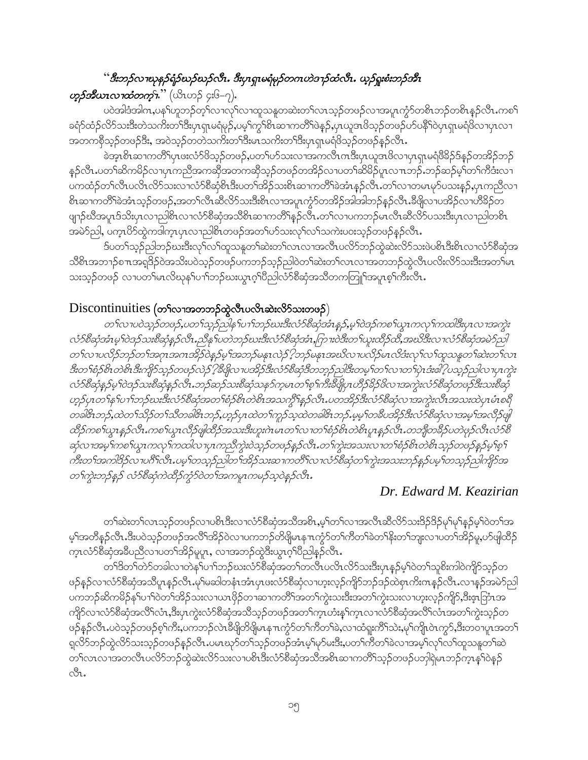### "ဒီးဘဉ်လၢၰနဉ်ရံဉ်ဃဉ်ဃဉ်လီး. ဒီးပုၤရှၤမရံမှဉ်တဂၤဟဲဒ႑ာ်ထံလီး. ယှဉ်ရှူးစံးဘဉ်အီး

#### **တ္မွ***်ဒီယၤလၫထံတက္***ၤ**" (ယိၤဟဉ် ၄း၆–၇).

ပဝဲအါဒံအါကႇပန<sup>ှ</sup>ပ႒ူဘဉ်တ့််လၢလု်လၢထူသန္ဓတဆဲးတ်လၤသ့ဉ်တဖဉ်လၢအပူၤကွံာ်တစ်ၤဘဉ်တစ်ၤန္ဉာလီၤ.ကစၤ် ခရံာ်ထံဉ်လိာ်သးဒီးတဲသကိးတၫ်ဒီးပုၤရှၤမရံမှဉ်,ပမ့ၢ်ကွၢ်စိၤဆၢကတိႝၤ်ဖဲန္ဉ်,ပုၤယူအဖိသ့ဉ်တဖဉ်ပာ်ပနိႝၤ်ဝဲပုၤရှၤမရံဖိလၢပုၤလၢ အတကစိုသ့ဉ်တဖဉ်ဒီး, အဝဲသ့ဉ်တတဲသကိႏတၤ်ဒီးမၤသကိႏတၤ်ဒီးပုၤရှၤမရံဖိသ့ဉ်တဖဉ်နဉ်လီၤ.

ခဲအ့ၤစိၤဆၢကတိိၢပုၤဖးလံာ်ဖိသ့ဉ်တဖဉ်,ပတၫ်ဟ်သးလၢအကလိၤကဒီးပုၤယူအဖိလၢပုၤရှၤမရံဖိခိဉ်ဒ်န္ဉာ်တအိဉ်ဘဉ် နှဉ်လီၤႉပတၫ်ဆိကမိဉ်လၢပုၤကညီအကဆိုအတကဆိုသုဉ်တဖဉ်တအိဉ်လၢပတၫ်ဆိမိဉ်ပူၤလၤာဘု်ႉဘဉ်ဆဉ်မ့ၢ်တၫ်ကီဒံးလၢ ပကထံဉ်တ<sup>ှ</sup>လီၤပလိၤလိ်ာသးလ<sup>ှ</sup>လံဉ်စီဆုံစိၤဒီးပတ<sup>ြ</sup>အဉ်သးစိၤဆၢကတိႝ်၊ခဲအံၤန္ဉာလီၤ.တ<sup>ှ</sup>လၢတမၤမှာ်ပသးနဉ်,ပုၤကညီလၢ စိၤဆၢကတိႝ<sup>ရဲ</sup>ခဲအံၤသ့ဉ်တဖဉ်,အတၤ်လီၤဆီလိ်ာသးဒီးစိၤလၢအပူၤကွံာ်တအိဉ်အါအါဘဉ်နဉ်လီၤႉဒီဖျိလၢပအိဉ်လၢဟိ<sup>8</sup>ဉ်တ ဖျာဉ်ဃီအပူၤဒ်သိးပုၤလၢညါစိၤလၢလံာ်စိဆုံအသိစိၤဆၢကတိႝၤန္နဉ်လီၤႉတ႑်လၢပကဘဉ်မၤလီၤဆီလိာ်ပသးဒီးပုၤလၢညါတစိၤ အမဲ5ညါ, ပက္ဂၤ $8$ 5်ထွဲကဒါက္ဂၤပုၤလ႑ာပါစိၤတဖဉ်အတ႑်ဟ်သးလုၤ်လၤ်သကဲးပဝးသ္ဉာ်တဖဉ်နဉ်လီၤ $\centerdot$ 

ဒ်ပတၫ်သှဉ်ညါဘဉ်ဃးဒီးလှ\လၫ်ထူသနုတၫ်ဆဲးတ႑်လၤလၢအလီၤပလိ်ာဘဉ်ထွဲဆဲးလိ်ာသးဖဲပစိၤဒီးစိၤလၢလံာ်စီဆုံအ သိစိၤအဘၫဉ်စπအရုဒိဉ်ဝဲအသိးပဝဲသ့ဉ်တဖဉ်ပကဘဉ်သ့ဉ်ညါဝဲတၫ်ဆဲးတ႑်လၤလၢအတဘဉ်ထွဲလီၤပလိးလိ်ာသးဒီးအတ႑်မၤ သးသုဉ်တဖဉ် လၫပတ်မြာလိဃုနှၤ်ပၢၤ်ဘဉ်ဃးယွာဂ့ၢ်ပီညါလံာ်စိဆုံအသိတကတြူၤ်အပူၤစ့ၤ်ကီးလီၤ

#### Discontinuities (တ<sup>ှ</sup>လာအတဘဉ်တွဲလီၤပလိၤဆဲးလိ<sup>5</sup>သးတဖဉ်)

တ႑်လ ၊ပဝဲသူဉ်တဖဉ်,ပတ႑်သူဉ်ညါနှ ၊်ပ႑်ဘဉ်ဃးဒီးလံဉ်စီဆုံဒာံၤန္နဉ်,မူၫဝဲဒဉ်ကစ႑်ယွၤကလု႑်ကထါဒီးပုၤလ ၊အကွဲး လံဉ်စီဆုံအံၤမ္ ါဝဲဒဉ်သးစီဆုံနှဉ်လီၤ.ညီနှၤ်ပတဲဘဉ်ဃးဒီးလံဉ်စီဆုံအံၤ,ဂြာၢးဝဲဒီးတ႑်ယူးထိဉ်ထိ,အဃိဒီးလ႑လံဉ်စီဆုံအမဲဉ်ညါ တ႑်လၢပလိုဉ်ဘဉ်တ႑်အဂုၤအဂၤအိဉ်ဝဲနှဉ်မှ ၊်အဘဉ်မနုၤလဲဉ် ?ဘဉ်မနုၤအဃိလၢပလိုဉ်မၤလိဒ်းလှ ၊်လ႑်ထူသန္ဓတ႑်ဆဲးတ႑်လၤ ဒီးတ1်စုံဉစိၤတဲစိၤဒီးကျိုာသုဉ်တဖဉ်လဲဉ် ?ဒီဖျိုလ ၊ပအိဉ်ဒီးလံဉ်စီဆုံဒီတဘ္ဥာညါဒီးတမှ ၊်တ1်လ ၊တ1်ပုဲၤဒံးဓါ ?ပသုဉ်ညါလ ၊ပုၤကွဲး လံဉ်စီဆုံနည်မှ ဂြဲဒဉ်သးစီဆုံနည်လီး တည်ဆည်သးစီဆုံသန5်က္ခမၤတ႑်စ္႑်ကိုးခ်ီဖြိုပုၤဟိဉ်ခိဉ်ဖိလ ၊အကွဲးလံဉ်စီဆုံတဖည်ဒီးသးစီဆုံ ဟူဉ်ပုၤတ႑်နှ1်ပ႑ါဘဉ်ဃးဒီးလံဉ်စီဆုံအတ႑်စံဉစိၤတဲစိၤအသက္ဂ်ီ န္ဥာ်လီၤ.ပတအိဉ်ဒီးလံဉ်စီဆုံလ ၊အကွဲးလီၤအသးထဲပုၤမံၤစရိ တခါဇိၤဘဉ်,ထဲတ ၊်သိဉ်တ ၊်သီတခါဇိၤဘဉ်,ဟူဉ်ပုၤထဲတ ၊်ကူဉ်သွထဲတခါဇိၤဘဉ်.မမ္ ၊်တခ်ီပဒါဉ်ဒီးလံာ်စီဆုံလ ၊အမ္ ၊်အလိဉ်ဖျိ ထိဉ်ကစ†ယ္ပၤန္နဉ်လီၤ.ကစ†ယ္ပၤလီဉ်ဖျါထိဉ်အသးဒီးဟူးဂဲၤမၤတ†လ႑တ†စံဉ်စိၤတဲစိၤပူၤန္နဉ်လီၤ.တဘိျတခ်ိဉ်ပတဲဖုဉ်လီၤလံဉ်စိ ဆုံလ ၊အမ္ ၊်ကစ ၊်ယ္ဂၤကလု ၊်ကထါလ ၊ပုၤကညီကွဲးဝဲသူ၌တဖဉ်နည်လီး တ ၊်ကွဲးအသးလ ၊တ ၊်စံဉစ်၊ တဲစိ၊ သူ၌တဖဉ်နည်မှ ၊စူ ၊ .<br>ကိုးတ iအကါဒိဉ်လ ၊ပင်္ဂိုလီၤ.ပမ္ iတသ္ဥည္ပါတ iအိဉ်သးဆ ၊ကတိ iလ ၊လံ5စီဆုံတ iကဲ့းအသးဘဉ်နဉ်ပမ္ iတသ္ဥည္ပါကျဉ်အ တ႑်ကွဲးဘဉ်နဉ် လံဉ်စီဆုံကဲထိဉ်ကုံဉ်ဝဲတ႑်အကမူးကမဉ်သူဝဲနဉ်လီး.

#### Dr. Edward M. Keazirian

တၫ်ဆဲးတၫ်လၤသ့ဉ်တဖဉ်လၢပစိၤဒီးလၢလံာ်စီဆုံအသိအစိၤ,မ့ၢ်တ႑်လၢအလီၤဆီလိဉ်သးဒိဉ်ဒိဉ်မှ႑်မှ႑်နှဉ်မှ႑်ဝဲတ႑်အ မ့်ၫအတိန္ဉာ်လီၤႉဒီးပဝဲသ္ဉာ်တဖဉ်အလိံၫအိဉ်ဝဲလၤပကဘဉ်တိဖျိမၤနπကွံာ်တၫ်ကိတၫ်ခဲတၫ်နိုးတၫ်ဘူးလၤပတၫ်အိဉ်မှု,ဟ်ဖျါထိဉ် က္နာလံာ်စိဆုံအခ်ဳပညီလ ပတၫ်အိဉ်မူပူး, လ အဘဉ်တွဲဒီးယွာဂ္်ါပိညါနဉ်လီး.

တၫ်ဒိတၢ်တဲာ်တခါလၢတဲနှၤ်ပၢၤ်ဘဉ်ဃးလံာ်စီဆုံအတၤ်တလီၤပလိၤလိာ်သးဒီးပုၤန္ဉာမ့ၤ်ဝဲတၤ်သူစိးကါဝဲကျိာ်သွဉ်တ ဖဉ်နဉ်လၢလံာ်စီဆုံအသိပူ၊နှဉ်လိံၤ.မှါမဆါတနံၤအံၤပုၤဖးလံာ်စီဆုံလၢဟူးလှဉ်ကျိာ်ဘဉ်ဒဉ်ထဲစုၤကိးကနှဉ်လိံၤ.လၢနှဉ်အမဲာ်ညါ ပကဘဉ်ဆိကမိဉ်န<်ပၫ်ဝဲတၫ်အိဉ်သးလ႑ယၤဖိုဉ်တ႑ဆ႑ကတိိၢအတ႑်ကွဲးသးဒီးအတ႑်ကွဲးသးလ႑ဟူးလ့ဉ်ကျိဉ်,ဒီးဇူးဘြဲၤအ ကျိုာ်လၢလံာ်စီဆုံအလိ်၊လံၤႇဒီးပု၊ကွဲးလံာ်စီဆုံအသိသုဉ်တဖဉ်အတၢ်က္ၤဟံးနှၤ်က္ၤလၢလံာ်စီဆုံအလိၤ်လံၤအတၤ်ကွဲးသုဉ်တ ဖဉ်နဉ်လီၤႉပဝဲသ့ဉ်တဖဉ်စ့<sup>၎</sup>ကီး,ပကဘဉ်လဲၤဒီဖျိတိဖျိမၤန႑ၤက္ဂံာ်တ႑်ကီတ႑်ခဲ,လၢထံရူးကီၤ်သဲး,မှၤ်ကျိၤဝဲၤက္ဂာ်,ဒီးတဝၢပူၤအတ႑် ရလိ>်ဘဉ်ထွဲလိ>်သးသ့ဉ်တဖဉ်နှဉ်လီၤ.ပမာဃုာ်တၫ်သ့ဉ်တဖဉ်အံာမ့ှ၊မှာ်မးဒီး,ပတၫ်ကီတၫ်ခဲလၢအမ့ၢ်လှၢ်လၢ်ထူသနူတ႑်ဆဲ တၫ်လၤလၢအတလီၤပလိ်ာဘဉ်ထွဲဆဲးလိ်ာသးလၢပစိၤဒီးလံာ်စီဆုံအသိအစိၤဆၢကတိႝၤ်သ္ဉ်တဖဉ်ပဘုါရဲမၤဘဉ်က္ၤန္ၫ်ဝဲန္ဉ် cSı.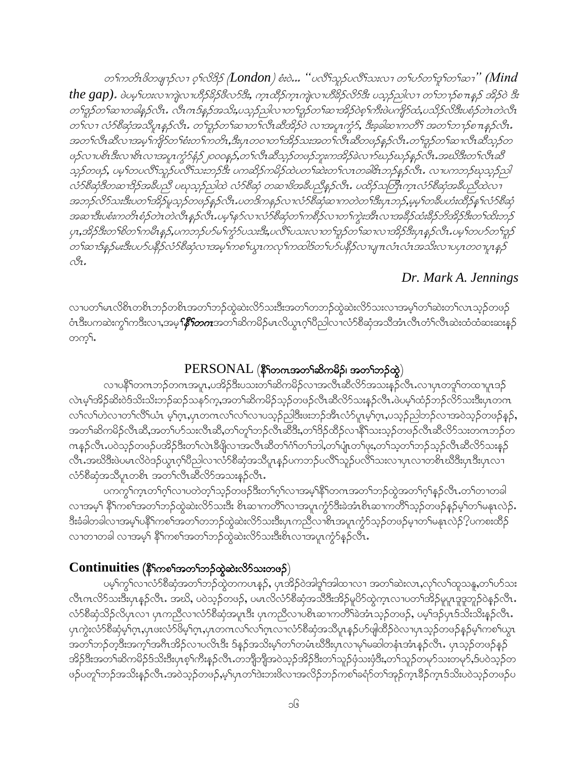တ႑်ကတိၤဖိတဖျာဉ်လ႑ ဝ္႑လိဒ္ဓိဉ် (London) စံးဝဲ… ''ပလီ႑သူဉ်ပလီြသးလ႑ တ႑်ဟ်တ႑်ဒူ႑်တ႑်ဆ႑'' (Mind the gap). ဖဲပမ္<sup>ရ</sup>ဟးလၫက္ပဲလၫဟိႆာ်ခ်ိန်ဒီဖိလာ်ဒီး, က္ၤထိိုခ်က္ၤက္ပဲလၤဟိႆခ်ိုခ်လိုခ်ိဳး ပသူခ်ည္ပါလ႑တ႑်ာကန္ေနာ် အိုခ်ဝဲ ဒီး တ႑်ဒူဉ်တ႑်ဆ႑တခါနှဉ်လီး . လီးဂၤဒ်နည်အသိႏႈပသူဉ်ညါလ႑တ႑်ဒူဉ်တ႑်ဆ႑အိဉ်ဝဲစ္ ၊်ကီးဖဲပကျိဉ်ထံ,ပသိဉ်လိဒီးပစံဉ်တဲၤတဲလီး တ1်လၢ လံာ်စီဆုံအသိပ္စၫန္နှဉ်လိၤ. တ႑်္မာ့ဉ်တ႑်ဆ႑တ႑်လီၤဆီအိဉ်ဝဲ လ႑အပ္ပ႑က္စဉ်, ဒီးခ့ခါဆ႑ကတိႝ အတ႑်ဘ႑ာ်စ႑ာန္နဉ်လိၤ. အတ႑်လီးဆီလၤအမ္1်ကျိုာ်တ႑်စီးတ႑်ကတိၤႇဒီးပုၤတဝ႑တ႑်အိဉ်သးအတ႑်လီးဆီတဖဉ်နှဉ်လီၤႉတ႑်ဒူဉ်တ႑်ဆ႑လီးဆီသု့ဉ်တ ဖဉ်လၢပစိၤဒီးလၢစိၤလၢအပူၤကၠႆာနုံဉ်၂၀၀၀န္၄,တ႑်လီၤဆီသုဉ်တဖဉ်ဘူးကအိဉ်ခဲလ႑ာ်ဃဉ်ဃှဉ်နှဉ်လီၤ.အဃိဒီးတ႑်လီၤဆီ သူဉ်တဖဉ်, ပမ္ ါတပလီ ါသူဉ်ပလီ ါသးဘဉ်ဒီး ပကဆိုဉ်ကမိဉ်ထဲပတ ါဆဲးတ ါလၤတခါဇိၤဘဉ်နဉ်လိၤ. လ ၊ပကဘဉ်ဃုသူဉ်ညါ လ်ာစိဆုံဒီတဆၢဒိဉ်အခီပညီ ပဃုသုဉ်ညှါထဲ လံာစိဆုံ တဆၢဖိအခီပညီနဉ်လီၤ. ပထိဉ်သတြီၤက္ၤလံာစိဆုံအခ်ီပညီထဲလ႑ အဘဉ်လိဉ်သးဒီးပတ'ါအိဉ်မူသုဉ်တဖဉ်နှဉ်လီၤ.ပတဒိကနဉ်လ႑လံဉ်စီဆုံဆ႑ကတဲတ'ါဒီးပုၤဘဉ်,မမ့'ါတစီပဟံးထိဉ်နှ'ါလံဉ်စီဆုံ အဆၢဒီးပစံးကတိၤစံဉ်တဲၤတဲလိၤန္ဉာလိၤ.ပမ္5နာ်လၤလံာ်စီဆုံတ႑်ကစိဉ်လၤတ႑်က္မဲးအီၤလၤအခ်ီဉ်ထံးခ်ီဉ်ဘိအိဉ်ဒီးတ႑်ထိးဘဉ် ပုၤ,အိဉ်ဒီးတ`်စိတ`်ကမဵိၤန္ဉၨာ,ပကဘဉ်ပာဴမ ်က္စာဴပသးဒီးႇပၸိ်ၤပသးလ႑တၤဴဒူဉ်တၤ်ဆ႑လ႑အိဉ်ဒီးပုၤန္ၟာလီၤႉပမ္ၤ်တပာဴတၤဴဒူဉ တၫ်ဆၢဒ်န္ ဉ်မးဒီးပဟ်ပနိုဉ်လံဉ်စီဆုံလၢအမှုၫ်ကစ႑်ယွၤကလုၤ်ကထါဒ်တ႑်ဟ်ပနိဉ်လၤပျπလံၤလံၤအသိးလၤပပုၤတဝ႑ပူးနှဉ်  $\bigcap_{\alpha\in\mathcal{A}}$ 

#### Dr. Mark A. Jennings

လၢပတ1်မၤလိစိၤတစိၤဘဉ်တစိၤအတ1်ဘဉ်ထွဲဆဲးလိ5်သးဒီးအတ1်တဘဉ်ထွဲဆဲးလိ5်သးလၢအမ့1်တ1်ဆဲးတ1်လၤသ့ဉ်တဖဉ် ဝံၤဒီးပကဆဲးကွ<sup>ရ</sup>ကဒိးလ႑အမ္**<sup>႐ု</sup>န္မွ***်တဂၤ***အတ**်ာဆိကမိဉ်မၤလိယ္ပၤဂ့ၢ်ပိညါလ႑လံာ်စိဆုံအသိအံၤလိၤတံၤလိၤဆဲးထံထံဆးဆးန္ဉာ် တက္¶.

#### $PERSONAL$  (နိ $\mathfrak f$ တကအတ $\mathfrak f$ ဆိကမိ $\mathfrak f$ ၊ အတ $\mathfrak f$ တ္တဲ)

လၢပနိႝႝ႞တဂၤဘဉ်တဂၤအပူး,ပအိဉ်ဒီးပသးတ႑်ဆိကမိဉ်လၢအလီၤဆီလိာ်အသးနဉ်လီၤ.လၢပုၤတဒူၢ်တထၢပူၤဒဉ် လဲၤမ့ၢ်အိဉ်ဆိးဝဲဒ်သိးသိးဘဉ်ဆဉ်သန5်က့,အတ႑်ဆိကမိဉ်သ့ဉ်တဖဉ်လီၤဆီလိ5်သးနှဉ်လီၤ.ဖဲပမ့ၢ်ထံဉ်ဘဉ်လိ5်သးဒီးပုၤတဂၤ လၫ်လ႑်ဟဲလ႑တ႑်လွိြယ္၊ မ့္ပ်ပ္၊ ပုၤတယက္လ႑တ႑တဘာတိုဘုရွားဖူးသဉ်အူးတုဉ်ပုံ၊ ဂုံဟုံးကဘာပုံသျသည့်လျှသွားသွားပုံသုံးမွ် အတၫ်ဆိကမိဉ်လိၤဆိ,အတၫ်ဟ်သးလိၤဆိ,တၫ်တူၫ်ဘဉ်လိၤဆိဒိး,တၫ်ဒိဉ်ထိဉ်လၢနိံၤ်သးသု့ဉ်တဖဉ်လိၤဆိလိ်ာသးတဂၤဘဉ်တ ကန္ဥ်လီၤႉပဝဲသူဥ်တဖဥ်ပအိဥ်ဒီးတ႑်လဲၤနီဖြိုလၤအလီၤဆီတ႑်ဂံ႑်တ႑်ဘါ,တ႑်ပျံၤတ႑်ဖုံး,တ႑်သ့တ႑်ဘဥ်သုဥ်လီၤဆီလိဉ်သးနှဉ် လီၤ.အဃိဒီးဖဲပမၤလိဝဲဒဉ်ယွၤဂ့ါပီညါလၢလံာ်စီဆုံအသိပူၤန္ဉာပကဘဉ်ပလိႝၤ်သူဉ်ပလိႝၤ်သးလၢပှၤလၢတစိၤဃိဒီးပှၤဒီးပှၤလၢ လံာ်စီဆုံအသိပူၤတစ်ၤ အတ႑်လီၤဆီလိာ်အသးနဉ်လီၤ.

ပကက္ဂ်<sup>ု</sup>က္ၤတၫ်ဂ့ါလၢပတဲတ့ၫ်သ့ဉ်တဖဉ်ဒီးတၫ်ဂ့ၢ်လၢအမ့<sup>၎</sup>နိ<sup>ု</sup>တကအတၫ်ဘဉ်ထွဲအတ႑်ဂ့ၫ်နှဉ်လီၤ.တၫ်တၢတခါ လၢအမှ1် နိ1်ကစ1်အတ1်ဘဉ်ထွဲဆဲးလိ5်သးဒီး စိၤဆၢကတိႝၤ်လၢအပူၤက္ဂံ၁်ဒီးခဲအံၤစိၤဆၢကတိႝၤ်သ္ဥ်ာတဖဉ်နဉ်မ့ၤ်တ႑်မနုၤလဲဉ်. ဒိုးခံခါတခါလၢအမ့်ျပနိ်ုကစၫ်အတ႑်တဘဉ်ထွဲဆဲးလိ်ာသးဒီးပုၤကညီလၢစိၤအပူၤက္ငံာ်သ့ဉ်တဖဉ်မှၢတ႑်မနုၤလဲဉ် $\{$ ပကစးထိဉ် လာတာတခါ လာအမှ1် နိ<sup>5</sup>ကစၥ်အတဉ်ဘဉ်ထွဲဆဲးလိ9်သးဒီးစိၤလာအပူၤကွံ9်နဉ်လီၤ.

#### $\textbf{Continuities}$  (နိ $\text{Top}$ င်အတ<sup>ှ</sup>ဘဉ်ထွဲဆဲးလိ $\text{S}$ သးတဖဉ်)

ပမ့ါ်ကွါလၢလံာ်စီဆုံအတါဘဉ်ထွဲတကပၤနဉ်, ပှၤအိဉ်ဝဲအါဒူါအါထၢလၢ အတါဆဲးလၤ,လုါလါထူသနူ,တါဟ်သး လီးကလိ5်သးဒီးပှာနဉ်လီး အဃိ, ပဝဲသ့ဉ်တဖဉ်, ပမာလိလံ5်စီဆုံအသိဒီးအိဉ်မူပိ5်ထွဲက္cလၢပတၫ်အိဉ်မူပူၤဒူဒူဘူဉ်ဝဲနဉ်လီး . လံာ်စီဆုံသိဉ်လိပုၤလၢ ပုၤကညီလၢလံာ်စီဆုံအပူၤဒီး ပုၤကညီလၢပစိၤဆၢကတိႝ်၊ခဲအံၤသ္ဥ်ာတဖဉ်, ပမ့ါဒဉ်ပုၤဒ်သိးသိးန္ဉာလီၤ. ပုၤကွဲးလံာ်စိဆုံမ့္ပ်က္.ပုၤဖးလံာ်ဖိမ့္ပ်က္.ပုၤတဂၤလၤ်လၤ်ဂွာလၤလံာ်စိဆုံအသိပူၤန္ဉာ်ပာ်ဖျထိဉ်ဝဲလၤပုၤသ္ဉာ်တဖဉ်နှဉ်မ့္ပ်ကစၤ်ယွၤ အတၫ်ဘဉ်တဲ့ဒီးအက္ခၤ်အဂ်ီၤအိဉ်လၢပလိၤဒီး ဒ်န္နဉ်အသိးမ့ၤ်တၤ်တမံၤဃိဒီးပုၤလၢမှၤ်မဆါတနံၤအံၤန္ဉ်လီၤႉ ပုၤသ့ဉ်တဖဉ်နှဉ် အိဉ်ဒီးအတၫ်ဆိကမိဉ်ဒ်သိးဒီးပှၤစ့ၢ်ကိႏနဉ်လိၤ.တဘျီဘျီအဝဲသ့ဉ်အိဉ်ဒီးတၫ်သူဉ်ဖှံသးဖှံဒီး,တ႑်သူဉ်တမှာ်သးတမှာ်,ဒ်ပဝဲသှဉ်တ ဖဉ်ပတူ်ဘဉ်အသိးနှဉ်လီး အဝဲသူဉ်တဖဉ်,မ့ှ်ပုၤတ်ဒဲးဘးဖိလၢအလိဉ်ဘဉ်ကစဉ်ခရံာ်တာ်အှဉ်ကူးခိဉ်ကူးဒ်သိးပဝဲသူဉ်တဖဉ်ပ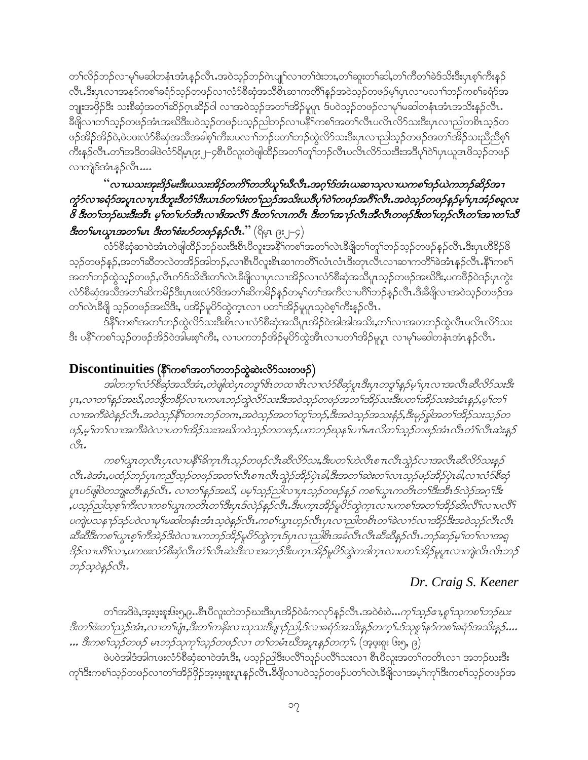တၫ်လိဉ်ဘဉ်လၢမှၢ်မဆါတနံၤအံၤန္နဉ်လီၤ.အဝဲသ့ဉ်ဘဉ်ဂဲၤပျုၫ်လၢတၫ်ဒဲးဘး,တၫ်ဆူးတၫ်ဆါ,တၫ်ကီတၫ်ခဲဒ်သိးဒီးပုၤစ့ၫ်ကီးနှဉ် လီၤ.ဒီးပုၤလπအန>်ကစၫ်ခရံာ်သွဉ်တဖဉ်လπလံာ်စီဆုံအသိစ်ၤဆၤကတိႝၤန္နဉ်အဝဲသွဉ်တဖဉ်မ့္ပြာလπပလπၤ်ဘဉ်ကစၤ်ခရံာ်အ ဘျုးအဖိုဉ်ဒီး သးစိဆုံအတၫ်ဆိဉ်ဂုၤဆိဉ်ဝါ လၢအဝဲသ့ဉ်အတၫ်အိဉ်မူပူၤ ဒ်ပဝဲသ့ဉ်တဖဉ်လၢမှၢိမဆါတနံၤအံၤအသိးနဉ်လီၤ ခ်ိဖျိလၢတၫ်သူဉ်တဖဉ်အံၤအဃိဒီးပဝဲသူဉ်တဖဉ်ပသူဉ်ညါဘဉ်လၢပနိ<sup>၎</sup>ကစၫ်အတ႑်လီၤပလိၤလိဉ်သးဒီးပုၤလၢညါတစိၤသုဉ်တ ဖဉ်အိဉ်အိဉ်ဝဲ,ဖဲပဖးလံာ်စိဆုံအသိအခါစ့်၊ကီးပပလၫ်ာဘဉ်ပတၫ်ဘဉ်ထွဲလိာ်သးဒီးပှၤလၢညါသ့ဉ်တဖဉ်အတၫ်အိဉ်သးညီညီစ့<sup>၎</sup> ကိဳးနဉ်လီၤ.တၫ်အဒိတခါဖဲလံာ်ရိမ့ၤ၉း၂–၄စီၤပီလူးတဲဖျါထိဉ်အတ႑်တူၫ်ဘဉ်လီၤပလိၤလိဉ်သးဒီးအဒိပု႑်ဝဲ႑်ပုၤယူဒၤဖိသ့ဉ်တဖဉ် လၢကျဲဒ်အံၤန္ဉာ်လိၤ….

### ်လ 7ယသးအုံးဒိဉ်မးဒီးယသးအိဉ်တကိ် ကဘိယူ iဃီလီၤ.အဂ္ဒ္မ္မ်ာအီးယဆ႑သူလ 7ယကစ iဒဉ်ယဲကဘဉ်ဆိဉ်အ 1 *ကွံ*ဉ်လၢခရံဉ်အပူၤလၢပှၤဒီဘူးဒီတံၫ်ဒီးယၤဒ်တ႑်ဖံးတ႑်ညှဉ်အသီးယဒီပု႑်ဝဲ႑်တဖဉ်အဂိ<sup>ု်</sup>လီၤ.အဝဲသ့ဉ်တဖဉ်နည်မှ<sup>ုံ</sup>ပုၤအႆဉ်စရူလး 8 ဒီးတၫ်ဘည်ဃးဒီးအီၤ မှုၫ်တ႑်ဟိအိၤလၫဖိအလိ႑် ဒီးတ႑်လၤကပီၤ ဒီးတ႑်အ႑ဉ်လီၤအိလီၤတဖဉ်ဒီးတ႑်ဟွဉ်လီၤတ႑်အ႑တ႑်သိ **ဒီးတ<sup>4</sup>မာယ္မွာအတ<sup>4ု</sup>မာ ဒီးတ9်စံးပာ်တဖဉ်နဉ်လီး.''** (ရိမ္နာ ၉ႏ၂–၄) -

\_<br>လံာ်စိဆုံဆၢဝဲအံၤတဲဖျါထိဉ်ဘဉ်ဃးဒီးစီၤပိလူးအနိုၤ်ကစ<sup>်</sup>၊အတၤ်လဲၤခ်ိဖျိတၤ်တူၤ်ဘဉ်သ္ဉ်တဖဉ်နဉ်လီၤ.ဒီးပှၤဟိခိဉ်ဖိ သည်တဖဉ်နဉ်,အတ<sup>ု</sup>ဆီတလဲတအိဉ်အါဘဉ်,လၫစီၤပီလူးစိၤဆၫကတိႝၤ်လံၤလံၤဒီးတုၤလီၤလ႑ဆ႑ကတိြခဲအံၤန္ဉလိၤ<sup>္ဇင္</sup>၊ နိ<sup>႖</sup>ကစ႑ အတၫ်ဘဉ်ထွဲသူဉ်တဖဉ်,လီၤက်ဒ်သိးဒီးတၫ်လဲၤခ်ိဖျိလၢပုၤလၢအိဉ်လၢလံာ်စိဆုံအသိပူ၊သုဉ်တဖဉ်အဃိဒိး,ပက်ဖိဉ်ဝဲဒဉ်ပုၤကွဲး လံာ်စိဆုံအသိအတ႑်ဆိကမိဉ်ဒီးပုၤဖးလံာ်ဖိအတ႑်ဆိကမိဉ်နဉ်တမှ့<sup>၎</sup>တ႑်အကိလ ၊ပ<sup>8</sup>ြဘဉ်နှဉ်လိၤ<sup>့ဒြီး</sup>ခိဖြိုလ ၊အဝဲသ့ဉ်တဖဉ်အ တၫ်လဲၤခ်ီဖျိ သ့ဉ်တဖဉ်အဃိဒ်ိး, ပအိဉ်မူပိဉ်ထွဲကဲ့ၤလၢ ပတၫ်အိဉ်မူပူၤသ့ဝဲစ့ၢ်ကိဳးနဉ်လီၤ.

ဒ်နိ<sup>ု</sup>ကစၢ်အတၢ်ဘဉ်ထွဲလိ9်သးဒီးစိၤလၢလံ9စိဆုံအသိပူၤအိဉ်ဝဲအါအါအသိႏႇတၫ်လၢအတဘဉ်ထွဲလီၤပလိၤလိ9်သး ဒီး ပနိ်ါကစါသ့ဉ်တဖဉ်အိဉ်ဝဲအါမးစ့ါကိုး, လၢပကဘဉ်အိဉ်မူပိာ်ထွဲအီၤလၢပတၢ်အိဉ်မူပူး လၢမှါမဆါတနံၤအံၤန္ဉာ်လီၤ.

### $\mathbf{Discontinuities}$  (နိ $\mathbf{S}$ ကစ္ပါအတ႑်တဘဉ်ထွဲဆဲးလိ $\mathbf{S}$ သးတဖဉ်)

အါတက္ ်လံာစိဆုံအသိအံၤႇတဲဖျံထဲပုၤတဒူ ်(ဒၤတထ႑အိၤလ႑လံာစိဆုံပူၤဒိႆးပုၤတဒူၫန္႕ေမ့ ၊်ပုၤလ႑အလီၤဆီလိာသးဒိႆး ပုၤ,လၢတ<sup>ရ</sup>နဉ်အဃိ,တဘျိတ<sup>္တ</sup>ဉ်လၢပကမၤဘဉ်ထွဲလိာ်သးဒီးအဝဲသုဉ်တဖဉ်အတ<sup>ြ</sup>အိဉ်သးဒီးပတ<sup>ရ်</sup>အိဉ်သးခဲအံၤန္နဉ်,မ့<sup>ရ</sup>တ<sup>ရ</sup> လၢအက်ခဲဝဲန္နဉ်လီး အဝဲသူဉ်နို (တဂၤဘဉ်တဂၤ,အဝဲသူဉ်အတ (တူ (ဘဉ်,ဒီးအဝဲသူဉ်အသးနံဉ်,ဒီးမှဉ်ခွါအတ (အိဉ်သးသုဉ်တ ဖဉ်,မှ1တ1လၫအကီခဲဝဲလ႑ပတ1အိဉ်သးအဃိကဝဲသုဉ်တတဖဉ်,ပကဘဉ်ဃုနှ1ပ႑ါမၤလိတ1သုဉ်တဖဉ်အံၤလီၤတံ1လီၤဆဲးနှဉ်  $\bigcirc_{7}$ 

ကစ<ယ္စာတ္စလီာပုၤလၢပနီ Yခ်က္စ္ဟာဂ်ီးသူ၌တဖဉ်လီးဆီလိွသး,ဒီးပတ္ပါဟဲလီးစ္က္ ကီးသွဲ့၌လၤအလီးဆီလိွသးန္နွင္က ပူးပာ်ဖျံဝဲတဘျုးတီးနှဉ်လီး. လၢတ႑်နှဉ်အဃိ, ပမ္5သူဉ်ညါလၢပုးသူဉ်တဖဉ်နှဉ် ကစ<်ယွၤကတိၤတ႑်ဒီးအီးဒ်လဲဉ်အဂ္ဂါဒီး ှိပသူဉ်ညါသူစု<sup>င်္</sup>ဂါးလ ၊ကစ<sup>1</sup>ယ္ဂၤကတိၤတ<sup>1</sup>ဒီးပုၤဒ်လဲဉ်နှ*ဉ်လီၤ.ဒီးပက္*ၤအိဉ်မှုပိဉ်ထွဲက္ၤလ ၊ပကစ<sup>1</sup>အတ ၊အိဉ်ဆီးလီ ၊လ ၊ပလိ<sup>ငှ</sup> ပကျဲပသန႑ာဴဒဉ်ပဝဲလ႑မှ႑်မဆါတနံၤအာံၤသ့ဝဲနှဉ်လီၤ.ကစ႑်ယွၤဟ္ဥာ်လီၤပုၤလ႑ည္ပါတစိၤတ႑်ခဲလ႑ာ်လ႑အိဉ်ဒီးအဝဲသုဉ်လီၤလီၤ ဆီဆီဒီးကစ†ယ္မၫစ္႑်ကီအဲဉ်ဒိးဝဲလ႑ပကဘဉ်အိဉ်မူပိဉ်ထွဲက္႑ဒ်ပ္႑လ႑ည္ပါစ႑အခံလိ႑လိ႑ဆီဆီန္၄်လိ႑.ဘဉ်ဆဉ်မ္ ါတ႑်လ႑အရွ ဒိဉ်လ ၊ပဂိၢ်လ ၊,ပကၒးလံာ်စီဆုံလီၤတံၤ်လီၤဆဲးဒီးလ ၊အဘဉ်ဒီးပက္ၤအိဉ်မူပိာ်ထွဲကဒါက္ၤလ ၊ပတၤ်အိဉ်မူပူၤလ ၊ကျဲလိၤလ်ၤဘဉ် ဘဉ်သ္ဝဲနဉ်လီး.

### Dr. Craig S. Keener

တၫ်အဒိဖဲ,အူးဖူးစူးဖြီး၅,၉..စီၤပီလူးတဲဘဉ်ဃးဒီးပုၤအိဉ်ဝဲခံကလှာ်နှဉ်လီၤ.အဝဲစံးဝဲ…*ကု ်သူဉ်ဧ႑စူ ်သုကစ ်ဘဉ်ဃး* ဒီးတ1်ဖံးတ1်ညဉ်အံၤႇလ႑တ1်ပုံ႑ႇဒီးတ1်ကန်းလ႑သုသးဒိဗျ႑ဉ်ညါႇဒ်လ႑ခရံဉ်အသိးန္နဉ်တက္1်ႇဒ်သုစု1်နှဉ်ကစ1်ခရံဉ်အသိးန္နဉ်… … *ဒီးကစ<sup>႑</sup>သူဉ်တဖဉ် မၤဘဉ်သုကု<sup>င်</sup>သူဉ်တဖဉ်လ႑တ<sup>င်္</sup>တာမံၤဃိအပူၤန္နာ်တက္်ု (အုပ္နႈရုး ၆း၅, ၉)* 

ဖဲပဝဲအါဒံအါကဖးလံာ်စိဆုံဆၢဝဲအံၤဒီး, ပသ္ဥညါဒီးပလိၤ်သူဥပလိၤ်သးလၤ စီၤပိလူးအတၤ်ကတိၤလၤ အဘဉ်ဃးဒီး ကု<sup>ရွ</sup>ဒီးကစ<sup>႖</sup>သ္ဉၥ်တဖဉ်လၢတၫ်အိဉ်ဖိုဉ်အူးဖူးစူးပူးနှဉ်လိၤ<sup>္စ</sup>ဒိဖိုလၢပဝဲသ့ဉ်တဖဉ်ပတၫ်လဲၤဒိဖြုလၢအမ့ၫ်ကုၫ်ဒီးကစၫ်သွဉ်တဖဉ်အ